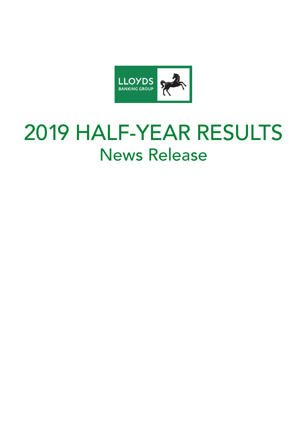

# 2019 HALF-YEAR RESULTS News Release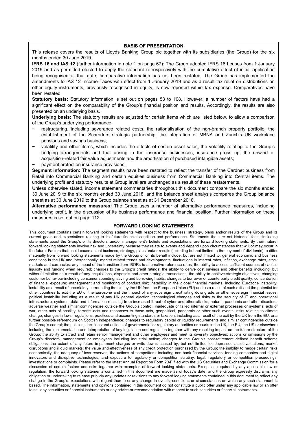#### **BASIS OF PRESENTATION**

This release covers the results of Lloyds Banking Group plc together with its subsidiaries (the Group) for the six months ended 30 June 2019.

**IFRS 16 and IAS 12** (further information in note 1 on page 67): The Group adopted IFRS 16 Leases from 1 January 2019 and as permitted elected to apply the standard retrospectively with the cumulative effect of initial application being recognised at that date; comparative information has not been restated. The Group has implemented the amendments to IAS 12 Income Taxes with effect from 1 January 2019 and as a result tax relief on distributions on other equity instruments, previously recognised in equity, is now reported within tax expense. Comparatives have been restated.

**Statutory basis:** Statutory information is set out on pages 58 to 108. However, a number of factors have had a significant effect on the comparability of the Group's financial position and results. Accordingly, the results are also presented on an underlying basis.

**Underlying basis:** The statutory results are adjusted for certain items which are listed below, to allow a comparison of the Group's underlying performance.

- − restructuring, including severance related costs, the rationalisation of the non-branch property portfolio, the establishment of the Schroders strategic partnership, the integration of MBNA and Zurich's UK workplace pensions and savings business;
- volatility and other items, which includes the effects of certain asset sales, the volatility relating to the Group's hedging arrangements and that arising in the insurance businesses, insurance gross up, the unwind of acquisition-related fair value adjustments and the amortisation of purchased intangible assets;
- − payment protection insurance provisions.

**Segment information:** The segment results have been restated to reflect the transfer of the Cardnet business from Retail into Commercial Banking and certain equities business from Commercial Banking into Central items. The underlying profit and statutory results at Group level are unchanged as a result of these restatements.

Unless otherwise stated, income statement commentaries throughout this document compare the six months ended 30 June 2019 to the six months ended 30 June 2018, and the balance sheet analysis compares the Group balance sheet as at 30 June 2019 to the Group balance sheet as at 31 December 2018.

**Alternative performance measures:** The Group uses a number of alternative performance measures, including underlying profit, in the discussion of its business performance and financial position. Further information on these measures is set out on page 112.

#### **FORWARD LOOKING STATEMENTS**

This document contains certain forward looking statements with respect to the business, strategy, plans and/or results of the Group and its current goals and expectations relating to its future financial condition and performance. Statements that are not historical facts, including statements about the Group's or its directors' and/or management's beliefs and expectations, are forward looking statements. By their nature, forward looking statements involve risk and uncertainty because they relate to events and depend upon circumstances that will or may occur in the future. Factors that could cause actual business, strategy, plans and/or results (including but not limited to the payment of dividends) to differ materially from forward looking statements made by the Group or on its behalf include, but are not limited to: general economic and business conditions in the UK and internationally; market related trends and developments; fluctuations in interest rates, inflation, exchange rates, stock markets and currencies; any impact of the transition from IBORs to alternative reference rates; the ability to access sufficient sources of capital, liquidity and funding when required; changes to the Group's credit ratings; the ability to derive cost savings and other benefits including, but without limitation as a result of any acquisitions, disposals and other strategic transactions; the ability to achieve strategic objectives; changing customer behaviour including consumer spending, saving and borrowing habits; changes to borrower or counterparty credit quality; concentration of financial exposure; management and monitoring of conduct risk; instability in the global financial markets, including Eurozone instability, instability as a result of uncertainty surrounding the exit by the UK from the European Union (EU) and as a result of such exit and the potential for other countries to exit the EU or the Eurozone and the impact of any sovereign credit rating downgrade or other sovereign financial issues; political instability including as a result of any UK general election; technological changes and risks to the security of IT and operational infrastructure, systems, data and information resulting from increased threat of cyber and other attacks; natural, pandemic and other disasters, adverse weather and similar contingencies outside the Group's control; inadequate or failed internal or external processes or systems; acts of war, other acts of hostility, terrorist acts and responses to those acts, geopolitical, pandemic or other such events; risks relating to climate change; changes in laws, regulations, practices and accounting standards or taxation, including as a result of the exit by the UK from the EU, or a further possible referendum on Scottish independence; changes to regulatory capital or liquidity requirements and similar contingencies outside the Group's control; the policies, decisions and actions of governmental or regulatory authorities or courts in the UK, the EU, the US or elsewhere including the implementation and interpretation of key legislation and regulation together with any resulting impact on the future structure of the Group; the ability to attract and retain senior management and other employees and meet its diversity objectives; actions or omissions by the Group's directors, management or employees including industrial action; changes to the Group's post-retirement defined benefit scheme obligations; the extent of any future impairment charges or write-downs caused by, but not limited to, depressed asset valuations, market disruptions and illiquid markets; the value and effectiveness of any credit protection purchased by the Group; the inability to hedge certain risks economically; the adequacy of loss reserves; the actions of competitors, including non-bank financial services, lending companies and digital innovators and disruptive technologies; and exposure to regulatory or competition scrutiny, legal, regulatory or competition proceedings, investigations or complaints. Please refer to the latest Annual Report on Form 20-F filed with the US Securities and Exchange Commission for a discussion of certain factors and risks together with examples of forward looking statements. Except as required by any applicable law or regulation, the forward looking statements contained in this document are made as of today's date, and the Group expressly disclaims any obligation or undertaking to release publicly any updates or revisions to any forward looking statements contained in this document to reflect any change in the Group's expectations with regard thereto or any change in events, conditions or circumstances on which any such statement is based. The information, statements and opinions contained in this document do not constitute a public offer under any applicable law or an offer to sell any securities or financial instruments or any advice or recommendation with respect to such securities or financial instruments.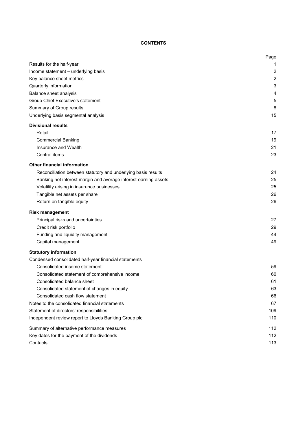# **CONTENTS**

|                                                                 | Page           |
|-----------------------------------------------------------------|----------------|
| Results for the half-year                                       | 1              |
| Income statement - underlying basis                             | $\overline{2}$ |
| Key balance sheet metrics                                       | $\overline{2}$ |
| Quarterly information                                           | 3              |
| Balance sheet analysis                                          | 4              |
| Group Chief Executive's statement                               | 5              |
| Summary of Group results                                        | 8              |
| Underlying basis segmental analysis                             | 15             |
| <b>Divisional results</b>                                       |                |
| Retail                                                          | 17             |
| <b>Commercial Banking</b>                                       | 19             |
| Insurance and Wealth                                            | 21             |
| Central items                                                   | 23             |
| <b>Other financial information</b>                              |                |
| Reconciliation between statutory and underlying basis results   | 24             |
| Banking net interest margin and average interest-earning assets | 25             |
| Volatility arising in insurance businesses                      | 25             |
| Tangible net assets per share                                   | 26             |
| Return on tangible equity                                       | 26             |
| <b>Risk management</b>                                          |                |
| Principal risks and uncertainties                               | 27             |
| Credit risk portfolio                                           | 29             |
| Funding and liquidity management                                | 44             |
| Capital management                                              | 49             |
| <b>Statutory information</b>                                    |                |
| Condensed consolidated half-year financial statements           |                |
| Consolidated income statement                                   | 59             |
| Consolidated statement of comprehensive income                  | 60             |
| Consolidated balance sheet                                      | 61             |
| Consolidated statement of changes in equity                     | 63             |
| Consolidated cash flow statement                                | 66             |
| Notes to the consolidated financial statements                  | 67             |
| Statement of directors' responsibilities                        | 109            |
| Independent review report to Lloyds Banking Group plc           | 110            |
| Summary of alternative performance measures                     | 112            |
| Key dates for the payment of the dividends                      | 112            |
| Contacts                                                        | 113            |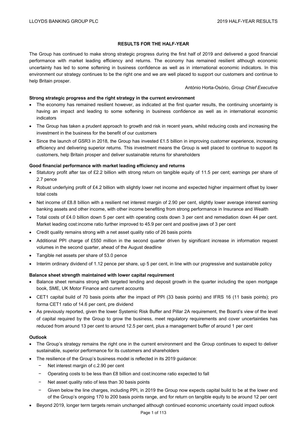# **RESULTS FOR THE HALF-YEAR**

The Group has continued to make strong strategic progress during the first half of 2019 and delivered a good financial performance with market leading efficiency and returns. The economy has remained resilient although economic uncertainty has led to some softening in business confidence as well as in international economic indicators. In this environment our strategy continues to be the right one and we are well placed to support our customers and continue to help Britain prosper.

#### António Horta-Osório, *Group Chief Executive*

## **Strong strategic progress and the right strategy in the current environment**

- The economy has remained resilient however, as indicated at the first quarter results, the continuing uncertainty is having an impact and leading to some softening in business confidence as well as in international economic indicators
- The Group has taken a prudent approach to growth and risk in recent years, whilst reducing costs and increasing the investment in the business for the benefit of our customers
- Since the launch of GSR3 in 2018, the Group has invested £1.5 billion in improving customer experience, increasing efficiency and delivering superior returns. This investment means the Group is well placed to continue to support its customers, help Britain prosper and deliver sustainable returns for shareholders

## **Good financial performance with market leading efficiency and returns**

- Statutory profit after tax of £2.2 billion with strong return on tangible equity of 11.5 per cent; earnings per share of 2.7 pence
- Robust underlying profit of £4.2 billion with slightly lower net income and expected higher impairment offset by lower total costs
- Net income of £8.8 billion with a resilient net interest margin of 2.90 per cent, slightly lower average interest earning banking assets and other income, with other income benefiting from strong performance in Insurance and Wealth
- Total costs of £4.0 billion down 5 per cent with operating costs down 3 per cent and remediation down 44 per cent. Market leading cost:income ratio further improved to 45.9 per cent and positive jaws of 3 per cent
- Credit quality remains strong with a net asset quality ratio of 26 basis points
- Additional PPI charge of £550 million in the second quarter driven by significant increase in information request volumes in the second quarter, ahead of the August deadline
- Tangible net assets per share of 53.0 pence
- Interim ordinary dividend of 1.12 pence per share, up 5 per cent, in line with our progressive and sustainable policy

# **Balance sheet strength maintained with lower capital requirement**

- Balance sheet remains strong with targeted lending and deposit growth in the quarter including the open mortgage book, SME, UK Motor Finance and current accounts
- CET1 capital build of 70 basis points after the impact of PPI (33 basis points) and IFRS 16 (11 basis points); pro forma CET1 ratio of 14.6 per cent, pre dividend
- As previously reported, given the lower Systemic Risk Buffer and Pillar 2A requirement, the Board's view of the level of capital required by the Group to grow the business, meet regulatory requirements and cover uncertainties has reduced from around 13 per cent to around 12.5 per cent, plus a management buffer of around 1 per cent

# **Outlook**

- The Group's strategy remains the right one in the current environment and the Group continues to expect to deliver sustainable, superior performance for its customers and shareholders
- The resilience of the Group's business model is reflected in its 2019 guidance:
	- Net interest margin of c.2.90 per cent
	- − Operating costs to be less than £8 billion and cost:income ratio expected to fall
	- Net asset quality ratio of less than 30 basis points
	- Given below the line charges, including PPI, in 2019 the Group now expects capital build to be at the lower end of the Group's ongoing 170 to 200 basis points range, and for return on tangible equity to be around 12 per cent
- Beyond 2019, longer term targets remain unchanged although continued economic uncertainty could impact outlook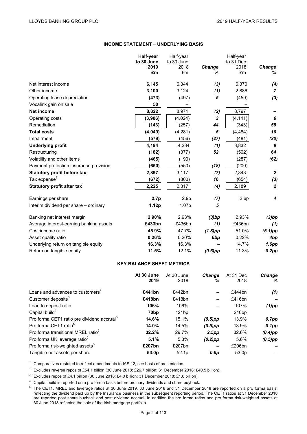## **INCOME STATEMENT − UNDERLYING BASIS**

|                                         | Half-year | Half-year<br>to 30 June<br>to 30 June |                 | Half-year<br>to 31 Dec |                  |  |
|-----------------------------------------|-----------|---------------------------------------|-----------------|------------------------|------------------|--|
|                                         | 2019      | 2018                                  | Change          | 2018                   | Change           |  |
|                                         | £m        | £m                                    | ℅               | £m                     | %                |  |
| Net interest income                     | 6,145     | 6,344                                 | (3)             | 6,370                  | (4)              |  |
| Other income                            | 3,100     | 3,124                                 | (1)             | 2,886                  | $\overline{7}$   |  |
| Operating lease depreciation            | (473)     | (497)                                 | 5               | (459)                  | (3)              |  |
| Vocalink gain on sale                   | 50        |                                       |                 |                        |                  |  |
| <b>Net income</b>                       | 8,822     | 8,971                                 | (2)             | 8,797                  |                  |  |
| Operating costs                         | (3,906)   | (4,024)                               | 3               | (4, 141)               | 6                |  |
| Remediation                             | (143)     | (257)                                 | 44              | (343)                  | 58               |  |
| <b>Total costs</b>                      | (4,049)   | (4,281)                               | 5               | (4, 484)               | 10               |  |
| Impairment                              | (579)     | (456)                                 | (27)            | (481)                  | (20)             |  |
| <b>Underlying profit</b>                | 4,194     | 4,234                                 | (1)             | 3,832                  | 9                |  |
| Restructuring                           | (182)     | (377)                                 | 52              | (502)                  | 64               |  |
| Volatility and other items              | (465)     | (190)                                 |                 | (287)                  | (62)             |  |
| Payment protection insurance provision  | (650)     | (550)                                 | (18)            | (200)                  |                  |  |
| <b>Statutory profit before tax</b>      | 2,897     | 3,117                                 | (7)             | 2,843                  | $\overline{2}$   |  |
| Tax expense <sup>1</sup>                | (672)     | (800)                                 | 16              | (654)                  | (3)              |  |
| Statutory profit after tax <sup>1</sup> | 2,225     | 2,317                                 | (4)             | 2,189                  | $\boldsymbol{2}$ |  |
| Earnings per share                      | 2.7p      | 2.9 <sub>p</sub>                      | (7)             | 2.6p                   | 4                |  |
| Interim dividend per share - ordinary   | 1.12p     | 1.07p                                 | 5               |                        |                  |  |
| Banking net interest margin             | 2.90%     | 2.93%                                 | (3)bp           | 2.93%                  | (3)bp            |  |
| Average interest-earning banking assets | £433bn    | £436bn                                | (1)             | £436bn                 | (1)              |  |
| Cost:income ratio                       | 45.9%     | 47.7%                                 | $(1.8)$ pp      | 51.0%                  | $(5.1)$ pp       |  |
| Asset quality ratio                     | 0.26%     | 0.20%                                 | 6 <sub>bp</sub> | 0.22%                  | 4bp              |  |
| Underlying return on tangible equity    | 16.3%     | 16.3%                                 |                 | 14.7%                  | 1.6pp            |  |
| Return on tangible equity               | 11.5%     | 12.1%                                 | $(0.6)$ pp      | 11.3%                  | 0.2pp            |  |

# **KEY BALANCE SHEET METRICS**

|                                                        | At 30 June<br>2019 | At 30 June<br>2018 | <b>Change</b><br>℅ | At 31 Dec<br>2018 | <b>Change</b><br>%       |
|--------------------------------------------------------|--------------------|--------------------|--------------------|-------------------|--------------------------|
| Loans and advances to customers <sup>2</sup>           | £441bn             | £442bn             | -                  | £444bn            | (1)                      |
| Customer deposits <sup>3</sup>                         | £418bn             | £418bn             | -                  | £416bn            | $\overline{\phantom{0}}$ |
| Loan to deposit ratio                                  | 106%               | 106%               | -                  | 107%              | $(1)$ pp                 |
| Capital build <sup>4</sup>                             | 70 <sub>bp</sub>   | 121bp              |                    | 210 <sub>bp</sub> |                          |
| Pro forma CET1 ratio pre dividend accrual <sup>5</sup> | 14.6%              | 15.1%              | $(0.5)$ pp         | 13.9%             | $0.7$ pp                 |
| Pro forma CET1 ratio <sup>5</sup>                      | 14.0%              | 14.5%              | $(0.5)$ pp         | 13.9%             | $0.1$ pp                 |
| Pro forma transitional MREL ratio <sup>5</sup>         | 32.2%              | 29.7%              | 2.5 <sub>pp</sub>  | 32.6%             | $(0.4)$ pp               |
| Pro forma UK leverage ratio <sup>5</sup>               | 5.1%               | 5.3%               | $(0.2)$ pp         | 5.6%              | $(0.5)$ pp               |
| Pro forma risk-weighted assets <sup>5</sup>            | £207bn             | £207bn             |                    | £206bn            |                          |
| Tangible net assets per share                          | 53.0 <sub>p</sub>  | 52.1 <sub>p</sub>  | 0.9 <sub>D</sub>   | 53.0 <sub>p</sub> |                          |

<sup>1</sup> Comparatives restated to reflect amendments to IAS 12, see basis of presentation.

<sup>2</sup> Excludes reverse repos of £54.1 billion (30 June 2018: £26.7 billion; 31 December 2018: £40.5 billion).

<sup>3</sup> Excludes repos of £4.1 billion (30 June 2018: £4.0 billion; 31 December 2018: £1.8 billion).

<sup>4</sup> Capital build is reported on a pro forma basis before ordinary dividends and share buyback.<br><sup>5</sup> The CET1, MREL and leverage ratios at 30 June 2019, 30 June 2018 and 31 December 2018 are reported on a pro forma basis, reflecting the dividend paid up by the Insurance business in the subsequent reporting period. The CET1 ratios at 31 December 2018 are reported post share buyback and post dividend accrual. In addition the pro forma ratios and pro forma risk-weighted assets at 30 June 2018 reflected the sale of the Irish mortgage portfolio.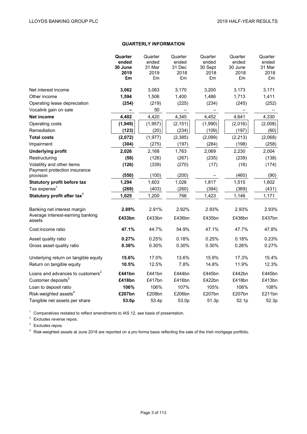# **QUARTERLY INFORMATION**

|                                                 | Quarter    | Quarter  | Quarter  | Quarter | Quarter  | Quarter |
|-------------------------------------------------|------------|----------|----------|---------|----------|---------|
|                                                 | ended      | ended    | ended    | ended   | ended    | ended   |
|                                                 | 30 June    | 31 Mar   | 31 Dec   | 30 Sept | 30 June  | 31 Mar  |
|                                                 | 2019<br>£m | 2019     | 2018     | 2018    | 2018     | 2018    |
|                                                 |            | £m       | £m       | £m      | £m       | £m      |
| Net interest income                             | 3,062      | 3,083    | 3,170    | 3,200   | 3,173    | 3,171   |
| Other income                                    | 1,594      | 1,506    | 1,400    | 1,486   | 1,713    | 1,411   |
| Operating lease depreciation                    | (254)      | (219)    | (225)    | (234)   | (245)    | (252)   |
| Vocalink gain on sale                           | -          | 50       |          |         |          |         |
| <b>Net income</b>                               | 4,402      | 4,420    | 4,345    | 4,452   | 4,641    | 4,330   |
| Operating costs                                 | (1, 949)   | (1, 957) | (2, 151) | (1,990) | (2,016)  | (2,008) |
| Remediation                                     | (123)      | (20)     | (234)    | (109)   | (197)    | (60)    |
| <b>Total costs</b>                              | (2,072)    | (1, 977) | (2, 385) | (2,099) | (2, 213) | (2,068) |
| Impairment                                      | (304)      | (275)    | (197)    | (284)   | (198)    | (258)   |
| <b>Underlying profit</b>                        | 2,026      | 2,168    | 1,763    | 2,069   | 2,230    | 2,004   |
| Restructuring                                   | (56)       | (126)    | (267)    | (235)   | (239)    | (138)   |
| Volatility and other items                      | (126)      | (339)    | (270)    | (17)    | (16)     | (174)   |
| Payment protection insurance                    | (550)      | (100)    | (200)    |         | (460)    | (90)    |
| provision<br><b>Statutory profit before tax</b> | 1,294      | 1,603    | 1,026    | 1,817   | 1,515    | 1,602   |
| Tax expense <sup>1</sup>                        |            | (403)    | (260)    |         | (369)    | (431)   |
|                                                 | (269)      |          | 766      | (394)   |          |         |
| Statutory profit after tax <sup>1</sup>         | 1,025      | 1,200    |          | 1,423   | 1,146    | 1,171   |
| Banking net interest margin                     | 2.89%      | 2.91%    | 2.92%    | 2.93%   | 2.93%    | 2.93%   |
| Average interest-earning banking<br>assets      | £433bn     | £433bn   | £436bn   | £435bn  | £436bn   | £437bn  |
| Cost:income ratio                               | 47.1%      | 44.7%    | 54.9%    | 47.1%   | 47.7%    | 47.8%   |
| Asset quality ratio                             | 0.27%      | 0.25%    | 0.18%    | 0.25%   | 0.18%    | 0.23%   |
| Gross asset quality ratio                       | 0.38%      | 0.30%    | 0.30%    | 0.30%   | 0.26%    | 0.27%   |
| Underlying return on tangible equity            | 15.6%      | 17.0%    | 13.6%    | 15.9%   | 17.3%    | 15.4%   |
| Return on tangible equity                       | 10.5%      | 12.5%    | 7.8%     | 14.8%   | 11.9%    | 12.3%   |
| Loans and advances to customers <sup>2</sup>    | £441bn     | £441bn   | £444bn   | £445bn  | £442bn   | £445bn  |
| Customer deposits <sup>3</sup>                  | £418bn     | £417bn   | £416bn   | £422bn  | £418bn   | £413bn  |
| Loan to deposit ratio                           | 106%       | 106%     | 107%     | 105%    | 106%     | 108%    |
| Risk-weighted assets <sup>4</sup>               | £207bn     | £208bn   | £206bn   | £207bn  | £207bn   | £211bn  |
| Tangible net assets per share                   | 53.0p      | 53.4p    | 53.0p    | 51.3p   | 52.1p    | 52.3p   |

 $1$  Comparatives restated to reflect amendments to IAS 12, see basis of presentation.

<sup>2</sup> Excludes reverse repos.

<sup>3</sup> Excludes repos.

<sup>4</sup> Risk-weighted assets at June 2018 are reported on a pro forma basis reflecting the sale of the Irish mortgage portfolio.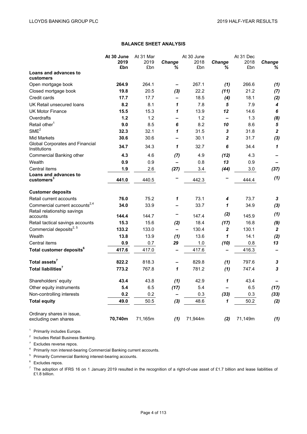# **BALANCE SHEET ANALYSIS**

|                                                 | At 30 June | At 31 Mar |                          | At 30 June |                   | At 31 Dec |                  |
|-------------------------------------------------|------------|-----------|--------------------------|------------|-------------------|-----------|------------------|
|                                                 | 2019       | 2019      | Change                   | 2018       | Change            | 2018      | <b>Change</b>    |
|                                                 | £bn        | £bn       | ℅                        | £bn        | ℅                 | £bn       | %                |
| Loans and advances to<br>customers              |            |           |                          |            |                   |           |                  |
| Open mortgage book                              | 264.9      | 264.1     |                          | 267.1      | (1)               | 266.6     | (1)              |
| Closed mortgage book                            | 19.8       | 20.5      | (3)                      | 22.2       | (11)              | 21.2      | (7)              |
| Credit cards                                    | 17.7       | 17.7      |                          | 18.5       | (4)               | 18.1      | (2)              |
| UK Retail unsecured loans                       | 8.2        | 8.1       | 1                        | 7.8        | 5                 | 7.9       | 4                |
| <b>UK Motor Finance</b>                         | 15.5       | 15.3      | 1                        | 13.9       | 12                | 14.6      | 6                |
| Overdrafts                                      | 1.2        | 1.2       | $\overline{\phantom{0}}$ | 1.2        | $\qquad \qquad -$ | 1.3       | (8)              |
| Retail other <sup>1</sup>                       | 9.0        | 8.5       | 6                        | 8.2        | 10                | 8.6       | 5                |
| SME <sup>2</sup>                                | 32.3       | 32.1      | 1                        | 31.5       | 3                 | 31.8      | $\overline{2}$   |
| Mid Markets                                     | 30.6       | 30.6      | —                        | 30.1       | $\mathbf{2}$      | 31.7      | (3)              |
| Global Corporates and Financial<br>Institutions | 34.7       | 34.3      | 1                        | 32.7       | 6                 | 34.4      | $\mathbf{1}$     |
| Commercial Banking other                        | 4.3        | 4.6       | (7)                      | 4.9        | (12)              | 4.3       |                  |
| Wealth                                          | 0.9        | 0.9       | $\overline{\phantom{0}}$ | 0.8        | 13                | 0.9       |                  |
| Central items                                   | 1.9        | 2.6       | (27)                     | 3.4        | (44)              | 3.0       | (37)             |
| Loans and advances to<br>customers <sup>3</sup> | 441.0      | 440.5     |                          | 442.3      |                   | 444.4     | (1)              |
| <b>Customer deposits</b>                        |            |           |                          |            |                   |           |                  |
| Retail current accounts                         | 76.0       | 75.2      | 1                        | 73.1       | 4                 | 73.7      | 3                |
| Commercial current accounts <sup>2,4</sup>      | 34.0       | 33.9      | $\overline{\phantom{0}}$ | 33.7       | 1                 | 34.9      | (3)              |
| Retail relationship savings                     |            |           |                          |            |                   |           | (1)              |
| accounts                                        | 144.4      | 144.7     |                          | 147.4      | (2)               | 145.9     |                  |
| Retail tactical savings accounts                | 15.3       | 15.6      | (2)                      | 18.4       | (17)              | 16.8      | (9)              |
| Commercial deposits <sup>2, 5</sup>             | 133.2      | 133.0     | $\overline{\phantom{0}}$ | 130.4      | $\mathbf{2}$      | 130.1     | $\boldsymbol{2}$ |
| Wealth                                          | 13.8       | 13.9      | (1)                      | 13.6       | 1                 | 14.1      | (2)              |
| Central items                                   | 0.9        | 0.7       | 29                       | $1.0$      | (10)              | 0.8       | 13               |
| Total customer deposits <sup>6</sup>            | 417.6      | 417.0     | $\overline{\phantom{0}}$ | 417.6      |                   | 416.3     |                  |
| Total assets <sup>7</sup>                       | 822.2      | 818.3     | $\overline{\phantom{0}}$ | 829.8      | (1)               | 797.6     | 3                |
| Total liabilities <sup>7</sup>                  | 773.2      | 767.8     | 1                        | 781.2      | (1)               | 747.4     | 3                |
| Shareholders' equity                            | 43.4       | 43.8      | (1)                      | 42.9       | 1                 | 43.4      |                  |
| Other equity instruments                        | 5.4        | 6.5       | (17)                     | 5.4        | —                 | 6.5       | (17)             |
| Non-controlling interests                       | 0.2        | 0.2       | $\overline{\phantom{0}}$ | 0.3        | (33)              | 0.3       | (33)             |
| <b>Total equity</b>                             | 49.0       | 50.5      | (3)                      | 48.6       | 1                 | 50.2      | (2)              |
| Ordinary shares in issue,                       | 70,740m    | 71,165m   |                          | 71,944m    |                   | 71,149m   | (1)              |
| excluding own shares                            |            |           | (1)                      |            | (2)               |           |                  |

<sup>1</sup> Primarily includes Europe.

<sup>2</sup> Includes Retail Business Banking.

<sup>3</sup> Excludes reverse repos.

<sup>4</sup> Primarily non interest-bearing Commercial Banking current accounts.

<sup>5</sup> Primarily Commercial Banking interest-bearing accounts.

<sup>6</sup> Excludes repos.

The adoption of IFRS 16 on 1 January 2019 resulted in the recognition of a right-of-use asset of £1.7 billion and lease liabilities of £1.8 billion.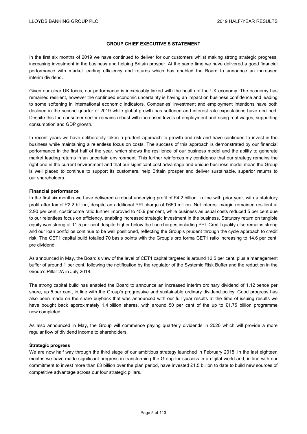## **GROUP CHIEF EXECUTIVE'S STATEMENT**

In the first six months of 2019 we have continued to deliver for our customers whilst making strong strategic progress, increasing investment in the business and helping Britain prosper. At the same time we have delivered a good financial performance with market leading efficiency and returns which has enabled the Board to announce an increased interim dividend.

Given our clear UK focus, our performance is inextricably linked with the health of the UK economy. The economy has remained resilient, however the continued economic uncertainty is having an impact on business confidence and leading to some softening in international economic indicators. Companies' investment and employment intentions have both declined in the second quarter of 2019 while global growth has softened and interest rate expectations have declined. Despite this the consumer sector remains robust with increased levels of employment and rising real wages, supporting consumption and GDP growth.

In recent years we have deliberately taken a prudent approach to growth and risk and have continued to invest in the business while maintaining a relentless focus on costs. The success of this approach is demonstrated by our financial performance in the first half of the year, which shows the resilience of our business model and the ability to generate market leading returns in an uncertain environment. This further reinforces my confidence that our strategy remains the right one in the current environment and that our significant cost advantage and unique business model mean the Group is well placed to continue to support its customers, help Britain prosper and deliver sustainable, superior returns to our shareholders.

#### **Financial performance**

In the first six months we have delivered a robust underlying profit of £4.2 billion, in line with prior year, with a statutory profit after tax of £2.2 billion, despite an additional PPI charge of £650 million. Net interest margin remained resilient at 2.90 per cent, cost:income ratio further improved to 45.9 per cent, while business as usual costs reduced 5 per cent due to our relentless focus on efficiency, enabling increased strategic investment in the business. Statutory return on tangible equity was strong at 11.5 per cent despite higher below the line charges including PPI. Credit quality also remains strong and our loan portfolios continue to be well positioned, reflecting the Group's prudent through the cycle approach to credit risk. The CET1 capital build totalled 70 basis points with the Group's pro forma CET1 ratio increasing to 14.6 per cent, pre dividend.

As announced in May, the Board's view of the level of CET1 capital targeted is around 12.5 per cent, plus a management buffer of around 1 per cent, following the notification by the regulator of the Systemic Risk Buffer and the reduction in the Group's Pillar 2A in July 2018.

The strong capital build has enabled the Board to announce an increased interim ordinary dividend of 1.12 pence per share, up 5 per cent, in line with the Group's progressive and sustainable ordinary dividend policy. Good progress has also been made on the share buyback that was announced with our full year results at the time of issuing results we have bought back approximately 1.4 billion shares, with around 50 per cent of the up to £1.75 billion programme now completed.

As also announced in May, the Group will commence paying quarterly dividends in 2020 which will provide a more regular flow of dividend income to shareholders.

#### **Strategic progress**

We are now half way through the third stage of our ambitious strategy launched in February 2018. In the last eighteen months we have made significant progress in transforming the Group for success in a digital world and, in line with our commitment to invest more than £3 billion over the plan period, have invested £1.5 billion to date to build new sources of competitive advantage across our four strategic pillars.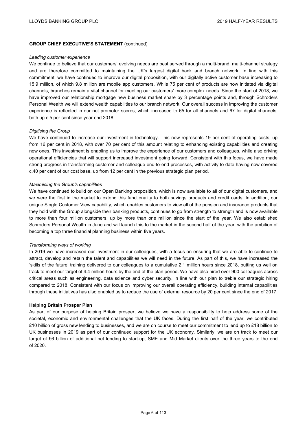## **GROUP CHIEF EXECUTIVE'S STATEMENT** (continued)

#### *Leading customer experience*

We continue to believe that our customers' evolving needs are best served through a multi-brand, multi-channel strategy and are therefore committed to maintaining the UK's largest digital bank and branch network. In line with this commitment, we have continued to improve our digital proposition, with our digitally active customer base increasing to 15.9 million, of which 9.8 million are mobile app customers. While 75 per cent of products are now initiated via digital channels, branches remain a vital channel for meeting our customers' more complex needs. Since the start of 2018, we have improved our relationship mortgage new business market share by 3 percentage points and, through Schroders Personal Wealth we will extend wealth capabilities to our branch network. Our overall success in improving the customer experience is reflected in our net promoter scores, which increased to 65 for all channels and 67 for digital channels, both up c.5 per cent since year end 2018.

#### *Digitising the Group*

We have continued to increase our investment in technology. This now represents 19 per cent of operating costs, up from 16 per cent in 2018, with over 70 per cent of this amount relating to enhancing existing capabilities and creating new ones. This investment is enabling us to improve the experience of our customers and colleagues, while also driving operational efficiencies that will support increased investment going forward. Consistent with this focus, we have made strong progress in transforming customer and colleague end-to-end processes, with activity to date having now covered c.40 per cent of our cost base, up from 12 per cent in the previous strategic plan period.

#### *Maximising the Group's capabilities*

We have continued to build on our Open Banking proposition, which is now available to all of our digital customers, and we were the first in the market to extend this functionality to both savings products and credit cards. In addition, our unique Single Customer View capability, which enables customers to view all of the pension and insurance products that they hold with the Group alongside their banking products, continues to go from strength to strength and is now available to more than four million customers, up by more than one million since the start of the year. We also established Schroders Personal Wealth in June and will launch this to the market in the second half of the year, with the ambition of becoming a top three financial planning business within five years.

#### *Transforming ways of working*

In 2019 we have increased our investment in our colleagues, with a focus on ensuring that we are able to continue to attract, develop and retain the talent and capabilities we will need in the future. As part of this, we have increased the 'skills of the future' training delivered to our colleagues to a cumulative 2.1 million hours since 2018, putting us well on track to meet our target of 4.4 million hours by the end of the plan period. We have also hired over 900 colleagues across critical areas such as engineering, data science and cyber security, in line with our plan to treble our strategic hiring compared to 2018. Consistent with our focus on improving our overall operating efficiency, building internal capabilities through these initiatives has also enabled us to reduce the use of external resource by 20 per cent since the end of 2017.

#### **Helping Britain Prosper Plan**

As part of our purpose of helping Britain prosper, we believe we have a responsibility to help address some of the societal, economic and environmental challenges that the UK faces. During the first half of the year, we contributed £10 billion of gross new lending to businesses, and we are on course to meet our commitment to lend up to £18 billion to UK businesses in 2019 as part of our continued support for the UK economy. Similarly, we are on track to meet our target of £6 billion of additional net lending to start-up, SME and Mid Market clients over the three years to the end of 2020.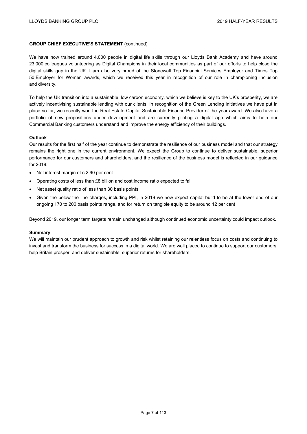## **GROUP CHIEF EXECUTIVE'S STATEMENT** (continued)

We have now trained around 4,000 people in digital life skills through our Lloyds Bank Academy and have around 23,000 colleagues volunteering as Digital Champions in their local communities as part of our efforts to help close the digital skills gap in the UK. I am also very proud of the Stonewall Top Financial Services Employer and Times Top 50 Employer for Women awards, which we received this year in recognition of our role in championing inclusion and diversity.

To help the UK transition into a sustainable, low carbon economy, which we believe is key to the UK's prosperity, we are actively incentivising sustainable lending with our clients. In recognition of the Green Lending Initiatives we have put in place so far, we recently won the Real Estate Capital Sustainable Finance Provider of the year award. We also have a portfolio of new propositions under development and are currently piloting a digital app which aims to help our Commercial Banking customers understand and improve the energy efficiency of their buildings.

#### **Outlook**

Our results for the first half of the year continue to demonstrate the resilience of our business model and that our strategy remains the right one in the current environment. We expect the Group to continue to deliver sustainable, superior performance for our customers and shareholders, and the resilience of the business model is reflected in our guidance for 2019:

- Net interest margin of c.2.90 per cent
- Operating costs of less than £8 billion and cost:income ratio expected to fall
- Net asset quality ratio of less than 30 basis points
- Given the below the line charges, including PPI, in 2019 we now expect capital build to be at the lower end of our ongoing 170 to 200 basis points range, and for return on tangible equity to be around 12 per cent

Beyond 2019, our longer term targets remain unchanged although continued economic uncertainty could impact outlook.

#### **Summary**

We will maintain our prudent approach to growth and risk whilst retaining our relentless focus on costs and continuing to invest and transform the business for success in a digital world. We are well placed to continue to support our customers, help Britain prosper, and deliver sustainable, superior returns for shareholders.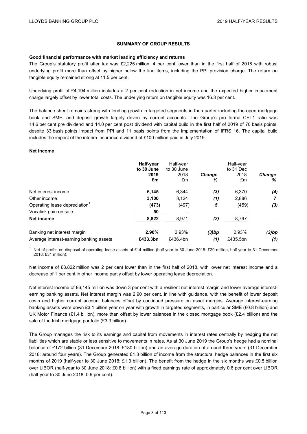# **SUMMARY OF GROUP RESULTS**

#### **Good financial performance with market leading efficiency and returns**

The Group's statutory profit after tax was £2,225 million, 4 per cent lower than in the first half of 2018 with robust underlying profit more than offset by higher below the line items, including the PPI provision charge. The return on tangible equity remained strong at 11.5 per cent.

Underlying profit of £4,194 million includes a 2 per cent reduction in net income and the expected higher impairment charge largely offset by lower total costs. The underlying return on tangible equity was 16.3 per cent.

The balance sheet remains strong with lending growth in targeted segments in the quarter including the open mortgage book and SME, and deposit growth largely driven by current accounts. The Group's pro forma CET1 ratio was 14.6 per cent pre dividend and 14.0 per cent post dividend with capital build in the first half of 2019 of 70 basis points, despite 33 basis points impact from PPI and 11 basis points from the implementation of IFRS 16. The capital build includes the impact of the interim Insurance dividend of £100 million paid in July 2019.

# **Net income**

|                                           | Half-year<br>to 30 June<br>2019<br>£m | Half-year<br>to 30 June<br>2018<br>£m | <b>Change</b><br>% | Half-year<br>to 31 Dec<br>2018<br>£m | <b>Change</b><br>% |
|-------------------------------------------|---------------------------------------|---------------------------------------|--------------------|--------------------------------------|--------------------|
| Net interest income                       | 6,145                                 | 6,344                                 | (3)                | 6,370                                | (4)                |
| Other income                              | 3,100                                 | 3,124                                 | (1)                | 2,886                                | 7                  |
| Operating lease depreciation <sup>1</sup> | (473)                                 | (497)                                 | 5                  | (459)                                | (3)                |
| Vocalink gain on sale                     | 50                                    |                                       |                    |                                      |                    |
| Net income                                | 8,822                                 | 8,971                                 | (2)                | 8,797                                |                    |
| Banking net interest margin               | 2.90%                                 | 2.93%                                 | (3)bp              | 2.93%                                | (3)bp              |
| Average interest-earning banking assets   | £433.3bn                              | £436.4bn                              | (1)                | £435.5bn                             | (1)                |

<sup>1</sup> Net of profits on disposal of operating lease assets of £14 million (half-year to 30 June 2018: £29 million; half-year to 31 December 2018: £31 million).

Net income of £8,822 million was 2 per cent lower than in the first half of 2018, with lower net interest income and a decrease of 1 per cent in other income partly offset by lower operating lease depreciation.

Net interest income of £6,145 million was down 3 per cent with a resilient net interest margin and lower average interestearning banking assets. Net interest margin was 2.90 per cent, in line with guidance, with the benefit of lower deposit costs and higher current account balances offset by continued pressure on asset margins. Average interest-earning banking assets were down £3.1 billion year on year with growth in targeted segments, in particular SME (£0.8 billion) and UK Motor Finance (£1.4 billion), more than offset by lower balances in the closed mortgage book (£2.4 billion) and the sale of the Irish mortgage portfolio (£3.3 billion).

The Group manages the risk to its earnings and capital from movements in interest rates centrally by hedging the net liabilities which are stable or less sensitive to movements in rates. As at 30 June 2019 the Group's hedge had a nominal balance of £172 billion (31 December 2018: £180 billion) and an average duration of around three years (31 December 2018: around four years). The Group generated £1.3 billion of income from the structural hedge balances in the first six months of 2019 (half-year to 30 June 2018: £1.3 billion). The benefit from the hedge in the six months was £0.5 billion over LIBOR (half-year to 30 June 2018: £0.8 billion) with a fixed earnings rate of approximately 0.6 per cent over LIBOR (half-year to 30 June 2018: 0.9 per cent).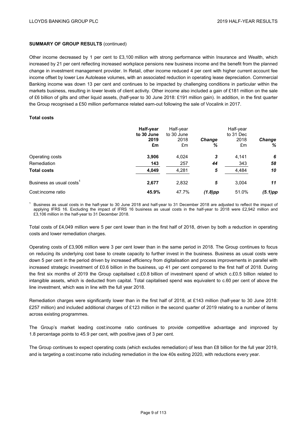Other income decreased by 1 per cent to £3,100 million with strong performance within Insurance and Wealth, which increased by 21 per cent reflecting increased workplace pensions new business income and the benefit from the planned change in investment management provider. In Retail, other income reduced 4 per cent with higher current account fee income offset by lower Lex Autolease volumes, with an associated reduction in operating lease depreciation. Commercial Banking income was down 13 per cent and continues to be impacted by challenging conditions in particular within the markets business, resulting in lower levels of client activity. Other income also included a gain of £181 million on the sale of £6 billion of gilts and other liquid assets, (half-year to 30 June 2018: £191 million gain). In addition, in the first quarter the Group recognised a £50 million performance related earn-out following the sale of Vocalink in 2017.

## **Total costs**

|                         | Half-year<br>to 30 June<br>2019<br>£m | Half-year<br>to 30 June<br>2018<br>£m | <b>Change</b><br>% | Half-year<br>to 31 Dec<br>2018<br>£m | <b>Change</b><br>℅ |
|-------------------------|---------------------------------------|---------------------------------------|--------------------|--------------------------------------|--------------------|
| Operating costs         | 3,906                                 | 4,024                                 | 3                  | 4,141                                | 6                  |
| Remediation             | 143                                   | 257                                   | 44                 | 343                                  | 58                 |
| <b>Total costs</b>      | 4,049                                 | 4,281                                 | 5                  | 4,484                                | 10                 |
| Business as usual costs | 2,677                                 | 2,832                                 | 5                  | 3,004                                | 11                 |
| Cost:income ratio       | 45.9%                                 | 47.7%                                 | $(1.8)$ pp         | 51.0%                                | $(5.1)$ pp         |

<sup>1</sup> Business as usual costs in the half-year to 30 June 2018 and half-year to 31 December 2018 are adjusted to reflect the impact of applying IFRS 16. Excluding the impact of IFRS 16 business as usual costs in the half-year to 2018 were £2,942 million and £3,106 million in the half-year to 31 December 2018.

Total costs of £4,049 million were 5 per cent lower than in the first half of 2018, driven by both a reduction in operating costs and lower remediation charges.

Operating costs of £3,906 million were 3 per cent lower than in the same period in 2018. The Group continues to focus on reducing its underlying cost base to create capacity to further invest in the business. Business as usual costs were down 5 per cent in the period driven by increased efficiency from digitalisation and process improvements in parallel with increased strategic investment of £0.6 billion in the business, up 41 per cent compared to the first half of 2018. During the first six months of 2019 the Group capitalised c.£0.8 billion of investment spend of which c.£0.5 billion related to intangible assets, which is deducted from capital. Total capitalised spend was equivalent to c.60 per cent of above the line investment, which was in line with the full year 2018.

Remediation charges were significantly lower than in the first half of 2018, at £143 million (half-year to 30 June 2018: £257 million) and included additional charges of £123 million in the second quarter of 2019 relating to a number of items across existing programmes.

The Group's market leading cost:income ratio continues to provide competitive advantage and improved by 1.8 percentage points to 45.9 per cent, with positive jaws of 3 per cent.

The Group continues to expect operating costs (which excludes remediation) of less than £8 billion for the full year 2019, and is targeting a cost:income ratio including remediation in the low 40s exiting 2020, with reductions every year.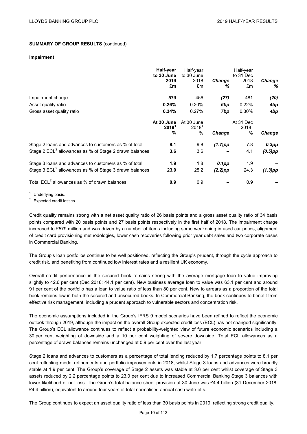#### **Impairment**

|                                                                    | Half-year<br>to 30 June              | Half-year<br>to 30 June        |                    | Half-year<br>to 31 Dec        |                    |
|--------------------------------------------------------------------|--------------------------------------|--------------------------------|--------------------|-------------------------------|--------------------|
|                                                                    | 2019<br>£m                           | 2018<br>£m                     | <b>Change</b><br>℅ | 2018<br>£m                    | <b>Change</b><br>% |
| Impairment charge                                                  | 579                                  | 456                            | (27)               | 481                           | (20)               |
| Asset quality ratio                                                | 0.26%                                | 0.20%                          | 6bp                | 0.22%                         | 4bp                |
| Gross asset quality ratio                                          | 0.34%                                | 0.27%                          | 7bp                | 0.30%                         | 4bp                |
|                                                                    | At 30 June<br>2019 <sup>1</sup><br>% | At 30 June<br>$2018^1$<br>$\%$ | Change             | At 31 Dec<br>$2018^1$<br>$\%$ | <b>Change</b>      |
| Stage 2 loans and advances to customers as % of total              | 8.1                                  | 9.8                            | $(1.7)$ pp         | 7.8                           | $0.3$ pp           |
| Stage 2 ECL <sup>2</sup> allowances as % of Stage 2 drawn balances | 3.6                                  | 3.6                            |                    | 4.1                           | $(0.5)$ pp         |
| Stage 3 loans and advances to customers as % of total              | 1.9                                  | 1.8                            | 0.1pp              | 1.9                           |                    |
| Stage 3 ECL <sup>2</sup> allowances as % of Stage 3 drawn balances | 23.0                                 | 25.2                           | $(2.2)$ pp         | 24.3                          | $(1.3)$ pp         |
| Total ECL <sup>2</sup> allowances as % of drawn balances           | 0.9                                  | 0.9                            |                    | 0.9                           |                    |

<sup>1</sup> Underlying basis.

<sup>2</sup> Expected credit losses.

Credit quality remains strong with a net asset quality ratio of 26 basis points and a gross asset quality ratio of 34 basis points compared with 20 basis points and 27 basis points respectively in the first half of 2018. The impairment charge increased to £579 million and was driven by a number of items including some weakening in used car prices, alignment of credit card provisioning methodologies, lower cash recoveries following prior year debt sales and two corporate cases in Commercial Banking.

The Group's loan portfolios continue to be well positioned, reflecting the Group's prudent, through the cycle approach to credit risk, and benefiting from continued low interest rates and a resilient UK economy.

Overall credit performance in the secured book remains strong with the average mortgage loan to value improving slightly to 42.6 per cent (Dec 2018: 44.1 per cent). New business average loan to value was 63.1 per cent and around 91 per cent of the portfolio has a loan to value ratio of less than 80 per cent. New to arrears as a proportion of the total book remains low in both the secured and unsecured books. In Commercial Banking, the book continues to benefit from effective risk management, including a prudent approach to vulnerable sectors and concentration risk.

The economic assumptions included in the Group's IFRS 9 model scenarios have been refined to reflect the economic outlook through 2019, although the impact on the overall Group expected credit loss (ECL) has not changed significantly. The Group's ECL allowance continues to reflect a probability-weighted view of future economic scenarios including a 30 per cent weighting of downside and a 10 per cent weighting of severe downside. Total ECL allowances as a percentage of drawn balances remains unchanged at 0.9 per cent over the last year.

Stage 2 loans and advances to customers as a percentage of total lending reduced by 1.7 percentage points to 8.1 per cent reflecting model refinements and portfolio improvements in 2018, whilst Stage 3 loans and advances were broadly stable at 1.9 per cent. The Group's coverage of Stage 2 assets was stable at 3.6 per cent whilst coverage of Stage 3 assets reduced by 2.2 percentage points to 23.0 per cent due to increased Commercial Banking Stage 3 balances with lower likelihood of net loss. The Group's total balance sheet provision at 30 June was £4.4 billion (31 December 2018: £4.4 billion), equivalent to around four years of total normalised annual cash write-offs.

The Group continues to expect an asset quality ratio of less than 30 basis points in 2019, reflecting strong credit quality.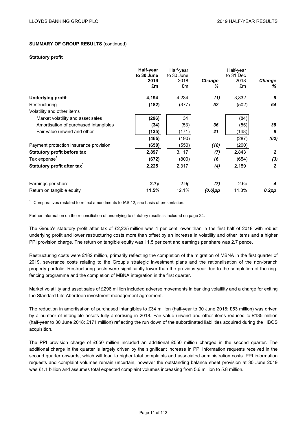#### **Statutory profit**

|                                         | Half-year<br>to 30 June | Half-year<br>to 30 June |             | Half-year<br>to 31 Dec |                |
|-----------------------------------------|-------------------------|-------------------------|-------------|------------------------|----------------|
|                                         | 2019<br>£m              | 2018<br>£m              | Change<br>℅ | 2018<br>£m             | Change<br>%    |
| Underlying profit                       | 4,194                   | 4,234                   | (1)         | 3,832                  | 9              |
| Restructuring                           | (182)                   | (377)                   | 52          | (502)                  | 64             |
| Volatility and other items              |                         |                         |             |                        |                |
| Market volatility and asset sales       | (296)                   | 34                      |             | (84)                   |                |
| Amortisation of purchased intangibles   | (34)                    | (53)                    | 36          | (55)                   | 38             |
| Fair value unwind and other             | (135)                   | (171)                   | 21          | (148)                  | 9              |
|                                         | (465)                   | (190)                   |             | (287)                  | (62)           |
| Payment protection insurance provision  | (650)                   | (550)                   | (18)        | (200)                  |                |
| <b>Statutory profit before tax</b>      | 2,897                   | 3,117                   | (7)         | 2,843                  | $\overline{2}$ |
| Tax expense $1$                         | (672)                   | (800)                   | 16          | (654)                  | (3)            |
| Statutory profit after tax <sup>1</sup> | 2,225                   | 2,317                   | (4)         | 2,189                  | $\overline{2}$ |
| Earnings per share                      | 2.7p                    | 2.9 <sub>p</sub>        | (7)         | 2.6p                   | 4              |
| Return on tangible equity               | 11.5%                   | 12.1%                   | $(0.6)$ pp  | 11.3%                  | $0.2$ pp       |

 $1$  Comparatives restated to reflect amendments to IAS 12, see basis of presentation.

Further information on the reconciliation of underlying to statutory results is included on page 24.

The Group's statutory profit after tax of £2,225 million was 4 per cent lower than in the first half of 2018 with robust underlying profit and lower restructuring costs more than offset by an increase in volatility and other items and a higher PPI provision charge. The return on tangible equity was 11.5 per cent and earnings per share was 2.7 pence.

Restructuring costs were £182 million, primarily reflecting the completion of the migration of MBNA in the first quarter of 2019, severance costs relating to the Group's strategic investment plans and the rationalisation of the non-branch property portfolio. Restructuring costs were significantly lower than the previous year due to the completion of the ringfencing programme and the completion of MBNA integration in the first quarter.

Market volatility and asset sales of £296 million included adverse movements in banking volatility and a charge for exiting the Standard Life Aberdeen investment management agreement.

The reduction in amortisation of purchased intangibles to £34 million (half-year to 30 June 2018: £53 million) was driven by a number of intangible assets fully amortising in 2018. Fair value unwind and other items reduced to £135 million (half-year to 30 June 2018: £171 million) reflecting the run down of the subordinated liabilities acquired during the HBOS acquisition.

The PPI provision charge of £650 million included an additional £550 million charged in the second quarter. The additional charge in the quarter is largely driven by the significant increase in PPI information requests received in the second quarter onwards, which will lead to higher total complaints and associated administration costs. PPI information requests and complaint volumes remain uncertain, however the outstanding balance sheet provision at 30 June 2019 was £1.1 billion and assumes total expected complaint volumes increasing from 5.6 million to 5.8 million.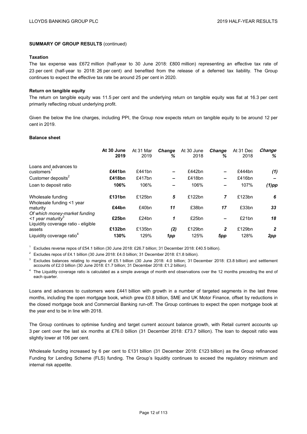#### **Taxation**

The tax expense was £672 million (half-year to 30 June 2018: £800 million) representing an effective tax rate of 23 per cent (half-year to 2018: 26 per cent) and benefited from the release of a deferred tax liability. The Group continues to expect the effective tax rate be around 25 per cent in 2020.

#### **Return on tangible equity**

The return on tangible equity was 11.5 per cent and the underlying return on tangible equity was flat at 16.3 per cent primarily reflecting robust underlying profit.

Given the below the line charges, including PPI, the Group now expects return on tangible equity to be around 12 per cent in 2019.

#### **Balance sheet**

|                                                                                                       | At 30 June<br>2019 | At 31 Mar<br>2019 | <b>Change</b><br>% | At 30 June<br>2018 | <b>Change</b><br>℅ | At 31 Dec<br>2018 | Change<br>℅  |
|-------------------------------------------------------------------------------------------------------|--------------------|-------------------|--------------------|--------------------|--------------------|-------------------|--------------|
| Loans and advances to<br>customers                                                                    | £441bn             | £441bn            | -                  | £442bn             |                    | £444 $bn$         | (1)          |
| Customer deposits <sup>2</sup>                                                                        | £418bn             | £417bn            | -                  | £418bn             | -                  | £416bn            |              |
| Loan to deposit ratio                                                                                 | 106%               | 106%              |                    | 106%               |                    | 107%              | $(1)$ pp     |
| Wholesale funding<br>Wholesale funding <1 year                                                        | £131bn             | £125bn            | 5                  | £122bn             | 7                  | £123bn            | 6            |
| maturity                                                                                              | £44bn              | £40bn             | 11                 | £38bn              | 17                 | £33bn             | 33           |
| Of which money-market funding<br><1 year maturity <sup>3</sup><br>Liquidity coverage ratio - eligible | £25bn              | £24bn             | 1                  | £25bn              |                    | £21bn             | 18           |
| assets                                                                                                | £132bn             | £135bn            | (2)                | £129bn             | $\mathbf{2}$       | £129bn            | $\mathbf{2}$ |
| Liquidity coverage ratio <sup>4</sup>                                                                 | 130%               | 129%              | 1pp                | 125%               | 5pp                | 128%              | 2pp          |

<sup>1</sup> Excludes reverse repos of £54.1 billion (30 June 2018: £26.7 billion; 31 December 2018: £40.5 billion).

<sup>2</sup> Excludes repos of £4.1 billion (30 June 2018: £4.0 billion; 31 December 2018: £1.8 billion).

<sup>3</sup> Excludes balances relating to margins of £5.1 billion (30 June 2018: 4.0 billion; 31 December 2018: £3.8 billion) and settlement accounts of £2.0 billion (30 June 2018: £1.7 billion; 31 December 2018: £1.2 billion).

<sup>4</sup> The Liquidity coverage ratio is calculated as a simple average of month end observations over the 12 months preceding the end of each quarter.

Loans and advances to customers were £441 billion with growth in a number of targeted segments in the last three months, including the open mortgage book, which grew £0.8 billion, SME and UK Motor Finance, offset by reductions in the closed mortgage book and Commercial Banking run-off. The Group continues to expect the open mortgage book at the year end to be in line with 2018.

The Group continues to optimise funding and target current account balance growth, with Retail current accounts up 3 per cent over the last six months at £76.0 billion (31 December 2018: £73.7 billion). The loan to deposit ratio was slightly lower at 106 per cent.

Wholesale funding increased by 6 per cent to £131 billion (31 December 2018: £123 billion) as the Group refinanced Funding for Lending Scheme (FLS) funding. The Group's liquidity continues to exceed the regulatory minimum and internal risk appetite.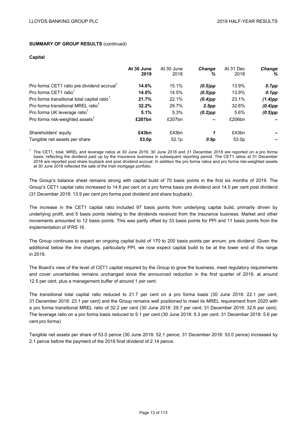#### **Capital**

|                                                         | At 30 June<br>2019 | At 30 June<br>2018 | <b>Change</b><br>% | At 31 Dec<br>2018 | <b>Change</b><br>℅ |
|---------------------------------------------------------|--------------------|--------------------|--------------------|-------------------|--------------------|
| Pro forma CET1 ratio pre dividend accrual <sup>1</sup>  | 14.6%              | 15.1%              | $(0.5)$ pp         | 13.9%             | 0.7pp              |
| Pro forma CET1 ratio <sup>1</sup>                       | 14.0%              | 14.5%              | $(0.5)$ pp         | 13.9%             | $0.1$ pp           |
| Pro forma transitional total capital ratio <sup>1</sup> | 21.7%              | 22.1%              | $(0.4)$ pp         | 23.1%             | $(1.4)$ pp         |
| Pro forma transitional MREL ratio <sup>1</sup>          | 32.2%              | 29.7%              | 2.5pp              | 32.6%             | $(0.4)$ pp         |
| Pro forma UK leverage ratio <sup>1</sup>                | 5.1%               | 5.3%               | $(0.2)$ pp         | 5.6%              | $(0.5)$ pp         |
| Pro forma risk-weighted assets <sup>1</sup>             | £207bn             | £207bn             |                    | £206bn            |                    |
| Shareholders' equity                                    | £43bn              | £43bn              |                    | £43bn             |                    |
| Tangible net assets per share                           | 53.0p              | 52.1 <sub>p</sub>  | 0.9p               | 53.0 <sub>p</sub> |                    |

 $1$  The CET1, total, MREL and leverage ratios at 30 June 2019, 30 June 2018 and 31 December 2018 are reported on a pro forma basis, reflecting the dividend paid up by the Insurance business in subsequent reporting period. The CET1 ratios at 31 December 2018 are reported post share buyback and post dividend accrual. In addition the pro forma ratios and pro forma risk-weighted assets at 30 June 2018 reflected the sale of the Irish mortgage portfolio.

The Group's balance sheet remains strong with capital build of 70 basis points in the first six months of 2019. The Group's CET1 capital ratio increased to 14.6 per cent on a pro forma basis pre dividend and 14.0 per cent post dividend (31 December 2018: 13.9 per cent pro forma post dividend and share buyback).

The increase in the CET1 capital ratio included 97 basis points from underlying capital build, primarily driven by underlying profit, and 5 basis points relating to the dividends received from the Insurance business. Market and other movements amounted to 12 basis points. This was partly offset by 33 basis points for PPI and 11 basis points from the implementation of IFRS 16.

The Group continues to expect an ongoing capital build of 170 to 200 basis points per annum, pre dividend. Given the additional below the line charges, particularly PPI, we now expect capital build to be at the lower end of this range in 2019.

The Board's view of the level of CET1 capital required by the Group to grow the business, meet regulatory requirements and cover uncertainties remains unchanged since the announced reduction in the first quarter of 2019, at around 12.5 per cent, plus a management buffer of around 1 per cent.

The transitional total capital ratio reduced to 21.7 per cent on a pro forma basis (30 June 2018: 22.1 per cent; 31 December 2018: 23.1 per cent) and the Group remains well positioned to meet its MREL requirement from 2020 with a pro forma transitional MREL ratio of 32.2 per cent (30 June 2018: 29.7 per cent; 31 December 2018: 32.6 per cent). The leverage ratio on a pro forma basis reduced to 5.1 per cent (30 June 2018: 5.3 per cent; 31 December 2018: 5.6 per cent pro forma).

Tangible net assets per share of 53.0 pence (30 June 2018: 52.1 pence; 31 December 2018: 53.0 pence) increased by 2.1 pence before the payment of the 2018 final dividend of 2.14 pence.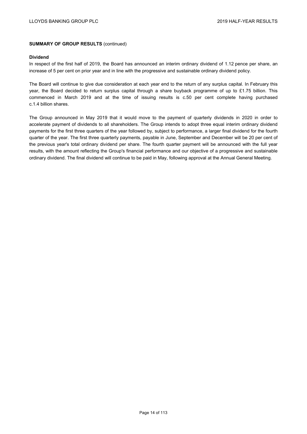#### **Dividend**

In respect of the first half of 2019, the Board has announced an interim ordinary dividend of 1.12 pence per share, an increase of 5 per cent on prior year and in line with the progressive and sustainable ordinary dividend policy.

The Board will continue to give due consideration at each year end to the return of any surplus capital. In February this year, the Board decided to return surplus capital through a share buyback programme of up to £1.75 billion. This commenced in March 2019 and at the time of issuing results is c.50 per cent complete having purchased c.1.4 billion shares.

The Group announced in May 2019 that it would move to the payment of quarterly dividends in 2020 in order to accelerate payment of dividends to all shareholders. The Group intends to adopt three equal interim ordinary dividend payments for the first three quarters of the year followed by, subject to performance, a larger final dividend for the fourth quarter of the year. The first three quarterly payments, payable in June, September and December will be 20 per cent of the previous year's total ordinary dividend per share. The fourth quarter payment will be announced with the full year results, with the amount reflecting the Group's financial performance and our objective of a progressive and sustainable ordinary dividend. The final dividend will continue to be paid in May, following approval at the Annual General Meeting.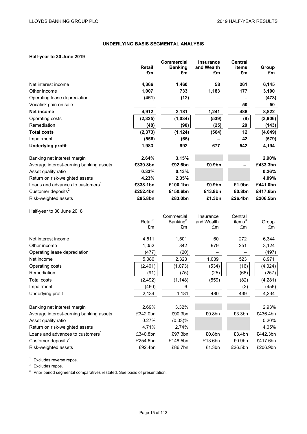# **UNDERLYING BASIS SEGMENTAL ANALYSIS**

# **Half-year to 30 June 2019**

| Hall-year to so Julie 2019                   |                           |                                     |                                |                                |             |
|----------------------------------------------|---------------------------|-------------------------------------|--------------------------------|--------------------------------|-------------|
|                                              | <b>Retail</b>             | <b>Commercial</b><br><b>Banking</b> | <b>Insurance</b><br>and Wealth | <b>Central</b><br><b>items</b> | Group       |
|                                              | £m                        | £m                                  | £m                             | £m                             | £m          |
|                                              |                           |                                     |                                |                                |             |
| Net interest income                          | 4,366                     | 1,460                               | 58                             | 261                            | 6,145       |
| Other income                                 | 1,007                     | 733                                 | 1,183                          | 177                            | 3,100       |
| Operating lease depreciation                 | (461)                     | (12)                                |                                |                                | (473)       |
| Vocalink gain on sale                        |                           | -                                   |                                | 50                             | 50          |
| <b>Net income</b>                            | 4,912                     | 2,181                               | 1,241                          | 488                            | 8,822       |
| Operating costs                              | (2, 325)                  | (1,034)                             | (539)                          | (8)                            | (3,906)     |
| Remediation                                  | (48)                      | (90)                                | (25)                           | 20                             | (143)       |
| <b>Total costs</b>                           | (2, 373)                  | (1, 124)                            | (564)                          | 12                             | (4,049)     |
| Impairment                                   | (556)                     | (65)                                |                                | 42                             | (579)       |
| <b>Underlying profit</b>                     | 1,983                     | 992                                 | 677                            | 542                            | 4,194       |
| Banking net interest margin                  | 2.64%                     | 3.15%                               |                                |                                | 2.90%       |
| Average interest-earning banking assets      | £339.8bn                  | £92.6bn                             | £0.9bn                         |                                | £433.3bn    |
| Asset quality ratio                          | 0.33%                     | 0.13%                               |                                |                                | 0.26%       |
| Return on risk-weighted assets               | 4.23%                     | 2.35%                               |                                |                                | 4.09%       |
| Loans and advances to customers <sup>1</sup> | £338.1bn                  | £100.1bn                            | £0.9bn                         | £1.9bn                         | £441.0bn    |
| Customer deposits <sup>2</sup>               | £252.4bn                  | £150.6bn                            | £13.8bn                        | £0.8bn                         | £417.6bn    |
| Risk-weighted assets                         | £95.8bn                   | £83.0bn                             | £1.3bn                         | £26.4bn                        | £206.5bn    |
| Half-year to 30 June 2018                    |                           |                                     |                                |                                |             |
|                                              |                           | Commercial                          | Insurance                      | Central                        |             |
|                                              | Retail <sup>3</sup><br>£m | Banking <sup>3</sup><br>£m          | and Wealth<br>£m               | items $3$<br>£m                | Group<br>£m |
|                                              |                           |                                     |                                |                                |             |
| Net interest income                          | 4,511                     | 1,501                               | 60                             | 272                            | 6,344       |
| Other income                                 | 1,052                     | 842                                 | 979                            | 251                            | 3,124       |
| Operating lease depreciation                 | (477)                     | (20)                                |                                |                                | (497)       |
| Net income                                   | 5,086                     | 2,323                               | 1,039                          | 523                            | 8,971       |
| Operating costs                              | (2,401)                   | (1,073)                             | (534)                          | (16)                           | (4,024)     |
| Remediation                                  | (91)                      | (75)                                | (25)                           | (66)                           | (257)       |
| <b>Total costs</b>                           | (2, 492)                  | (1, 148)                            | (559)                          | (82)                           | (4,281)     |
| Impairment                                   | (460)                     | 6                                   |                                | (2)                            | (456)       |
| Underlying profit                            | 2,134                     | 1,181                               | 480                            | 439                            | 4,234       |
| Banking net interest margin                  | 2.69%                     | 3.32%                               |                                |                                | 2.93%       |
| Average interest-earning banking assets      | £342.0bn                  | £90.3bn                             | £0.8bn                         | £3.3bn                         | £436.4bn    |
| Asset quality ratio                          | 0.27%                     | (0.03)%                             |                                |                                | 0.20%       |
| Return on risk-weighted assets               | 4.71%                     | 2.74%                               |                                |                                | 4.05%       |
| Loans and advances to customers <sup>1</sup> | £340.8bn                  | £97.3bn                             | £0.8bn                         | £3.4bn                         | £442.3bn    |
| Customer deposits <sup>2</sup>               | £254.6bn                  | £148.5bn                            | £13.6bn                        | £0.9bn                         | £417.6bn    |
| Risk-weighted assets                         | £92.4bn                   | £86.7bn                             | £1.3bn                         | £26.5bn                        | £206.9bn    |

<sup>1</sup> Excludes reverse repos.

<sup>2</sup> Excludes repos.

<sup>3</sup> Prior period segmental comparatives restated. See basis of presentation.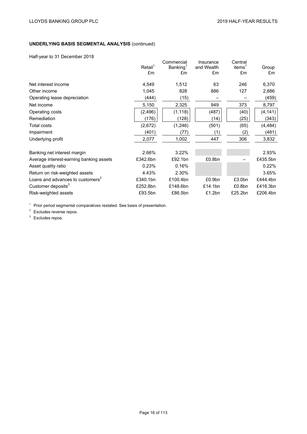# **UNDERLYING BASIS SEGMENTAL ANALYSIS** (continued)

Half-year to 31 December 2018

| Tidli-yedi tu 31 Deceniber zu lo             |                     |                                    |                         |                               |          |
|----------------------------------------------|---------------------|------------------------------------|-------------------------|-------------------------------|----------|
|                                              | Retail <sup>1</sup> | Commercial<br>Banking <sup>1</sup> | Insurance<br>and Wealth | Central<br>items <sup>1</sup> | Group    |
|                                              | £m                  | £m                                 | £m                      | £m                            | £m       |
| Net interest income                          | 4,549               | 1,512                              | 63                      | 246                           | 6,370    |
| Other income                                 | 1,045               | 828                                | 886                     | 127                           | 2,886    |
| Operating lease depreciation                 | (444)               | (15)                               |                         |                               | (459)    |
| Net income                                   | 5,150               | 2,325                              | 949                     | 373                           | 8,797    |
| Operating costs                              | (2, 496)            | (1, 118)                           | (487)                   | (40)                          | (4, 141) |
| Remediation                                  | (176)               | (128)                              | (14)                    | (25)                          | (343)    |
| Total costs                                  | (2,672)             | (1, 246)                           | (501)                   | (65)                          | (4, 484) |
| Impairment                                   | (401)               | (77)                               | (1)                     | (2)                           | (481)    |
| Underlying profit                            | 2,077               | 1,002                              | 447                     | 306                           | 3,832    |
| Banking net interest margin                  | 2.66%               | 3.22%                              |                         |                               | 2.93%    |
| Average interest-earning banking assets      | £342.6bn            | £92.1bn                            | £0.8bn                  |                               | £435.5bn |
| Asset quality ratio                          | 0.23%               | 0.16%                              |                         |                               | 0.22%    |
| Return on risk-weighted assets               | 4.43%               | 2.30%                              |                         |                               | 3.65%    |
| Loans and advances to customers <sup>2</sup> | £340.1bn            | £100.4bn                           | £0.9bn                  | £3.0 <sub>bn</sub>            | £444.4bn |
| Customer deposits <sup>3</sup>               | £252.8bn            | £148.6bn                           | £14.1bn                 | £0.8bn                        | £416.3bn |
| Risk-weighted assets                         | £93.5bn             | £86.5bn                            | £1.2bn                  | £25.2bn                       | £206.4bn |

 $1$  Prior period segmental comparatives restated. See basis of presentation.

 $2$  Excludes reverse repos.

<sup>3</sup> Excludes repos.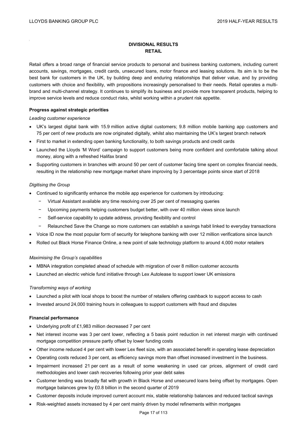# **DIVISIONAL RESULTS RETAIL**

Retail offers a broad range of financial service products to personal and business banking customers, including current accounts, savings, mortgages, credit cards, unsecured loans, motor finance and leasing solutions. Its aim is to be the best bank for customers in the UK, by building deep and enduring relationships that deliver value, and by providing customers with choice and flexibility, with propositions increasingly personalised to their needs. Retail operates a multibrand and multi-channel strategy. It continues to simplify its business and provide more transparent products, helping to improve service levels and reduce conduct risks, whilst working within a prudent risk appetite.

# **Progress against strategic priorities**

#### *Leading customer experience*

- UK's largest digital bank with 15.9 million active digital customers; 9.8 million mobile banking app customers and 75 per cent of new products are now originated digitally, whilst also maintaining the UK's largest branch network
- First to market in extending open banking functionality, to both savings products and credit cards
- Launched the Lloyds 'M Word' campaign to support customers being more confident and comfortable talking about money, along with a refreshed Halifax brand
- Supporting customers in branches with around 50 per cent of customer facing time spent on complex financial needs, resulting in the relationship new mortgage market share improving by 3 percentage points since start of 2018

## *Digitising the Group*

- Continued to significantly enhance the mobile app experience for customers by introducing:
	- − Virtual Assistant available any time resolving over 25 per cent of messaging queries
	- − Upcoming payments helping customers budget better, with over 40 million views since launch
	- − Self-service capability to update address, providing flexibility and control
	- − Relaunched Save the Change so more customers can establish a savings habit linked to everyday transactions
- Voice ID now the most popular form of security for telephone banking with over 12 million verifications since launch
- Rolled out Black Horse Finance Online, a new point of sale technology platform to around 4,000 motor retailers

#### *Maximising the Group's capabilities*

- MBNA integration completed ahead of schedule with migration of over 8 million customer accounts
- Launched an electric vehicle fund initiative through Lex Autolease to support lower UK emissions

# *Transforming ways of working*

- Launched a pilot with local shops to boost the number of retailers offering cashback to support access to cash
- Invested around 24,000 training hours in colleagues to support customers with fraud and disputes

# **Financial performance**

- Underlying profit of £1,983 million decreased 7 per cent
- Net interest income was 3 per cent lower, reflecting a 5 basis point reduction in net interest margin with continued mortgage competition pressure partly offset by lower funding costs
- Other income reduced 4 per cent with lower Lex fleet size, with an associated benefit in operating lease depreciation
- Operating costs reduced 3 per cent, as efficiency savings more than offset increased investment in the business.
- Impairment increased 21 per cent as a result of some weakening in used car prices, alignment of credit card methodologies and lower cash recoveries following prior year debt sales
- Customer lending was broadly flat with growth in Black Horse and unsecured loans being offset by mortgages. Open mortgage balances grew by £0.8 billion in the second quarter of 2019
- Customer deposits include improved current account mix, stable relationship balances and reduced tactical savings
- Risk-weighted assets increased by 4 per cent mainly driven by model refinements within mortgages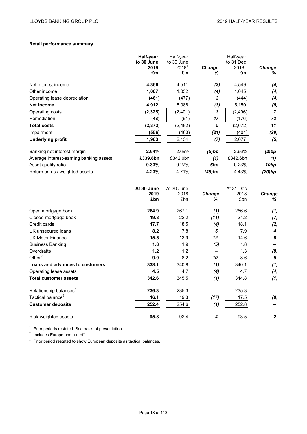# **Retail performance summary**

|                                         | Half-year<br>to 30 June<br>2019<br>£m | Half-year<br>to 30 June<br>2018 <sup>1</sup><br>£m | Change<br>℅              | Half-year<br>to 31 Dec<br>$2018^{\circ}$<br>£m | <b>Change</b><br>% |
|-----------------------------------------|---------------------------------------|----------------------------------------------------|--------------------------|------------------------------------------------|--------------------|
| Net interest income                     | 4,366                                 | 4,511                                              | $(3)$                    | 4,549                                          | (4)                |
| Other income                            | 1,007                                 | 1,052                                              | (4)                      | 1,045                                          | (4)                |
| Operating lease depreciation            | (461)                                 | (477)                                              | 3                        | (444)                                          | (4)                |
| Net income                              | 4,912                                 | 5,086                                              | $(3)$                    | 5,150                                          | (5)                |
| Operating costs                         | (2, 325)                              | (2,401)                                            | 3                        | (2, 496)                                       | $\overline{7}$     |
| Remediation                             | (48)                                  | (91)                                               | 47                       | (176)                                          | 73                 |
| <b>Total costs</b>                      | (2, 373)                              | (2, 492)                                           | 5                        | (2,672)                                        | 11                 |
| Impairment                              | (556)                                 | (460)                                              | (21)                     | (401)                                          | (39)               |
| <b>Underlying profit</b>                | 1,983                                 | 2,134                                              | (7)                      | 2,077                                          | (5)                |
| Banking net interest margin             | 2.64%                                 | 2.69%                                              | (5)bp                    | 2.66%                                          | (2)bp              |
| Average interest-earning banking assets | £339.8bn                              | £342.0bn                                           | (1)                      | £342.6bn                                       | (1)                |
| Asset quality ratio                     | 0.33%                                 | 0.27%                                              | 6 <sub>bp</sub>          | 0.23%                                          | 10 <sub>bp</sub>   |
| Return on risk-weighted assets          | 4.23%                                 | 4.71%                                              | (48)bp                   | 4.43%                                          | (20)bp             |
|                                         | At 30 June<br>2019<br>£bn             | At 30 June<br>2018<br>£bn                          | Change<br>℅              | At 31 Dec<br>2018<br>£bn                       | Change<br>℅        |
| Open mortgage book                      | 264.9                                 | 267.1                                              | (1)                      | 266.6                                          | (1)                |
| Closed mortgage book                    | 19.8                                  | 22.2                                               | (11)                     | 21.2                                           | (7)                |
| Credit cards                            | 17.7                                  | 18.5                                               | (4)                      | 18.1                                           | (2)                |
| UK unsecured loans                      | 8.2                                   | 7.8                                                | 5                        | 7.9                                            | 4                  |
| <b>UK Motor Finance</b>                 | 15.5                                  | 13.9                                               | 12                       | 14.6                                           | 6                  |
| <b>Business Banking</b>                 | 1.8                                   | 1.9                                                | (5)                      | 1.8                                            |                    |
| Overdrafts                              | 1.2                                   | 1.2                                                | $\overline{\phantom{0}}$ | 1.3                                            | (8)                |
| Other $2$                               | 9.0                                   | 8.2                                                | 10                       | 8.6                                            | 5                  |
| Loans and advances to customers         | 338.1                                 | 340.8                                              | (1)                      | 340.1                                          | (1)                |
| Operating lease assets                  | 4.5                                   | 4.7                                                | (4)                      | 4.7                                            | (4)                |
| <b>Total customer assets</b>            | 342.6                                 | 345.5                                              | (1)                      | 344.8                                          | (1)                |
| Relationship balances <sup>3</sup>      | 236.3                                 | 235.3                                              |                          | 235.3                                          |                    |
| Tactical balance <sup>3</sup>           | 16.1                                  | 19.3                                               | (17)                     | 17.5                                           | (8)                |
| <b>Customer deposits</b>                | 252.4                                 | 254.6                                              | (1)                      | 252.8                                          |                    |
| Risk-weighted assets                    | 95.8                                  | 92.4                                               | 4                        | 93.5                                           | $\boldsymbol{2}$   |

<sup>1</sup> Prior periods restated. See basis of presentation.

<sup>2</sup> Includes Europe and run-off.

<sup>3</sup> Prior period restated to show European deposits as tactical balances.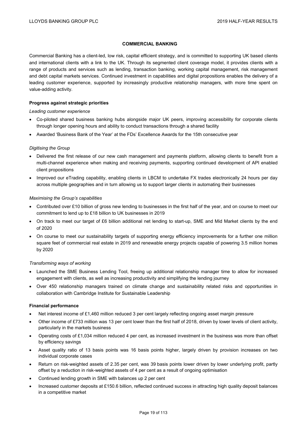# **COMMERCIAL BANKING**

Commercial Banking has a client-led, low risk, capital efficient strategy, and is committed to supporting UK based clients and international clients with a link to the UK. Through its segmented client coverage model, it provides clients with a range of products and services such as lending, transaction banking, working capital management, risk management and debt capital markets services. Continued investment in capabilities and digital propositions enables the delivery of a leading customer experience, supported by increasingly productive relationship managers, with more time spent on value-adding activity.

## **Progress against strategic priorities**

*Leading customer experience* 

- Co-piloted shared business banking hubs alongside major UK peers, improving accessibility for corporate clients through longer opening hours and ability to conduct transactions through a shared facility
- Awarded 'Business Bank of the Year' at the FDs' Excellence Awards for the 15th consecutive year

#### *Digitising the Group*

- Delivered the first release of our new cash management and payments platform, allowing clients to benefit from a multi-channel experience when making and receiving payments, supporting continued development of API enabled client propositions
- Improved our eTrading capability, enabling clients in LBCM to undertake FX trades electronically 24 hours per day across multiple geographies and in turn allowing us to support larger clients in automating their businesses

#### *Maximising the Group's capabilities*

- Contributed over £10 billion of gross new lending to businesses in the first half of the year, and on course to meet our commitment to lend up to £18 billion to UK businesses in 2019
- On track to meet our target of £6 billion additional net lending to start-up, SME and Mid Market clients by the end of 2020
- On course to meet our sustainability targets of supporting energy efficiency improvements for a further one million square feet of commercial real estate in 2019 and renewable energy projects capable of powering 3.5 million homes by 2020

#### *Transforming ways of working*

- Launched the SME Business Lending Tool, freeing up additional relationship manager time to allow for increased engagement with clients, as well as increasing productivity and simplifying the lending journey
- Over 450 relationship managers trained on climate change and sustainability related risks and opportunities in collaboration with Cambridge Institute for Sustainable Leadership

#### **Financial performance**

- Net interest income of £1,460 million reduced 3 per cent largely reflecting ongoing asset margin pressure
- Other income of £733 million was 13 per cent lower than the first half of 2018, driven by lower levels of client activity, particularly in the markets business
- Operating costs of £1,034 million reduced 4 per cent, as increased investment in the business was more than offset by efficiency savings
- Asset quality ratio of 13 basis points was 16 basis points higher, largely driven by provision increases on two individual corporate cases
- Return on risk-weighted assets of 2.35 per cent, was 39 basis points lower driven by lower underlying profit, partly offset by a reduction in risk-weighted assets of 4 per cent as a result of ongoing optimisation
- Continued lending growth in SME with balances up 2 per cent
- Increased customer deposits at £150.6 billion, reflected continued success in attracting high quality deposit balances in a competitive market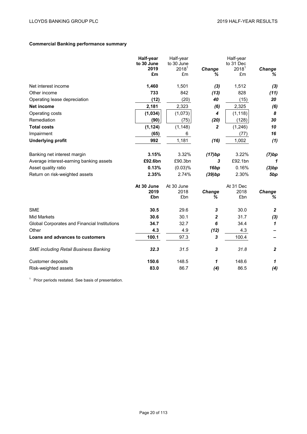# **Commercial Banking performance summary**

|                                              | Half-year          | Half-year              |                | Half-year                      |                  |
|----------------------------------------------|--------------------|------------------------|----------------|--------------------------------|------------------|
|                                              | to 30 June<br>2019 | to 30 June<br>$2018^1$ |                | to 31 Dec<br>2018 <sup>1</sup> |                  |
|                                              | £m                 | £m                     | Change<br>℅    | £m                             | Change<br>%      |
|                                              |                    |                        |                |                                |                  |
| Net interest income                          | 1,460              | 1,501                  | $(3)$          | 1,512                          | (3)              |
| Other income                                 | 733                | 842                    | (13)           | 828                            | (11)             |
| Operating lease depreciation                 | (12)               | (20)                   | 40             | (15)                           | 20               |
| <b>Net income</b>                            | 2,181              | 2,323                  | (6)            | 2,325                          | (6)              |
| Operating costs                              | (1, 034)           | (1,073)                | 4              | (1, 118)                       | 8                |
| Remediation                                  | (90)               | (75)                   | (20)           | (128)                          | 30               |
| <b>Total costs</b>                           | (1, 124)           | (1, 148)               | $\overline{2}$ | (1,246)                        | 10               |
| Impairment                                   | (65)               | 6                      |                | (77)                           | 16               |
| <b>Underlying profit</b>                     | 992                | 1,181                  | (16)           | 1,002                          | (1)              |
|                                              |                    |                        |                |                                |                  |
| Banking net interest margin                  | 3.15%              | 3.32%                  | (17)bp         | 3.22%                          | (7)bp            |
| Average interest-earning banking assets      | £92.6bn            | £90.3bn                | 3              | £92.1bn                        | 1                |
| Asset quality ratio                          | 0.13%              | (0.03)%                | 16bp           | 0.16%                          | (3)bp            |
| Return on risk-weighted assets               | 2.35%              | 2.74%                  | (39)bp         | 2.30%                          | 5bp              |
|                                              | At 30 June         | At 30 June             |                | At 31 Dec                      |                  |
|                                              | 2019               | 2018                   | Change         | 2018                           | Change           |
|                                              | £bn                | £bn                    | ℅              | £bn                            | ℅                |
| <b>SME</b>                                   | 30.5               | 29.6                   | 3              | 30.0                           | $\boldsymbol{2}$ |
| <b>Mid Markets</b>                           | 30.6               | 30.1                   | $\overline{c}$ | 31.7                           | (3)              |
| Global Corporates and Financial Institutions | 34.7               | 32.7                   | 6              | 34.4                           | $\mathbf{1}$     |
| Other                                        | 4.3                | 4.9                    | (12)           | 4.3                            |                  |
| Loans and advances to customers              | 100.1              | 97.3                   | 3              | 100.4                          |                  |
| <b>SME including Retail Business Banking</b> | 32.3               | 31.5                   | 3              | 31.8                           | $\boldsymbol{2}$ |
| Customer deposits                            | 150.6              | 148.5                  | 1              | 148.6                          | $\mathbf{1}$     |
| Risk-weighted assets                         | 83.0               | 86.7                   | (4)            | 86.5                           | (4)              |

<sup>1</sup> Prior periods restated. See basis of presentation.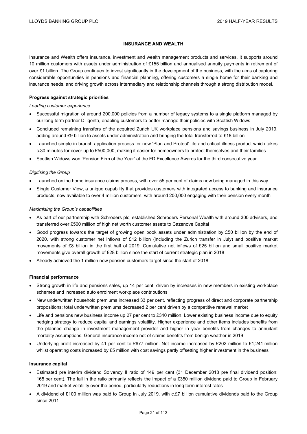# **INSURANCE AND WEALTH**

Insurance and Wealth offers insurance, investment and wealth management products and services. It supports around 10 million customers with assets under administration of £155 billion and annualised annuity payments in retirement of over £1 billion. The Group continues to invest significantly in the development of the business, with the aims of capturing considerable opportunities in pensions and financial planning, offering customers a single home for their banking and insurance needs, and driving growth across intermediary and relationship channels through a strong distribution model.

# **Progress against strategic priorities**

#### *Leading customer experience*

- Successful migration of around 200,000 policies from a number of legacy systems to a single platform managed by our long term partner Diligenta, enabling customers to better manage their policies with Scottish Widows
- Concluded remaining transfers of the acquired Zurich UK workplace pensions and savings business in July 2019, adding around £9 billion to assets under administration and bringing the total transferred to £18 billion
- Launched simple in branch application process for new 'Plan and Protect' life and critical illness product which takes c.30 minutes for cover up to £500,000, making it easier for homeowners to protect themselves and their families
- Scottish Widows won 'Pension Firm of the Year' at the FD Excellence Awards for the third consecutive year

## *Digitising the Group*

- Launched online home insurance claims process, with over 55 per cent of claims now being managed in this way
- Single Customer View, a unique capability that provides customers with integrated access to banking and insurance products, now available to over 4 million customers, with around 200,000 engaging with their pension every month

## *Maximising the Group's capabilities*

- As part of our partnership with Schroders plc, established Schroders Personal Wealth with around 300 advisers, and transferred over £500 million of high net worth customer assets to Cazenove Capital
- Good progress towards the target of growing open book assets under administration by £50 billion by the end of 2020, with strong customer net inflows of £12 billion (including the Zurich transfer in July) and positive market movements of £8 billion in the first half of 2019. Cumulative net inflows of £25 billion and small positive market movements give overall growth of £28 billion since the start of current strategic plan in 2018
- Already achieved the 1 million new pension customers target since the start of 2018

#### **Financial performance**

- Strong growth in life and pensions sales, up 14 per cent, driven by increases in new members in existing workplace schemes and increased auto enrolment workplace contributions
- New underwritten household premiums increased 33 per cent, reflecting progress of direct and corporate partnership propositions; total underwritten premiums decreased 2 per cent driven by a competitive renewal market
- Life and pensions new business income up 27 per cent to £340 million. Lower existing business income due to equity hedging strategy to reduce capital and earnings volatility. Higher experience and other items includes benefits from the planned change in investment management provider and higher in year benefits from changes to annuitant mortality assumptions. General insurance income net of claims benefits from benign weather in 2019
- Underlying profit increased by 41 per cent to £677 million. Net income increased by £202 million to £1,241 million whilst operating costs increased by £5 million with cost savings partly offsetting higher investment in the business

#### **Insurance capital**

- Estimated pre interim dividend Solvency II ratio of 149 per cent (31 December 2018 pre final dividend position: 165 per cent). The fall in the ratio primarily reflects the impact of a £350 million dividend paid to Group in February 2019 and market volatility over the period, particularly reductions in long term interest rates
- A dividend of £100 million was paid to Group in July 2019, with c.£7 billion cumulative dividends paid to the Group since 2011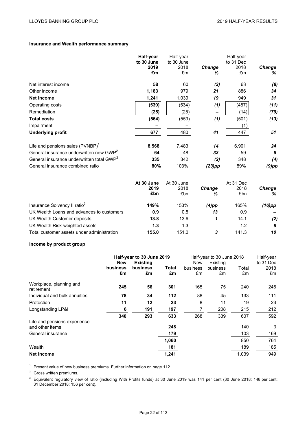# **Insurance and Wealth performance summary**

|                                                       | Half-year<br>to 30 June<br>2019<br>£m | Half-year<br>to 30 June<br>2018<br>£m | Change<br>℅   | Half-year<br>to 31 Dec<br>2018<br>£m | Change<br>℅   |
|-------------------------------------------------------|---------------------------------------|---------------------------------------|---------------|--------------------------------------|---------------|
| Net interest income                                   | 58                                    | 60                                    | (3)           | 63                                   | (8)           |
| Other income                                          | 1,183                                 | 979                                   | 21            | 886                                  | 34            |
| <b>Net income</b>                                     | 1,241                                 | 1,039                                 | 19            | 949                                  | 31            |
| Operating costs                                       | (539)                                 | (534)                                 | (1)           | (487)                                | (11)          |
| Remediation                                           | (25)                                  | (25)                                  |               | (14)                                 | (79)          |
| <b>Total costs</b>                                    | (564)                                 | (559)                                 | (1)           | (501)                                | (13)          |
| Impairment                                            |                                       |                                       |               | (1)                                  |               |
| <b>Underlying profit</b>                              | 677                                   | 480                                   | 41            | 447                                  | 51            |
| Life and pensions sales (PVNBP) <sup>1</sup>          | 8,568                                 | 7,483                                 | 14            | 6,901                                | 24            |
| General insurance underwritten new GWP <sup>2</sup>   | 64                                    | 48                                    | 33            | 59                                   | 8             |
| General insurance underwritten total GWP <sup>2</sup> | 335                                   | 342                                   | (2)           | 348                                  | (4)           |
| General insurance combined ratio                      | 80%                                   | 103%                                  | $(23)$ pp     | 89%                                  | $(9)$ pp      |
|                                                       | At 30 June<br>2019                    | At 30 June<br>2018                    | <b>Change</b> | At 31 Dec<br>2018                    | <b>Change</b> |

|                                            | 2019<br>£bn | 2018  |       | <b>Change</b> | 2018<br>£bn | <b>Change</b><br>% |
|--------------------------------------------|-------------|-------|-------|---------------|-------------|--------------------|
|                                            |             | £bn   | %     |               |             |                    |
| Insurance Solvency II ratio <sup>3</sup>   | 149%        | 153%  | (4)pp | 165%          | (16)pp      |                    |
| UK Wealth Loans and advances to customers  | 0.9         | 0.8   | 13    | 0.9           |             |                    |
| UK Wealth Customer deposits                | 13.8        | 13.6  |       | 14.1          | (2)         |                    |
| UK Wealth Risk-weighted assets             | 1.3         | 1.3   | -     | 1.2           | 8           |                    |
| Total customer assets under administration | 155.0       | 151.0 | 3     | 141.3         | 10          |                    |

# **Income by product group**

|                                                 | Half-year to 30 June 2019 |                 | Half-year to 30 June 2018 |            |          | Half-year |           |
|-------------------------------------------------|---------------------------|-----------------|---------------------------|------------|----------|-----------|-----------|
|                                                 | <b>New</b>                | <b>Existing</b> |                           | <b>New</b> | Existing |           | to 31 Dec |
|                                                 | business                  | business        | Total                     | business   | business | Total     | 2018      |
|                                                 | £m                        | £m              | £m                        | £m         | £m       | £m        | £m        |
| Workplace, planning and<br>retirement           | 245                       | 56              | 301                       | 165        | 75       | 240       | 246       |
| Individual and bulk annuities                   | 78                        | 34              | 112                       | 88         | 45       | 133       | 111       |
| Protection                                      | 11                        | 12              | 23                        | 8          | 11       | 19        | 23        |
| Longstanding LP&I                               | 6                         | 191             | 197                       | 7          | 208      | 215       | 212       |
|                                                 | 340                       | 293             | 633                       | 268        | 339      | 607       | 592       |
| Life and pensions experience<br>and other items |                           |                 | 248                       |            |          | 140       | 3         |
| General insurance                               |                           |                 | 179                       |            |          | 103       | 169       |
|                                                 |                           |                 | 1,060                     |            |          | 850       | 764       |
| Wealth                                          |                           |                 | 181                       |            |          | 189       | 185       |
| Net income                                      |                           |                 | 1,241                     |            |          | 1.039     | 949       |

<sup>1</sup> Present value of new business premiums. Further information on page 112.

<sup>2</sup> Gross written premiums.

 $3$  Equivalent regulatory view of ratio (including With Profits funds) at 30 June 2019 was 141 per cent (30 June 2018: 148 per cent; 31 December 2018: 156 per cent).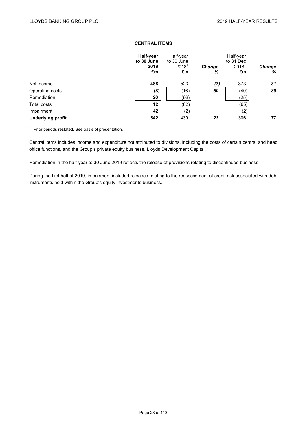# **CENTRAL ITEMS**

| Half-year<br>to 30 June<br>2019 | Half-year<br>to 30 June<br>$2018^1$ | <b>Change</b> | Half-year<br>2018 <sup>1</sup> | Change    |
|---------------------------------|-------------------------------------|---------------|--------------------------------|-----------|
| £m                              | £m                                  | %             | £m                             | %         |
| 488                             | 523                                 | (7)           | 373                            | 31        |
| (8)                             | (16)                                | 50            | (40)                           | 80        |
| 20                              | (66)                                |               | (25)                           |           |
| 12                              | (82)                                |               | (65)                           |           |
| 42                              | (2)                                 |               | (2)                            |           |
| 542                             | 439                                 | 23            | 306                            | 77        |
|                                 |                                     |               |                                | to 31 Dec |

<sup>1</sup> Prior periods restated. See basis of presentation.

Central items includes income and expenditure not attributed to divisions, including the costs of certain central and head office functions, and the Group's private equity business, Lloyds Development Capital.

Remediation in the half-year to 30 June 2019 reflects the release of provisions relating to discontinued business.

During the first half of 2019, impairment included releases relating to the reassessment of credit risk associated with debt instruments held within the Group's equity investments business.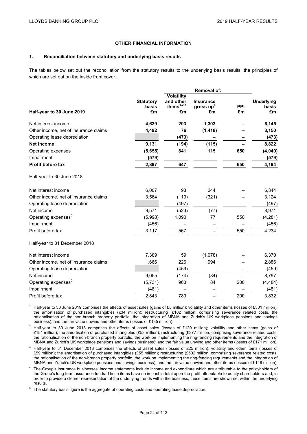## **OTHER FINANCIAL INFORMATION**

#### **1. Reconciliation between statutory and underlying basis results**

The tables below set out the reconciliation from the statutory results to the underlying basis results, the principles of which are set out on the inside front cover.

| Half-year to 30 June 2019             | <b>Statutory</b><br>basis<br>£m | <b>Volatility</b><br>and other<br>items $1,2,3$<br>£m | <b>Insurance</b><br>gross $up4$<br>£m | <b>PPI</b><br>£m | <b>Underlying</b><br>basis<br>£m |
|---------------------------------------|---------------------------------|-------------------------------------------------------|---------------------------------------|------------------|----------------------------------|
| Net interest income                   | 4,639                           | 203                                                   | 1,303                                 |                  | 6,145                            |
| Other income, net of insurance claims | 4,492                           | 76                                                    | (1, 418)                              |                  | 3,150                            |
| Operating lease depreciation          |                                 | (473)                                                 |                                       |                  | (473)                            |
| <b>Net income</b>                     | 9,131                           | (194)                                                 | (115)                                 |                  | 8,822                            |
| Operating expenses <sup>5</sup>       | (5,655)                         | 841                                                   | 115                                   | 650              | (4,049)                          |
| Impairment                            | (579)                           |                                                       |                                       |                  | (579)                            |
| <b>Profit before tax</b>              | 2,897                           | 647                                                   |                                       | 650              | 4,194                            |
| Half-year to 30 June 2018             |                                 |                                                       |                                       |                  |                                  |
| Net interest income                   | 6,007                           | 93                                                    | 244                                   |                  | 6,344                            |
| Other income, net of insurance claims | 3,564                           | (119)                                                 | (321)                                 |                  | 3,124                            |
| Operating lease depreciation          |                                 | (497)                                                 |                                       |                  | (497)                            |
| Net income                            | 9,571                           | (523)                                                 | (77)                                  |                  | 8,971                            |
| Operating expenses <sup>5</sup>       | (5,998)                         | 1,090                                                 | 77                                    | 550              | (4, 281)                         |
| Impairment                            | (456)                           |                                                       |                                       |                  | (456)                            |
| Profit before tax                     | 3,117                           | 567                                                   |                                       | 550              | 4,234                            |
| Half-year to 31 December 2018         |                                 |                                                       |                                       |                  |                                  |
| Net interest income                   | 7,389                           | 59                                                    | (1,078)                               |                  | 6,370                            |
| Other income, net of insurance claims | 1,666                           | 226                                                   | 994                                   |                  | 2,886                            |
| Operating lease depreciation          |                                 | (459)                                                 |                                       |                  | (459)                            |
| Net income                            | 9,055                           | (174)                                                 | (84)                                  |                  | 8,797                            |
| Operating expenses <sup>5</sup>       | (5, 731)                        | 963                                                   | 84                                    | 200              | (4, 484)                         |
| Impairment                            | (481)                           |                                                       |                                       |                  | (481)                            |
| Profit before tax                     | 2,843                           | 789                                                   |                                       | 200              | 3,832                            |

<sup>1</sup> Half-year to 30 June 2019 comprises the effects of asset sales (gains of £5 million); volatility and other items (losses of £301 million); the amortisation of purchased intangibles (£34 million); restructuring (£182 million, comprising severance related costs, the rationalisation of the non-branch property portfolio, the integration of MBNA and Zurich's UK workplace pensions and savings business); and the fair value unwind and other items (losses of £135 million).

<sup>2</sup> Half-year to 30 June 2018 comprises the effects of asset sales (losses of £120 million); volatility and other items (gains of £154 million); the amortisation of purchased intangibles (£53 million); restructuring (£377 million, comprising severance related costs, the rationalisation of the non-branch property portfolio, the work on implementing the ring-fencing requirements and the integration of MBNA and Zurich's UK workplace pensions and savings business); and the fair value unwind and other items (losses of £171 million).

<sup>3</sup> Half-year to 31 December 2018 comprises the effects of asset sales (losses of £25 million); volatility and other items (losses of £59 million); the amortisation of purchased intangibles (£55 million); restructuring (£502 million, comprising severance related costs, the rationalisation of the non-branch property portfolio, the work on implementing the ring-fencing requirements and the integration of MBNA and Zurich's UK workplace pensions and savings business); and the fair value unwind and other items (losses of £148 million).

<sup>4</sup> The Group's insurance businesses' income statements include income and expenditure which are attributable to the policyholders of the Group's long term assurance funds. These items have no impact in total upon the profit attributable to equity shareholders and, in order to provide a clearer representation of the underlying trends within the business, these items are shown net within the underlying results.

The statutory basis figure is the aggregate of operating costs and operating lease depreciation.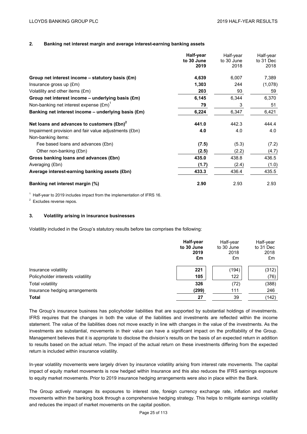# **2. Banking net interest margin and average interest-earning banking assets**

|                                                             | Half-year  | Half-year  | Half-year |
|-------------------------------------------------------------|------------|------------|-----------|
|                                                             | to 30 June | to 30 June | to 31 Dec |
|                                                             | 2019       | 2018       | 2018      |
| Group net interest income $-$ statutory basis $(\text{Em})$ | 4,639      | 6,007      | 7,389     |
| Insurance gross up (£m)                                     | 1,303      | 244        | (1,078)   |
| Volatility and other items (£m)                             | 203        | 93         | 59        |
| Group net interest income - underlying basis (£m)           | 6,145      | 6,344      | 6,370     |
| Non-banking net interest expense $(\text{Em})^1$            | 79         | 3          | 51        |
| Banking net interest income $-$ underlying basis (£m)       | 6,224      | 6,347      | 6,421     |
| Net loans and advances to customers $(\text{Ebn})^2$        | 441.0      | 442.3      | 444.4     |
| Impairment provision and fair value adjustments (£bn)       | 4.0        | 4.0        | 4.0       |
| Non-banking items:                                          |            |            |           |
| Fee based loans and advances (£bn)                          | (7.5)      | (5.3)      | (7.2)     |
| Other non-banking (£bn)                                     | (2.5)      | (2.2)      | (4.7)     |
| Gross banking loans and advances (£bn)                      | 435.0      | 438.8      | 436.5     |
| Averaging (£bn)                                             | (1.7)      | (2.4)      | (1.0)     |
| Average interest-earning banking assets (£bn)               | 433.3      | 436.4      | 435.5     |
| Banking net interest margin (%)                             | 2.90       | 2.93       | 2.93      |

 $1$  Half-year to 2019 includes impact from the implementation of IFRS 16.

<sup>2</sup> Excludes reverse repos.

## **3. Volatility arising in insurance businesses**

Volatility included in the Group's statutory results before tax comprises the following:

|                                   | Half-year<br>to 30 June<br>2019<br>£m | Half-year<br>to 30 June<br>2018<br>£m | Half-year<br>to 31 Dec<br>2018<br>£m |
|-----------------------------------|---------------------------------------|---------------------------------------|--------------------------------------|
| Insurance volatility              | 221                                   | (194)                                 | (312)                                |
| Policyholder interests volatility | 105                                   | 122                                   | (76)                                 |
| Total volatility                  | 326                                   | (72)                                  | (388)                                |
| Insurance hedging arrangements    | (299)                                 | 111                                   | 246                                  |
| <b>Total</b>                      | 27                                    | 39                                    | (142)                                |

The Group's insurance business has policyholder liabilities that are supported by substantial holdings of investments. IFRS requires that the changes in both the value of the liabilities and investments are reflected within the income statement. The value of the liabilities does not move exactly in line with changes in the value of the investments. As the investments are substantial, movements in their value can have a significant impact on the profitability of the Group. Management believes that it is appropriate to disclose the division's results on the basis of an expected return in addition to results based on the actual return. The impact of the actual return on these investments differing from the expected return is included within insurance volatility.

In-year volatility movements were largely driven by insurance volatility arising from interest rate movements. The capital impact of equity market movements is now hedged within Insurance and this also reduces the IFRS earnings exposure to equity market movements. Prior to 2019 insurance hedging arrangements were also in place within the Bank.

The Group actively manages its exposures to interest rate, foreign currency exchange rate, inflation and market movements within the banking book through a comprehensive hedging strategy. This helps to mitigate earnings volatility and reduces the impact of market movements on the capital position.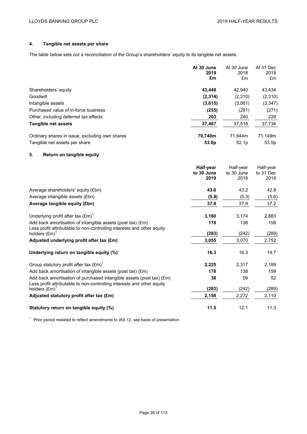# **4. Tangible net assets per share**

The table below sets out a reconciliation of the Group's shareholders' equity to its tangible net assets.

|                                                | At 30 June<br>2019<br>£m | At 30 June<br>2018<br>£m | At 31 Dec<br>2018<br>£m |
|------------------------------------------------|--------------------------|--------------------------|-------------------------|
| Shareholders' equity                           | 43.448                   | 42.940                   | 43.434                  |
| Goodwill                                       | (2, 314)                 | (2,310)                  | (2,310)                 |
| Intangible assets                              | (3,615)                  | (3,061)                  | (3,347)                 |
| Purchased value of in-force business           | (255)                    | (291)                    | (271)                   |
| Other, including deferred tax effects          | 203                      | 240                      | 228                     |
| Tangible net assets                            | 37,467                   | 37,518                   | 37,734                  |
| Ordinary shares in issue, excluding own shares | 70.740m                  | 71.944m                  | 71.149m                 |
| Tangible net assets per share                  | 53.0 <sub>p</sub>        | 52.1 <sub>p</sub>        | 53.0 <sub>p</sub>       |

# **5. Return on tangible equity**

|                                                                                                                                                | Half-year<br>to 30 June<br>2019 | Half-year<br>to 30 June<br>2018 | Half-year<br>to 31 Dec<br>2018 |
|------------------------------------------------------------------------------------------------------------------------------------------------|---------------------------------|---------------------------------|--------------------------------|
| Average shareholders' equity (£bn)                                                                                                             | 43.6                            | 43.2                            | 42.8                           |
| Average intangible assets (£bn)                                                                                                                | (5.8)                           | (5.3)                           | (5.6)                          |
| Average tangible equity (£bn)                                                                                                                  | 37.8                            | 37.9                            | 37.2                           |
| Underlying profit after tax $(\text{Em})^1$                                                                                                    | 3,160                           | 3,174                           | 2,883                          |
| Add back amortisation of intangible assets (post tax) (£m)                                                                                     | 178                             | 138                             | 158                            |
| Less profit attributable to non-controlling interests and other equity<br>holders $(\text{Em})^1$                                              | (283)                           | (242)                           | (289)                          |
| Adjusted underlying profit after tax (£m)                                                                                                      | 3,055                           | 3,070                           | 2,752                          |
| Underlying return on tangible equity (%)                                                                                                       | 16.3                            | 16.3                            | 14.7                           |
| Group statutory profit after tax $(\text{Em})^1$                                                                                               | 2,225                           | 2,317                           | 2,189                          |
| Add back amortisation of intangible assets (post tax) (£m)                                                                                     | 178                             | 138                             | 158                            |
| Add back amortisation of purchased intangible assets (post tax) (£m)<br>Less profit attributable to non-controlling interests and other equity | 38                              | 59                              | 52                             |
| holders $(\text{Em})^1$                                                                                                                        | (283)                           | (242)                           | (289)                          |
| Adjusted statutory profit after tax (£m)                                                                                                       | 2,158                           | 2,272                           | 2,110                          |
| Statutory return on tangible equity (%)                                                                                                        | 11.5                            | 12.1                            | 11.3                           |

<sup>1</sup> Prior period restated to reflect amendments to IAS 12, see basis of presentation.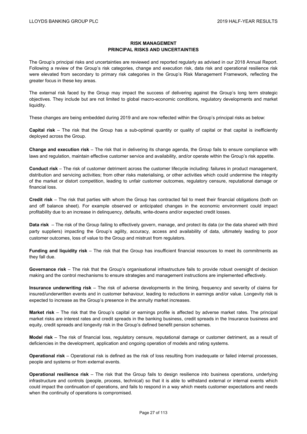# **RISK MANAGEMENT PRINCIPAL RISKS AND UNCERTAINTIES**

The Group's principal risks and uncertainties are reviewed and reported regularly as advised in our 2018 Annual Report. Following a review of the Group's risk categories, change and execution risk, data risk and operational resilience risk were elevated from secondary to primary risk categories in the Group's Risk Management Framework, reflecting the greater focus in these key areas.

The external risk faced by the Group may impact the success of delivering against the Group's long term strategic objectives. They include but are not limited to global macro-economic conditions, regulatory developments and market liquidity.

These changes are being embedded during 2019 and are now reflected within the Group's principal risks as below:

**Capital risk** – The risk that the Group has a sub-optimal quantity or quality of capital or that capital is inefficiently deployed across the Group.

**Change and execution risk** – The risk that in delivering its change agenda, the Group fails to ensure compliance with laws and regulation, maintain effective customer service and availability, and/or operate within the Group's risk appetite.

**Conduct risk** – The risk of customer detriment across the customer lifecycle including: failures in product management, distribution and servicing activities; from other risks materialising, or other activities which could undermine the integrity of the market or distort competition, leading to unfair customer outcomes, regulatory censure, reputational damage or financial loss.

**Credit risk** – The risk that parties with whom the Group has contracted fail to meet their financial obligations (both on and off balance sheet). For example observed or anticipated changes in the economic environment could impact profitability due to an increase in delinquency, defaults, write-downs and/or expected credit losses.

**Data risk** – The risk of the Group failing to effectively govern, manage, and protect its data (or the data shared with third party suppliers) impacting the Group's agility, accuracy, access and availability of data, ultimately leading to poor customer outcomes, loss of value to the Group and mistrust from regulators.

**Funding and liquidity risk** – The risk that the Group has insufficient financial resources to meet its commitments as they fall due.

**Governance risk** – The risk that the Group's organisational infrastructure fails to provide robust oversight of decision making and the control mechanisms to ensure strategies and management instructions are implemented effectively.

**Insurance underwriting risk** – The risk of adverse developments in the timing, frequency and severity of claims for insured/underwritten events and in customer behaviour, leading to reductions in earnings and/or value. Longevity risk is expected to increase as the Group's presence in the annuity market increases.

**Market risk** – The risk that the Group's capital or earnings profile is affected by adverse market rates. The principal market risks are interest rates and credit spreads in the banking business, credit spreads in the Insurance business and equity, credit spreads and longevity risk in the Group's defined benefit pension schemes.

**Model risk** – The risk of financial loss, regulatory censure, reputational damage or customer detriment, as a result of deficiencies in the development, application and ongoing operation of models and rating systems.

**Operational risk** – Operational risk is defined as the risk of loss resulting from inadequate or failed internal processes, people and systems or from external events.

**Operational resilience risk** – The risk that the Group fails to design resilience into business operations, underlying infrastructure and controls (people, process, technical) so that it is able to withstand external or internal events which could impact the continuation of operations, and fails to respond in a way which meets customer expectations and needs when the continuity of operations is compromised.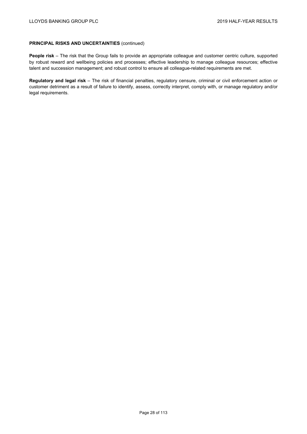## **PRINCIPAL RISKS AND UNCERTAINTIES** (continued)

**People risk** – The risk that the Group fails to provide an appropriate colleague and customer centric culture, supported by robust reward and wellbeing policies and processes; effective leadership to manage colleague resources; effective talent and succession management; and robust control to ensure all colleague-related requirements are met.

**Regulatory and legal risk** – The risk of financial penalties, regulatory censure, criminal or civil enforcement action or customer detriment as a result of failure to identify, assess, correctly interpret, comply with, or manage regulatory and/or legal requirements.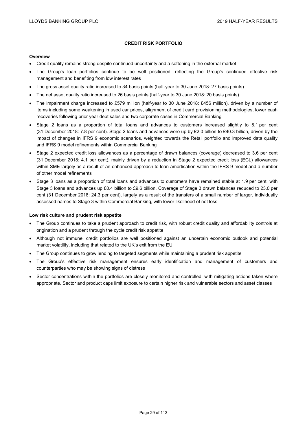# **CREDIT RISK PORTFOLIO**

#### **Overview**

- Credit quality remains strong despite continued uncertainty and a softening in the external market
- The Group's loan portfolios continue to be well positioned, reflecting the Group's continued effective risk management and benefiting from low interest rates
- The gross asset quality ratio increased to 34 basis points (half-year to 30 June 2018: 27 basis points)
- The net asset quality ratio increased to 26 basis points (half-year to 30 June 2018: 20 basis points)
- The impairment charge increased to £579 million (half-year to 30 June 2018: £456 million), driven by a number of items including some weakening in used car prices, alignment of credit card provisioning methodologies, lower cash recoveries following prior year debt sales and two corporate cases in Commercial Banking
- Stage 2 loans as a proportion of total loans and advances to customers increased slightly to 8.1 per cent (31 December 2018: 7.8 per cent). Stage 2 loans and advances were up by £2.0 billion to £40.3 billion, driven by the impact of changes in IFRS 9 economic scenarios, weighted towards the Retail portfolio and improved data quality and IFRS 9 model refinements within Commercial Banking
- Stage 2 expected credit loss allowances as a percentage of drawn balances (coverage) decreased to 3.6 per cent (31 December 2018: 4.1 per cent), mainly driven by a reduction in Stage 2 expected credit loss (ECL) allowances within SME largely as a result of an enhanced approach to loan amortisation within the IFRS 9 model and a number of other model refinements
- Stage 3 loans as a proportion of total loans and advances to customers have remained stable at 1.9 per cent, with Stage 3 loans and advances up £0.4 billion to £9.6 billion. Coverage of Stage 3 drawn balances reduced to 23.0 per cent (31 December 2018: 24.3 per cent), largely as a result of the transfers of a small number of larger, individually assessed names to Stage 3 within Commercial Banking, with lower likelihood of net loss

#### **Low risk culture and prudent risk appetite**

- The Group continues to take a prudent approach to credit risk, with robust credit quality and affordability controls at origination and a prudent through the cycle credit risk appetite
- Although not immune, credit portfolios are well positioned against an uncertain economic outlook and potential market volatility, including that related to the UK's exit from the EU
- The Group continues to grow lending to targeted segments while maintaining a prudent risk appetite
- The Group's effective risk management ensures early identification and management of customers and counterparties who may be showing signs of distress
- Sector concentrations within the portfolios are closely monitored and controlled, with mitigating actions taken where appropriate. Sector and product caps limit exposure to certain higher risk and vulnerable sectors and asset classes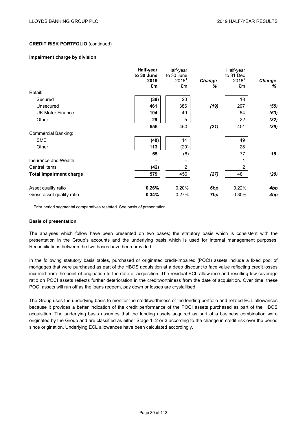#### **Impairment charge by division**

|                                | Half-year          | Half-year                       |        | Half-year                      |               |
|--------------------------------|--------------------|---------------------------------|--------|--------------------------------|---------------|
|                                | to 30 June<br>2019 | to 30 June<br>2018 <sup>1</sup> | Change | to 31 Dec<br>2018 <sup>1</sup> | <b>Change</b> |
|                                | £m                 | £m                              | ℅      | £m                             | ℅             |
| Retail:                        |                    |                                 |        |                                |               |
| Secured                        | (38)               | 20                              |        | 18                             |               |
| Unsecured                      | 461                | 386                             | (19)   | 297                            | (55)          |
| <b>UK Motor Finance</b>        | 104                | 49                              |        | 64                             | (63)          |
| Other                          | 29                 | 5                               |        | 22                             | (32)          |
|                                | 556                | 460                             | (21)   | 401                            | (39)          |
| <b>Commercial Banking:</b>     |                    |                                 |        |                                |               |
| <b>SME</b>                     | (48)               | 14                              |        | 49                             |               |
| Other                          | 113                | (20)                            |        | 28                             |               |
|                                | 65                 | (6)                             |        | 77                             | 16            |
| Insurance and Wealth           |                    |                                 |        | 1                              |               |
| Central items                  | (42)               | $\overline{2}$                  |        | 2                              |               |
| <b>Total impairment charge</b> | 579                | 456                             | (27)   | 481                            | (20)          |
| Asset quality ratio            | 0.26%              | 0.20%                           | 6bp    | 0.22%                          | 4bp           |
| Gross asset quality ratio      | 0.34%              | 0.27%                           | 7bp    | 0.30%                          | 4bp           |

 $1$  Prior period segmental comparatives restated. See basis of presentation.

#### **Basis of presentation**

The analyses which follow have been presented on two bases; the statutory basis which is consistent with the presentation in the Group's accounts and the underlying basis which is used for internal management purposes. Reconciliations between the two bases have been provided.

In the following statutory basis tables, purchased or originated credit-impaired (POCI) assets include a fixed pool of mortgages that were purchased as part of the HBOS acquisition at a deep discount to face value reflecting credit losses incurred from the point of origination to the date of acquisition. The residual ECL allowance and resulting low coverage ratio on POCI assets reflects further deterioration in the creditworthiness from the date of acquisition. Over time, these POCI assets will run off as the loans redeem, pay down or losses are crystallised.

The Group uses the underlying basis to monitor the creditworthiness of the lending portfolio and related ECL allowances because it provides a better indication of the credit performance of the POCI assets purchased as part of the HBOS acquisition. The underlying basis assumes that the lending assets acquired as part of a business combination were originated by the Group and are classified as either Stage 1, 2 or 3 according to the change in credit risk over the period since origination. Underlying ECL allowances have been calculated accordingly.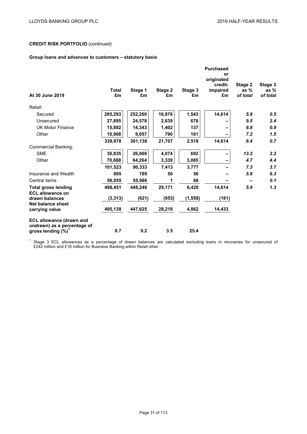# **Group loans and advances to customers – statutory basis**

|                                                                |                    |               |               | <b>Purchased</b><br>or |                                         |                               |                               |
|----------------------------------------------------------------|--------------------|---------------|---------------|------------------------|-----------------------------------------|-------------------------------|-------------------------------|
| At 30 June 2019                                                | <b>Total</b><br>£m | Stage 1<br>£m | Stage 2<br>£m | Stage 3<br>£m          | originated<br>credit-<br>impaired<br>£m | Stage 2<br>as $%$<br>of total | Stage 3<br>as $%$<br>of total |
| Retail:                                                        |                    |               |               |                        |                                         |                               |                               |
| Secured                                                        | 285,293            | 252,260       | 16,876        | 1,543                  | 14,614                                  | 5.9                           | 0.5                           |
| Unsecured                                                      | 27,895             | 24,578        | 2,639         | 678                    |                                         | 9.5                           | 2.4                           |
| <b>UK Motor Finance</b>                                        | 15,882             | 14,343        | 1,402         | 137                    |                                         | 8.8                           | 0.9                           |
| Other                                                          | 10,908             | 9,957         | 790           | 161                    |                                         | 7.2                           | 1.5                           |
|                                                                | 339,978            | 301,138       | 21,707        | 2,519                  | 14,614                                  | 6.4                           | 0.7                           |
| <b>Commercial Banking:</b>                                     |                    |               |               |                        |                                         |                               |                               |
| <b>SME</b>                                                     | 30,835             | 26,069        | 4,074         | 692                    |                                         | 13.2                          | 2.2                           |
| Other                                                          | 70,688             | 64,264        | 3,339         | 3,085                  |                                         | 4.7                           | 4.4                           |
|                                                                | 101,523            | 90,333        | 7,413         | 3,777                  |                                         | 7.3                           | 3.7                           |
| Insurance and Wealth                                           | 895                | 789           | 50            | 56                     |                                         | 5.6                           | 6.3                           |
| Central items                                                  | 56,055             | 55,986        | 1             | 68                     |                                         |                               | 0.1                           |
| <b>Total gross lending</b><br><b>ECL allowance on</b>          | 498.451            | 448.246       | 29,171        | 6,420                  | 14,614                                  | 5.9                           | 1.3                           |
| drawn balances                                                 | (3, 313)           | (621)         | (953)         | (1, 558)               | (181)                                   |                               |                               |
| Net balance sheet<br>carrying value                            | 495,138            | 447,625       | 28,218        | 4,862                  | 14,433                                  |                               |                               |
| <b>ECL allowance (drawn and</b><br>undrawn) as a percentage of |                    |               |               |                        |                                         |                               |                               |
| gross lending $(\%)^1$                                         | 0.7                | 0.2           | 3.5           | 25.4                   |                                         |                               |                               |

 $1$  Stage 3 ECL allowances as a percentage of drawn balances are calculated excluding loans in recoveries for unsecured of £242 million and £18 million for Business Banking within Retail other.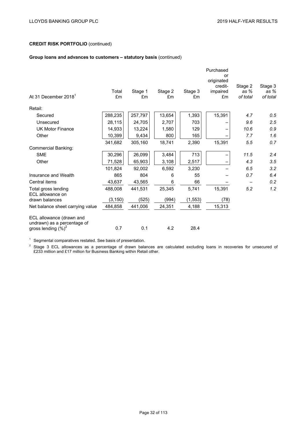# **Group loans and advances to customers – statutory basis** (continued)

|                                                       | Purchased<br>or<br>originated |               |               |               |                |                  |                    |
|-------------------------------------------------------|-------------------------------|---------------|---------------|---------------|----------------|------------------|--------------------|
|                                                       |                               |               |               |               | credit-        | Stage 2          | Stage 3            |
| At 31 December 2018 <sup>1</sup>                      | Total<br>£m                   | Stage 1<br>£m | Stage 2<br>£m | Stage 3<br>£m | impaired<br>£m | as %<br>of total | as $%$<br>of total |
|                                                       |                               |               |               |               |                |                  |                    |
| Retail:                                               |                               |               |               |               |                |                  |                    |
| Secured                                               | 288,235                       | 257,797       | 13,654        | 1,393         | 15,391         | 4.7              | 0.5                |
| Unsecured                                             | 28,115                        | 24,705        | 2,707         | 703           |                | 9.6              | 2.5                |
| <b>UK Motor Finance</b>                               | 14,933                        | 13,224        | 1,580         | 129           |                | 10.6             | 0.9                |
| Other                                                 | 10,399                        | 9,434         | 800           | 165           |                | 7.7              | 1.6                |
|                                                       | 341,682                       | 305,160       | 18,741        | 2,390         | 15,391         | 5.5              | 0.7                |
| <b>Commercial Banking:</b>                            |                               |               |               |               |                |                  |                    |
| <b>SME</b>                                            | 30,296                        | 26,099        | 3,484         | 713           |                | 11.5             | 2.4                |
| Other                                                 | 71,528                        | 65,903        | 3,108         | 2,517         |                | 4.3              | 3.5                |
|                                                       | 101,824                       | 92,002        | 6,592         | 3,230         |                | 6.5              | 3.2                |
| Insurance and Wealth                                  | 865                           | 804           | 6             | 55            |                | 0.7              | 6.4                |
| Central items                                         | 43,637                        | 43,565        | 6             | 66            |                |                  | 0.2                |
| Total gross lending                                   | 488,008                       | 441,531       | 25,345        | 5,741         | 15,391         | 5.2              | 1.2                |
| ECL allowance on                                      |                               |               |               |               |                |                  |                    |
| drawn balances                                        | (3, 150)                      | (525)         | (994)         | (1, 553)      | (78)           |                  |                    |
| Net balance sheet carrying value                      | 484,858                       | 441,006       | 24,351        | 4,188         | 15,313         |                  |                    |
| ECL allowance (drawn and                              |                               |               |               |               |                |                  |                    |
| undrawn) as a percentage of<br>gross lending $(\%)^2$ | 0.7                           | 0.1           | 4.2           | 28.4          |                |                  |                    |
|                                                       |                               |               |               |               |                |                  |                    |

 $1$  Segmental comparatives restated. See basis of presentation.

 $2$  Stage 3 ECL allowances as a percentage of drawn balances are calculated excluding loans in recoveries for unsecured of £233 million and £17 million for Business Banking within Retail other.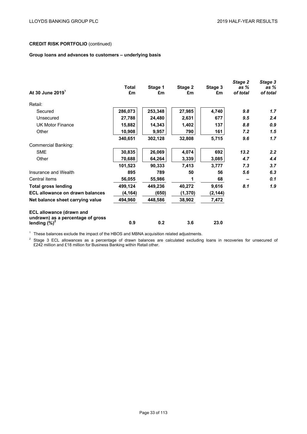# **Group loans and advances to customers – underlying basis**

| Total    | Stage 1 | Stage 2  | Stage 3  | Stage 2<br>as % | Stage 3<br>as %<br>of total |
|----------|---------|----------|----------|-----------------|-----------------------------|
|          |         |          |          |                 |                             |
|          |         |          |          |                 |                             |
| 286,073  | 253,348 | 27,985   | 4,740    | 9.8             | 1.7                         |
| 27,788   | 24,480  | 2,631    | 677      | 9.5             | 2.4                         |
| 15,882   | 14,343  | 1,402    | 137      | 8.8             | 0.9                         |
| 10,908   | 9,957   | 790      | 161      | 7.2             | 1.5                         |
| 340,651  | 302,128 | 32,808   | 5,715    | 9.6             | 1.7                         |
|          |         |          |          |                 |                             |
| 30,835   | 26,069  | 4,074    | 692      | 13.2            | 2.2                         |
| 70,688   | 64,264  | 3,339    | 3,085    | 4.7             | 4.4                         |
| 101,523  | 90,333  | 7,413    | 3,777    | 7.3             | 3.7                         |
| 895      | 789     | 50       | 56       | 5.6             | 6.3                         |
| 56,055   | 55,986  | 1        | 68       |                 | 0.1                         |
| 499,124  | 449,236 | 40,272   | 9,616    | 8.1             | 1.9                         |
| (4, 164) | (650)   | (1, 370) | (2, 144) |                 |                             |
| 494,960  | 448,586 | 38,902   | 7,472    |                 |                             |
| 0.9      | 0.2     | 3.6      | 23.0     |                 |                             |
|          | £m      | £m       | £m       | £m              | of total                    |

<sup>1</sup> These balances exclude the impact of the HBOS and MBNA acquisition related adjustments.

 $2$  Stage 3 ECL allowances as a percentage of drawn balances are calculated excluding loans in recoveries for unsecured of £242 million and £18 million for Business Banking within Retail other.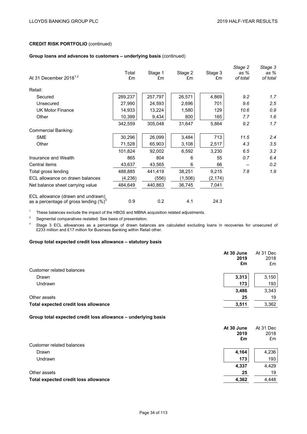# **Group loans and advances to customers – underlying basis** (continued)

| At 31 December 2018 $^{1,2}$                                                   | Total<br>£m | Stage 1<br>£m | Stage 2<br>£m | Stage 3<br>£m | Stage 2<br>as %<br>of total | Stage 3<br>as %<br>of total |
|--------------------------------------------------------------------------------|-------------|---------------|---------------|---------------|-----------------------------|-----------------------------|
| Retail:                                                                        |             |               |               |               |                             |                             |
| Secured                                                                        | 289,237     | 257,797       | 26,571        | 4,869         | 9.2                         | 1.7                         |
| Unsecured                                                                      | 27,990      | 24,593        | 2,696         | 701           | 9.6                         | 2.5                         |
| <b>UK Motor Finance</b>                                                        | 14,933      | 13,224        | 1,580         | 129           | 10.6                        | 0.9                         |
| Other                                                                          | 10,399      | 9,434         | 800           | 165           | 7.7                         | 1.6                         |
|                                                                                | 342,559     | 305,048       | 31,647        | 5,864         | 9.2                         | 1.7                         |
| Commercial Banking:                                                            |             |               |               |               |                             |                             |
| <b>SME</b>                                                                     | 30,296      | 26,099        | 3,484         | 713           | 11.5                        | 2.4                         |
| Other                                                                          | 71,528      | 65,903        | 3,108         | 2,517         | 4.3                         | 3.5                         |
|                                                                                | 101,824     | 92,002        | 6,592         | 3,230         | 6.5                         | 3.2                         |
| Insurance and Wealth                                                           | 865         | 804           | 6             | 55            | 0.7                         | 6.4                         |
| Central items                                                                  | 43,637      | 43,565        | 6             | 66            |                             | 0.2                         |
| Total gross lending                                                            | 488,885     | 441,419       | 38,251        | 9,215         | 7.8                         | 1.9                         |
| ECL allowance on drawn balances                                                | (4,236)     | (556)         | (1,506)       | (2, 174)      |                             |                             |
| Net balance sheet carrying value                                               | 484,649     | 440,863       | 36,745        | 7,041         |                             |                             |
| ECL allowance (drawn and undrawn)<br>as a percentage of gross lending $(\%)^3$ | 0.9         | 0.2           | 4.1           | 24.3          |                             |                             |

<sup>1</sup> These balances exclude the impact of the HBOS and MBNA acquisition related adjustments.

<sup>2</sup> Segmental comparatives restated. See basis of presentation.

<sup>3</sup> Stage 3 ECL allowances as a percentage of drawn balances are calculated excluding loans in recoveries for unsecured of £233 million and £17 million for Business Banking within Retail other.

## **Group total expected credit loss allowance – statutory basis**

|                                      | At 30 June<br>2019<br>£m | At 31 Dec<br>2018<br>£m |
|--------------------------------------|--------------------------|-------------------------|
| Customer related balances            |                          |                         |
| Drawn                                | 3,313                    | 3,150                   |
| Undrawn                              | 173                      | 193                     |
|                                      | 3,486                    | 3,343                   |
| Other assets                         | 25                       | 19                      |
| Total expected credit loss allowance | 3,511                    | 3,362                   |

#### **Group total expected credit loss allowance – underlying basis**

| At 30 June<br>2019                            | At 31 Dec<br>2018 |
|-----------------------------------------------|-------------------|
| £m                                            | £m                |
| Customer related balances                     |                   |
| 4,164<br>Drawn                                | 4,236             |
| Undrawn<br>173                                | 193               |
| 4,337                                         | 4,429             |
| Other assets<br>25                            | 19                |
| Total expected credit loss allowance<br>4,362 | 4,448             |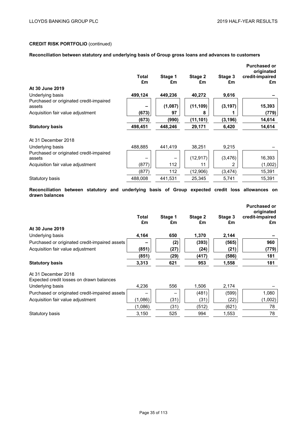# **Reconciliation between statutory and underlying basis of Group gross loans and advances to customers**

|                                                                                                   | Total<br>£m | Stage 1<br>£m | Stage 2<br>£m | Stage 3<br>£m | <b>Purchased or</b><br>originated<br>credit-impaired<br>£m |
|---------------------------------------------------------------------------------------------------|-------------|---------------|---------------|---------------|------------------------------------------------------------|
| At 30 June 2019                                                                                   |             |               |               |               |                                                            |
| Underlying basis                                                                                  | 499,124     | 449,236       | 40,272        | 9,616         |                                                            |
| Purchased or originated credit-impaired<br>assets                                                 |             | (1,087)       | (11, 109)     | (3, 197)      | 15,393                                                     |
| Acquisition fair value adjustment                                                                 | (673)       | 97            | 8             |               | (779)                                                      |
|                                                                                                   | (673)       | (990)         | (11, 101)     | (3, 196)      | 14,614                                                     |
| <b>Statutory basis</b>                                                                            | 498,451     | 448,246       | 29,171        | 6,420         | 14,614                                                     |
| At 31 December 2018                                                                               |             |               |               |               |                                                            |
| Underlying basis                                                                                  | 488,885     | 441,419       | 38,251        | 9,215         |                                                            |
| Purchased or originated credit-impaired<br>assets                                                 |             |               | (12, 917)     | (3, 476)      | 16,393                                                     |
| Acquisition fair value adjustment                                                                 | (877)       | 112           | 11            | 2             | (1,002)                                                    |
|                                                                                                   | (877)       | 112           | (12,906)      | (3, 474)      | 15,391                                                     |
| Statutory basis                                                                                   | 488.008     | 441,531       | 25,345        | 5,741         | 15,391                                                     |
| Reconciliation between statutory and underlying basis of Group expected credit loss allowances on |             |               |               |               |                                                            |

**drawn balances Purchased or**

|                                                                 | Total   | Stage 1 | Stage 2 | Stage 3 | originated<br>credit-impaired |
|-----------------------------------------------------------------|---------|---------|---------|---------|-------------------------------|
|                                                                 | £m      | £m      | £m      | £m      | £m                            |
| At 30 June 2019                                                 |         |         |         |         |                               |
| Underlying basis                                                | 4,164   | 650     | 1,370   | 2,144   |                               |
| Purchased or originated credit-impaired assets                  |         | (2)     | (393)   | (565)   | 960                           |
| Acquisition fair value adjustment                               | (851)   | (27)    | (24)    | (21)    | (779)                         |
|                                                                 | (851)   | (29)    | (417)   | (586)   | 181                           |
| <b>Statutory basis</b>                                          | 3,313   | 621     | 953     | 1,558   | 181                           |
| At 31 December 2018<br>Expected credit losses on drawn balances |         |         |         |         |                               |
| Underlying basis                                                | 4,236   | 556     | 1,506   | 2,174   |                               |
| Purchased or originated credit-impaired assets                  |         |         | (481)   | (599)   | 1,080                         |
| Acquisition fair value adjustment                               | (1,086) | (31)    | (31)    | (22)    | (1,002)                       |
|                                                                 | (1.086) | (31)    | (512)   | (621)   | 78                            |
| Statutory basis                                                 | 3,150   | 525     | 994     | 1,553   | 78                            |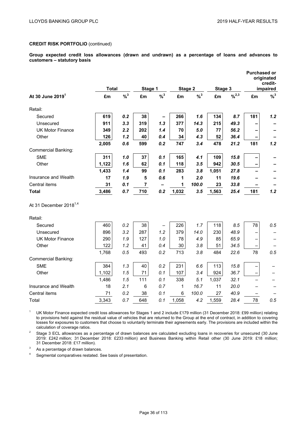**Group expected credit loss allowances (drawn and undrawn) as a percentage of loans and advances to customers – statutory basis** 

|                                    |              |          |                |                            |         |          |         |       | <b>Purchased or</b> | originated<br>credit- |
|------------------------------------|--------------|----------|----------------|----------------------------|---------|----------|---------|-------|---------------------|-----------------------|
|                                    | <b>Total</b> |          | Stage 1        |                            | Stage 2 |          | Stage 3 |       |                     | impaired              |
| At 30 June 2019 <sup>1</sup>       | £m           | $% ^{3}$ | £m             | $\frac{9}{6}$ <sup>3</sup> | £m      | $% ^{3}$ | £m      | 9/2,3 | £m                  | $% ^{3}$              |
| Retail:                            |              |          |                |                            |         |          |         |       |                     |                       |
| Secured                            | 619          | 0.2      | 38             |                            | 266     | 1.6      | 134     | 8.7   | 181                 | 1.2                   |
| Unsecured                          | 911          | 3.3      | 319            | 1.3                        | 377     | 14.3     | 215     | 49.3  |                     |                       |
| <b>UK Motor Finance</b>            | 349          | 2.2      | 202            | 1.4                        | 70      | 5.0      | 77      | 56.2  |                     |                       |
| Other                              | 126          | 1.2      | 40             | 0.4                        | 34      | 4.3      | 52      | 36.4  | $\qquad \qquad$     |                       |
|                                    | 2,005        | 0.6      | 599            | 0.2                        | 747     | 3.4      | 478     | 21.2  | 181                 | 1.2                   |
| <b>Commercial Banking:</b>         |              |          |                |                            |         |          |         |       |                     |                       |
| <b>SME</b>                         | 311          | 1.0      | 37             | 0.1                        | 165     | 4.1      | 109     | 15.8  |                     |                       |
| Other                              | 1,122        | 1.6      | 62             | 0.1                        | 118     | 3.5      | 942     | 30.5  |                     |                       |
|                                    | 1,433        | 1.4      | 99             | 0.1                        | 283     | 3.8      | 1,051   | 27.8  |                     |                       |
| Insurance and Wealth               | 17           | 1.9      | 5              | 0.6                        | 1       | 2.0      | 11      | 19.6  |                     |                       |
| Central items                      | 31           | 0.1      | $\overline{7}$ | -                          | 1       | 100.0    | 23      | 33.8  |                     |                       |
| <b>Total</b>                       | 3,486        | 0.7      | 710            | 0.2                        | 1,032   | 3.5      | 1,563   | 25.4  | 181                 | 1.2                   |
| At 31 December 2018 <sup>1,4</sup> |              |          |                |                            |         |          |         |       |                     |                       |
| Retail:                            |              |          |                |                            |         |          |         |       |                     |                       |
| Secured                            | 460          | 0.2      | 38             |                            | 226     | 1.7      | 118     | 8.5   | 78                  | 0.5                   |
| Unsecured                          | 896          | 3.2      | 287            | 1.2                        | 379     | 14.0     | 230     | 48.9  |                     |                       |
| <b>UK Motor Finance</b>            | 290          | 1.9      | 127            | 1.0                        | 78      | 4.9      | 85      | 65.9  |                     |                       |
| Other                              | 122          | 1.2      | 41             | 0.4                        | 30      | 3.8      | 51      | 34.5  |                     |                       |
|                                    | 1,768        | 0.5      | 493            | 0.2                        | 713     | 3.8      | 484     | 22.6  | 78                  | 0.5                   |
| <b>Commercial Banking:</b>         |              |          |                |                            |         |          |         |       |                     |                       |
| <b>SME</b>                         | 384          | 1.3      | 40             | 0.2                        | 231     | 6.6      | 113     | 15.8  |                     |                       |
| Other                              | 1,102        | 1.5      | 71             | 0.1                        | 107     | 3.4      | 924     | 36.7  |                     |                       |
|                                    | 1,486        | 1.5      | 111            | 0.1                        | 338     | 5.1      | 1,037   | 32.1  |                     |                       |
| Insurance and Wealth               | 18           | 2.1      | 6              | 0.7                        | 1       | 16.7     | 11      | 20.0  |                     |                       |
| Central items                      | 71           | 0.2      | 38             | 0.1                        | 6       | 100.0    | 27      | 40.9  |                     |                       |
| Total                              | 3,343        | 0.7      | 648            | 0.1                        | 1,058   | 4.2      | 1,559   | 28.4  | 78                  | 0.5                   |

<sup>1</sup> UK Motor Finance expected credit loss allowances for Stages 1 and 2 include £179 million (31 December 2018: £99 million) relating to provisions held against the residual value of vehicles that are returned to the Group at the end of contract, in addition to covering losses for exposures to customers that choose to voluntarily terminate their agreements early. The provisions are included within the calculation of coverage ratios.

<sup>2</sup> Stage 3 ECL allowances as a percentage of drawn balances are calculated excluding loans in recoveries for unsecured (30 June 2019: £242 million; 31 December 2018: £233 million) and Business Banking within Retail other (30 June 2019: £18 million; 31 December 2018: £17 million).

 $3$  As a percentage of drawn balances.

<sup>4</sup> Segmental comparatives restated. See basis of presentation.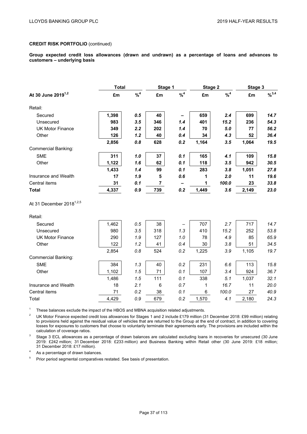**Group expected credit loss allowances (drawn and undrawn) as a percentage of loans and advances to customers – underlying basis** 

|                                      | <b>Total</b> |          | Stage 1        |          | Stage 2 |          | Stage 3 |             |
|--------------------------------------|--------------|----------|----------------|----------|---------|----------|---------|-------------|
| At 30 June 2019 <sup>1,2</sup>       | £m           | $% ^{4}$ | £m             | $% ^{4}$ | £m      | $% ^{4}$ | £m      | $9/6^{3,4}$ |
| Retail:                              |              |          |                |          |         |          |         |             |
| Secured                              | 1,398        | 0.5      | 40             |          | 659     | 2.4      | 699     | 14.7        |
| Unsecured                            | 983          | 3.5      | 346            | 1.4      | 401     | 15.2     | 236     | 54.3        |
| <b>UK Motor Finance</b>              | 349          | 2.2      | 202            | 1.4      | 70      | 5.0      | 77      | 56.2        |
| Other                                | 126          | 1.2      | 40             | 0.4      | 34      | 4.3      | 52      | 36.4        |
|                                      | 2,856        | 0.8      | 628            | 0.2      | 1,164   | 3.5      | 1,064   | 19.5        |
| Commercial Banking:                  |              |          |                |          |         |          |         |             |
| <b>SME</b>                           | 311          | 1.0      | 37             | 0.1      | 165     | 4.1      | 109     | 15.8        |
| Other                                | 1,122        | 1.6      | 62             | 0.1      | 118     | 3.5      | 942     | 30.5        |
|                                      | 1,433        | 1.4      | 99             | 0.1      | 283     | 3.8      | 1,051   | 27.8        |
| Insurance and Wealth                 | 17           | 1.9      | 5              | 0.6      | 1       | 2.0      | 11      | 19.6        |
| Central items                        | 31           | 0.1      | $\overline{7}$ | -        | 1       | 100.0    | 23      | 33.8        |
| <b>Total</b>                         | 4,337        | 0.9      | 739            | 0.2      | 1,449   | 3.6      | 2,149   | 23.0        |
| At 31 December 2018 <sup>1,2,5</sup> |              |          |                |          |         |          |         |             |
| Retail:                              |              |          |                |          |         |          |         |             |
| Secured                              | 1,462        | 0.5      | 38             |          | 707     | 2.7      | 717     | 14.7        |
| Unsecured                            | 980          | 3.5      | 318            | 1.3      | 410     | 15.2     | 252     | 53.8        |
| <b>UK Motor Finance</b>              | 290          | 1.9      | 127            | 1.0      | 78      | 4.9      | 85      | 65.9        |
| Other                                | 122          | 1.2      | 41             | 0.4      | 30      | 3.8      | 51      | 34.5        |
|                                      | 2,854        | 0.8      | 524            | 0.2      | 1,225   | 3.9      | 1,105   | 19.7        |
| <b>Commercial Banking:</b>           |              |          |                |          |         |          |         |             |
| <b>SME</b>                           | 384          | 1.3      | 40             | 0.2      | 231     | 6.6      | 113     | 15.8        |
| Other                                | 1,102        | 1.5      | 71             | 0.1      | 107     | 3.4      | 924     | 36.7        |
|                                      | 1,486        | 1.5      | 111            | 0.1      | 338     | 5.1      | 1,037   | 32.1        |
| Insurance and Wealth                 | 18           | 2.1      | $\,6$          | 0.7      | 1       | 16.7     | 11      | 20.0        |
| Central items                        | 71           | 0.2      | 38             | 0.1      | 6       | 100.0    | 27      | 40.9        |
| Total                                | 4,429        | 0.9      | 679            | 0.2      | 1,570   | 4.1      | 2,180   | 24.3        |

<sup>1</sup> These balances exclude the impact of the HBOS and MBNA acquisition related adjustments.

<sup>2</sup> UK Motor Finance expected credit loss allowances for Stages 1 and 2 include £179 million (31 December 2018: £99 million) relating to provisions held against the residual value of vehicles that are returned to the Group at the end of contract, in addition to covering losses for exposures to customers that choose to voluntarily terminate their agreements early. The provisions are included within the calculation of coverage ratios.

<sup>3</sup> Stage 3 ECL allowances as a percentage of drawn balances are calculated excluding loans in recoveries for unsecured (30 June 2019: £242 million; 31 December 2018: £233 million) and Business Banking within Retail other (30 June 2019: £18 million; 31 December 2018: £17 million).

<sup>4</sup> As a percentage of drawn balances.

<sup>5</sup> Prior period segmental comparatives restated. See basis of presentation.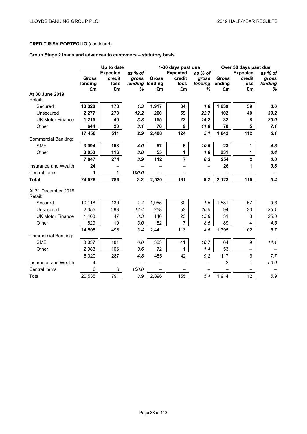# **Group Stage 2 loans and advances to customers – statutory basis**

|                                | Up to date   |                 |         |              | 1-30 days past due |         |              | Over 30 days past due |         |
|--------------------------------|--------------|-----------------|---------|--------------|--------------------|---------|--------------|-----------------------|---------|
|                                |              | <b>Expected</b> | as % of |              | <b>Expected</b>    | as % of |              | <b>Expected</b>       | as % of |
|                                | <b>Gross</b> | credit          | gross   | <b>Gross</b> | credit             | gross   | <b>Gross</b> | credit                | gross   |
|                                | lending      | loss            | lending | lending      | loss               | lending | lending      | loss                  | lending |
|                                | £m           | £m              | %       | £m           | £m                 | ℅       | £m           | £m                    | ℅       |
| At 30 June 2019<br>Retail:     |              |                 |         |              |                    |         |              |                       |         |
| Secured                        | 13,320       | 173             | 1.3     | 1,917        | 34                 | 1.8     | 1,639        | 59                    | 3.6     |
| Unsecured                      | 2,277        | 278             | 12.2    | 260          | 59                 | 22.7    | 102          | 40                    | 39.2    |
| <b>UK Motor Finance</b>        | 1,215        | 40              | 3.3     | 155          | 22                 | 14.2    | 32           | 8                     | 25.0    |
| Other                          | 644          | 20              | 3.1     | 76           | 9                  | 11.8    | 70           | 5                     | 7.1     |
|                                | 17,456       | 511             | 2.9     | 2,408        | 124                | 5.1     | 1,843        | 112                   | 6.1     |
| <b>Commercial Banking:</b>     |              |                 |         |              |                    |         |              |                       |         |
| <b>SME</b>                     | 3,994        | 158             | 4.0     | 57           | 6                  | 10.5    | 23           | 1                     | 4.3     |
| Other                          | 3,053        | 116             | 3.8     | 55           | $\mathbf{1}$       | 1.8     | 231          | 1                     | 0.4     |
|                                | 7,047        | 274             | 3.9     | 112          | $\overline{7}$     | 6.3     | 254          | $\mathbf{2}$          | 0.8     |
| Insurance and Wealth           | 24           |                 |         |              |                    |         | 26           | 1                     | 3.8     |
| Central items                  | 1            | 1               | 100.0   |              |                    |         |              |                       |         |
| <b>Total</b>                   | 24,528       | 786             | 3.2     | 2,520        | 131                | 5.2     | 2,123        | 115                   | 5.4     |
| At 31 December 2018<br>Retail: |              |                 |         |              |                    |         |              |                       |         |
| Secured                        | 10,118       | 139             | 1.4     | 1,955        | 30                 | 1.5     | 1,581        | 57                    | 3.6     |
| Unsecured                      | 2,355        | 293             | 12.4    | 258          | 53                 | 20.5    | 94           | 33                    | 35.1    |
| <b>UK Motor Finance</b>        | 1,403        | 47              | 3.3     | 146          | 23                 | 15.8    | 31           | 8                     | 25.8    |
| Other                          | 629          | 19              | 3.0     | 82           | $\overline{7}$     | 8.5     | 89           | 4                     | 4.5     |
|                                | 14,505       | 498             | 3.4     | 2,441        | 113                | 4.6     | 1,795        | 102                   | 5.7     |
| <b>Commercial Banking:</b>     |              |                 |         |              |                    |         |              |                       |         |
| <b>SME</b>                     | 3,037        | 181             | 6.0     | 383          | 41                 | 10.7    | 64           | 9                     | 14.1    |
| Other                          | 2,983        | 106             | 3.6     | 72           | 1                  | 1.4     | 53           |                       |         |
|                                | 6,020        | 287             | 4.8     | 455          | 42                 | 9.2     | 117          | 9                     | 7.7     |
| Insurance and Wealth           | 4            |                 |         |              |                    |         | 2            | 1                     | 50.0    |
| Central items                  | 6            | 6               | 100.0   |              |                    |         |              |                       |         |
| Total                          | 20,535       | 791             | 3.9     | 2,896        | 155                | 5.4     | 1,914        | 112                   | 5.9     |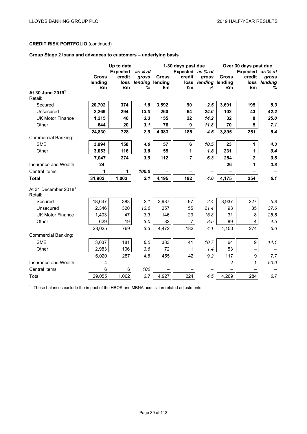# **Group Stage 2 loans and advances to customers – underlying basis**

|                                             | Up to date   |                 |                           |              | 1-30 days past due |                           | Over 30 days past due    |                  |              |  |
|---------------------------------------------|--------------|-----------------|---------------------------|--------------|--------------------|---------------------------|--------------------------|------------------|--------------|--|
|                                             |              | <b>Expected</b> | as % of                   |              | Expected as % of   |                           |                          | Expected as % of |              |  |
|                                             | <b>Gross</b> | credit          | <b>gross</b>              | <b>Gross</b> | credit             | qross                     | <b>Gross</b>             | credit           | qross        |  |
|                                             | lending      | £m              | loss lending lending<br>% | £m           | £m                 | loss lending lending<br>% | £m                       | £m               | loss lending |  |
| At 30 June 2019 <sup>1</sup><br>Retail:     | £m           |                 |                           |              |                    |                           |                          |                  | %            |  |
| Secured                                     | 20,702       | 374             | 1.8                       | 3,592        | 90                 | 2.5                       | 3,691                    | 195              | 5.3          |  |
| Unsecured                                   | 2,269        | 294             | 13.0                      | 260          | 64                 | 24.6                      | 102                      | 43               | 42.2         |  |
| <b>UK Motor Finance</b>                     | 1,215        | 40              | 3.3                       | 155          | 22                 | 14.2                      | 32                       | 8                | 25.0         |  |
| Other                                       | 644          | 20              | 3.1                       | 76           | 9                  | 11.8                      | 70                       | 5                | 7.1          |  |
|                                             | 24,830       | 728             | 2.9                       | 4,083        | 185                | 4.5                       | 3,895                    | 251              | 6.4          |  |
| <b>Commercial Banking:</b>                  |              |                 |                           |              |                    |                           |                          |                  |              |  |
| <b>SME</b>                                  | 3,994        | 158             | 4.0                       | 57           | 6                  | 10.5                      | 23                       | 1                | 4.3          |  |
| Other                                       | 3,053        | 116             | 3.8                       | 55           | 1                  | 1.8                       | 231                      | 1                | 0.4          |  |
|                                             | 7,047        | 274             | 3.9                       | 112          | 7                  | 6.3                       | 254                      | $\overline{2}$   | 0.8          |  |
| Insurance and Wealth                        | 24           |                 |                           |              |                    |                           | 26                       | 1                | 3.8          |  |
| Central items                               | 1            | 1               | 100.0                     |              |                    |                           | $\overline{\phantom{0}}$ |                  |              |  |
| <b>Total</b>                                | 31,902       | 1,003           | 3.1                       | 4,195        | 192                | 4.6                       | 4,175                    | 254              | 6.1          |  |
| At 31 December 2018 <sup>1</sup><br>Retail: |              |                 |                           |              |                    |                           |                          |                  |              |  |
| Secured                                     | 18,647       | 383             | 2.1                       | 3,987        | 97                 | 2.4                       | 3,937                    | 227              | 5.8          |  |
| Unsecured                                   | 2,346        | 320             | 13.6                      | 257          | 55                 | 21.4                      | 93                       | 35               | 37.6         |  |
| <b>UK Motor Finance</b>                     | 1,403        | 47              | 3.3                       | 146          | 23                 | 15.8                      | 31                       | 8                | 25.8         |  |
| Other                                       | 629          | 19              | 3.0                       | 82           | $\overline{7}$     | 8.5                       | 89                       | 4                | 4.5          |  |
|                                             | 23,025       | 769             | 3.3                       | 4,472        | 182                | 4.1                       | 4,150                    | 274              | 6.6          |  |
| Commercial Banking:                         |              |                 |                           |              |                    |                           |                          |                  |              |  |
| <b>SME</b>                                  | 3,037        | 181             | 6.0                       | 383          | 41                 | 10.7                      | 64                       | 9                | 14.1         |  |
| Other                                       | 2,983        | 106             | 3.6                       | 72           | $\mathbf{1}$       | 1.4                       | 53                       |                  |              |  |
|                                             | 6,020        | 287             | 4.8                       | 455          | 42                 | 9.2                       | 117                      | 9                | 7.7          |  |
| Insurance and Wealth                        | 4            |                 |                           |              |                    |                           | $\overline{2}$           | 1                | 50.0         |  |
| Central items                               | 6            | 6               | 100                       |              |                    |                           |                          |                  |              |  |
| Total                                       | 29,055       | 1,062           | 3.7                       | 4,927        | 224                | 4.5                       | 4,269                    | 284              | 6.7          |  |

<sup>1</sup> These balances exclude the impact of the HBOS and MBNA acquisition related adjustments.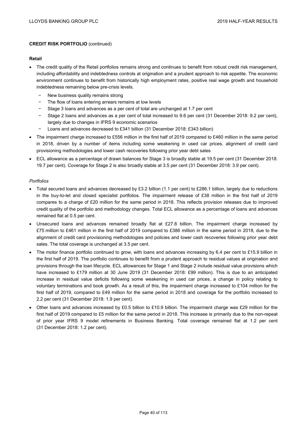### **Retail**

- The credit quality of the Retail portfolios remains strong and continues to benefit from robust credit risk management, including affordability and indebtedness controls at origination and a prudent approach to risk appetite. The economic environment continues to benefit from historically high employment rates, positive real wage growth and household indebtedness remaining below pre-crisis levels.
	- − New business quality remains strong
	- The flow of loans entering arrears remains at low levels
	- Stage 3 loans and advances as a per cent of total are unchanged at 1.7 per cent
	- − Stage 2 loans and advances as a per cent of total increased to 9.6 per cent (31 December 2018: 9.2 per cent), largely due to changes in IFRS 9 economic scenarios
	- − Loans and advances decreased to £341 billion (31 December 2018: £343 billion)
- The impairment charge increased to £556 million in the first half of 2019 compared to £460 million in the same period in 2018, driven by a number of items including some weakening in used car prices, alignment of credit card provisioning methodologies and lower cash recoveries following prior year debt sales
- ECL allowance as a percentage of drawn balances for Stage 3 is broadly stable at 19.5 per cent (31 December 2018: 19.7 per cent). Coverage for Stage 2 is also broadly stable at 3.5 per cent (31 December 2018: 3.9 per cent).

### *Portfolios*

- Total secured loans and advances decreased by £3.2 billion (1.1 per cent) to £286.1 billion, largely due to reductions in the buy-to-let and closed specialist portfolios. The impairment release of £38 million in the first half of 2019 compares to a charge of £20 million for the same period in 2018. This reflects provision releases due to improved credit quality of the portfolio and methodology changes. Total ECL allowance as a percentage of loans and advances remained flat at 0.5 per cent.
- Unsecured loans and advances remained broadly flat at £27.8 billion. The impairment charge increased by £75 million to £461 million in the first half of 2019 compared to £386 million in the same period in 2018, due to the alignment of credit card provisioning methodologies and policies and lower cash recoveries following prior year debt sales. The total coverage is unchanged at 3.5 per cent.
- The motor finance portfolio continued to grow, with loans and advances increasing by 6.4 per cent to £15.9 billion in the first half of 2019. The portfolio continues to benefit from a prudent approach to residual values at origination and provisions through the loan lifecycle. ECL allowances for Stage 1 and Stage 2 include residual value provisions which have increased to £179 million at 30 June 2019 (31 December 2018: £99 million). This is due to an anticipated increase in residual value deficits following some weakening in used car prices, a change in policy relating to voluntary terminations and book growth. As a result of this, the impairment charge increased to £104 million for the first half of 2019, compared to £49 million for the same period in 2018 and coverage for the portfolio increased to 2.2 per cent (31 December 2018: 1.9 per cent).
- Other loans and advances increased by £0.5 billion to £10.9 billion. The impairment charge was £29 million for the first half of 2019 compared to £5 million for the same period in 2018. This increase is primarily due to the non-repeat of prior year IFRS 9 model refinements in Business Banking. Total coverage remained flat at 1.2 per cent (31 December 2018: 1.2 per cent).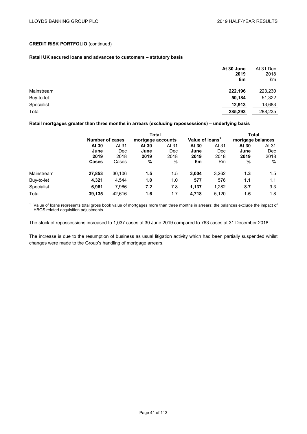## **Retail UK secured loans and advances to customers – statutory basis**

|            | At 30 June<br>2019<br>£m | At 31 Dec<br>2018<br>£m |
|------------|--------------------------|-------------------------|
| Mainstream | 222,196                  | 223,230                 |
| Buy-to-let | 50,184                   | 51,322                  |
| Specialist | 12,913                   | 13,683                  |
| Total      | 285,293                  | 288,235                 |

**Retail mortgages greater than three months in arrears (excluding repossessions) – underlying basis** 

|            |                 |        | <b>Total</b>      |       |                             |       |                   |            |
|------------|-----------------|--------|-------------------|-------|-----------------------------|-------|-------------------|------------|
|            | Number of cases |        | mortgage accounts |       | Value of loans <sup>1</sup> |       | mortgage balances |            |
|            | At 30           | At 31  | At 30             | At 31 |                             | At 31 | At 30             | At 31      |
|            | June            | Dec    | June              | Dec   | June                        | Dec   | June              | <b>Dec</b> |
|            | 2019            | 2018   | 2019              | 2018  | 2019                        | 2018  | 2019              | 2018       |
|            | <b>Cases</b>    | Cases  | %                 | $\%$  | £m                          | £m    | %                 | %          |
| Mainstream | 27,853          | 30,106 | 1.5               | 1.5   | 3,004                       | 3,262 | 1.3               | 1.5        |
| Buy-to-let | 4,321           | 4,544  | 1.0               | 1.0   | 577                         | 576   | 1.1               | 1.1        |
| Specialist | 6,961           | 7,966  | 7.2               | 7.8   | 1,137                       | 1,282 | 8.7               | 9.3        |
| Total      | 39,135          | 42.616 | 1.6               | 1.7   | 4,718                       | 5,120 | 1.6               | 1.8        |

<sup>1</sup> Value of loans represents total gross book value of mortgages more than three months in arrears; the balances exclude the impact of HBOS related acquisition adjustments.

The stock of repossessions increased to 1,037 cases at 30 June 2019 compared to 763 cases at 31 December 2018.

The increase is due to the resumption of business as usual litigation activity which had been partially suspended whilst changes were made to the Group's handling of mortgage arrears.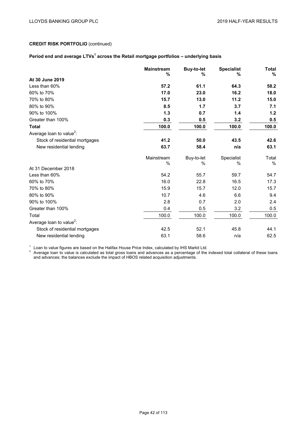## Period end and average LTVs<sup>1</sup> across the Retail mortgage portfolios – underlying basis

|                                      | <b>Mainstream</b><br>% | <b>Buy-to-let</b><br>% | <b>Specialist</b><br>% | <b>Total</b><br>$\%$ |
|--------------------------------------|------------------------|------------------------|------------------------|----------------------|
| At 30 June 2019                      |                        |                        |                        |                      |
| Less than 60%                        | 57.2                   | 61.1                   | 64.3                   | 58.2                 |
| 60% to 70%                           | 17.0                   | 23.0                   | 16.2                   | 18.0                 |
| 70% to 80%                           | 15.7                   | 13.0                   | 11.2                   | 15.0                 |
| 80% to 90%                           | 8.5                    | 1.7                    | 3.7                    | 7.1                  |
| 90% to 100%                          | 1.3                    | 0.7                    | 1.4                    | 1.2                  |
| Greater than 100%                    | 0.3                    | 0.5                    | 3.2                    | 0.5                  |
| <b>Total</b>                         | 100.0                  | 100.0                  | 100.0                  | 100.0                |
| Average loan to value <sup>2</sup> : |                        |                        |                        |                      |
| Stock of residential mortgages       | 41.2                   | 50.0                   | 43.5                   | 42.6                 |
| New residential lending              | 63.7                   | 58.4                   | n/a                    | 63.1                 |
|                                      | Mainstream             | Buy-to-let             | Specialist             | Total                |
| At 31 December 2018                  | $\%$                   | %                      | $\%$                   | %                    |
| Less than 60%                        | 54.2                   | 55.7                   | 59.7                   | 54.7                 |
| 60% to 70%                           | 16.0                   | 22.8                   | 16.5                   | 17.3                 |
| 70% to 80%                           | 15.9                   | 15.7                   | 12.0                   | 15.7                 |
| 80% to 90%                           | 10.7                   | 4.6                    | 6.6                    | 9.4                  |
| 90% to 100%                          | 2.8                    | 0.7                    | 2.0                    | 2.4                  |
| Greater than 100%                    | 0.4                    | 0.5                    | 3.2                    | 0.5                  |
| Total                                | 100.0                  | 100.0                  | 100.0                  | 100.0                |
| Average loan to value <sup>2</sup> : |                        |                        |                        |                      |
| Stock of residential mortgages       | 42.5                   | 52.1                   | 45.8                   | 44.1                 |
| New residential lending              | 63.1                   | 58.6                   | n/a                    | 62.5                 |

 $^1$  Loan to value figures are based on the Halifax House Price Index, calculated by IHS Markit Ltd.<br><sup>2</sup> Average loan to value is calculated as total gross loans and advances as a percentage of the indexed total collatera and advances; the balances exclude the impact of HBOS related acquisition adjustments.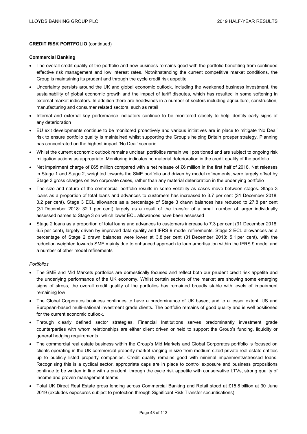### **Commercial Banking**

- The overall credit quality of the portfolio and new business remains good with the portfolio benefiting from continued effective risk management and low interest rates. Notwithstanding the current competitive market conditions, the Group is maintaining its prudent and through the cycle credit risk appetite
- Uncertainty persists around the UK and global economic outlook, including the weakened business investment, the sustainability of global economic growth and the impact of tariff disputes, which has resulted in some softening in external market indicators. In addition there are headwinds in a number of sectors including agriculture, construction, manufacturing and consumer related sectors, such as retail
- Internal and external key performance indicators continue to be monitored closely to help identify early signs of any deterioration
- EU exit developments continue to be monitored proactively and various initiatives are in place to mitigate 'No Deal' risk to ensure portfolio quality is maintained whilst supporting the Group's helping Britain prosper strategy. Planning has concentrated on the highest impact 'No Deal' scenario
- Whilst the current economic outlook remains unclear, portfolios remain well positioned and are subject to ongoing risk mitigation actions as appropriate. Monitoring indicates no material deterioration in the credit quality of the portfolio
- Net impairment charge of £65 million compared with a net release of £6 million in the first half of 2018. Net releases in Stage 1 and Stage 2, weighted towards the SME portfolio and driven by model refinements, were largely offset by Stage 3 gross charges on two corporate cases, rather than any material deterioration in the underlying portfolio
- The size and nature of the commercial portfolio results in some volatility as cases move between stages. Stage 3 loans as a proportion of total loans and advances to customers has increased to 3.7 per cent (31 December 2018: 3.2 per cent). Stage 3 ECL allowance as a percentage of Stage 3 drawn balances has reduced to 27.8 per cent (31 December 2018: 32.1 per cent) largely as a result of the transfer of a small number of larger individually assessed names to Stage 3 on which lower ECL allowances have been assessed
- Stage 2 loans as a proportion of total loans and advances to customers increase to 7.3 per cent (31 December 2018: 6.5 per cent), largely driven by improved data quality and IFRS 9 model refinements. Stage 2 ECL allowances as a percentage of Stage 2 drawn balances were lower at 3.8 per cent (31 December 2018: 5.1 per cent). with the reduction weighted towards SME mainly due to enhanced approach to loan amortisation within the IFRS 9 model and a number of other model refinements

### *Portfolios*

- The SME and Mid Markets portfolios are domestically focused and reflect both our prudent credit risk appetite and the underlying performance of the UK economy. Whilst certain sectors of the market are showing some emerging signs of stress, the overall credit quality of the portfolios has remained broadly stable with levels of impairment remaining low
- The Global Corporates business continues to have a predominance of UK based, and to a lesser extent, US and European-based multi-national investment grade clients. The portfolio remains of good quality and is well positioned for the current economic outlook.
- Through clearly defined sector strategies, Financial Institutions serves predominantly investment grade counterparties with whom relationships are either client driven or held to support the Group's funding, liquidity or general hedging requirements
- The commercial real estate business within the Group's Mid Markets and Global Corporates portfolio is focused on clients operating in the UK commercial property market ranging in size from medium-sized private real estate entities up to publicly listed property companies. Credit quality remains good with minimal impairments/stressed loans. Recognising this is a cyclical sector, appropriate caps are in place to control exposure and business propositions continue to be written in line with a prudent, through the cycle risk appetite with conservative LTVs, strong quality of income and proven management teams
- Total UK Direct Real Estate gross lending across Commercial Banking and Retail stood at £15.8 billion at 30 June 2019 (excludes exposures subject to protection through Significant Risk Transfer securitisations)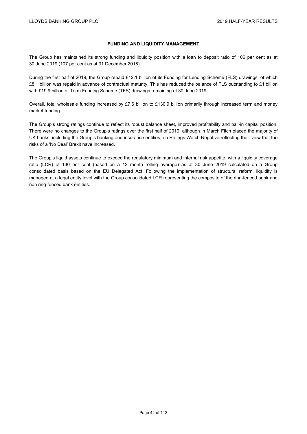# **FUNDING AND LIQUIDITY MANAGEMENT**

The Group has maintained its strong funding and liquidity position with a loan to deposit ratio of 106 per cent as at 30 June 2019 (107 per cent as at 31 December 2018).

During the first half of 2019, the Group repaid £12.1 billion of its Funding for Lending Scheme (FLS) drawings, of which £8.1 billion was repaid in advance of contractual maturity. This has reduced the balance of FLS outstanding to £1 billion with £19.9 billion of Term Funding Scheme (TFS) drawings remaining at 30 June 2019.

Overall, total wholesale funding increased by £7.6 billion to £130.9 billion primarily through increased term and money market funding.

The Group's strong ratings continue to reflect its robust balance sheet, improved profitability and bail-in capital position. There were no changes to the Group's ratings over the first half of 2019, although in March Fitch placed the majority of UK banks, including the Group's banking and insurance entities, on Ratings Watch Negative reflecting their view that the risks of a 'No Deal' Brexit have increased.

The Group's liquid assets continue to exceed the regulatory minimum and internal risk appetite, with a liquidity coverage ratio (LCR) of 130 per cent (based on a 12 month rolling average) as at 30 June 2019 calculated on a Group consolidated basis based on the EU Delegated Act. Following the implementation of structural reform, liquidity is managed at a legal entity level with the Group consolidated LCR representing the composite of the ring-fenced bank and non ring-fenced bank entities.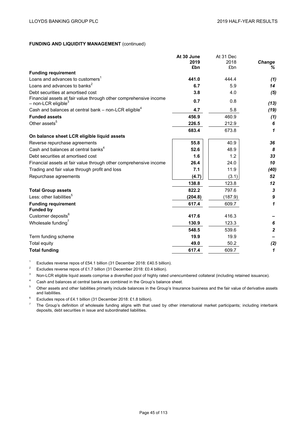|                                                                                                        | At 30 June<br>2019 | At 31 Dec<br>2018 | Change         |
|--------------------------------------------------------------------------------------------------------|--------------------|-------------------|----------------|
|                                                                                                        | £bn                | £bn               | ℅              |
| <b>Funding requirement</b>                                                                             |                    |                   |                |
| Loans and advances to customers <sup>1</sup>                                                           | 441.0              | 444.4             | (1)            |
| Loans and advances to banks <sup>2</sup>                                                               | 6.7                | 5.9               | 14             |
| Debt securities at amortised cost                                                                      | 3.8                | 4.0               | (5)            |
| Financial assets at fair value through other comprehensive income<br>$-$ non-LCR eligible <sup>3</sup> | 0.7                | 0.8               | (13)           |
| Cash and balances at central bank – non-LCR eligible <sup>4</sup>                                      | 4.7                | 5.8               | (19)           |
| <b>Funded assets</b>                                                                                   | 456.9              | 460.9             | (1)            |
| Other assets <sup>5</sup>                                                                              | 226.5              | 212.9             | 6              |
|                                                                                                        | 683.4              | 673.8             | 1              |
| On balance sheet LCR eligible liquid assets                                                            |                    |                   |                |
| Reverse repurchase agreements                                                                          | 55.8               | 40.9              | 36             |
| Cash and balances at central banks <sup>4</sup>                                                        | 52.6               | 48.9              | 8              |
| Debt securities at amortised cost                                                                      | 1.6                | 1.2               | 33             |
| Financial assets at fair value through other comprehensive income                                      | 26.4               | 24.0              | 10             |
| Trading and fair value through profit and loss                                                         | 7.1                | 11.9              | (40)           |
| Repurchase agreements                                                                                  | (4.7)              | (3.1)             | 52             |
|                                                                                                        | 138.8              | 123.8             | 12             |
| <b>Total Group assets</b>                                                                              | 822.2              | 797.6             | 3              |
| Less: other liabilities <sup>5</sup>                                                                   | (204.8)            | (187.9)           | 9              |
| <b>Funding requirement</b>                                                                             | 617.4              | 609.7             | 1              |
| <b>Funded by</b>                                                                                       |                    |                   |                |
| Customer deposits <sup>6</sup>                                                                         | 417.6              | 416.3             |                |
| Wholesale funding <sup>7</sup>                                                                         | 130.9              | 123.3             | 6              |
|                                                                                                        | 548.5              | 539.6             | $\overline{2}$ |
| Term funding scheme                                                                                    | 19.9               | 19.9              |                |
| Total equity                                                                                           | 49.0               | 50.2              | (2)            |
| <b>Total funding</b>                                                                                   | 617.4              | 609.7             | 1              |

<sup>1</sup> Excludes reverse repos of £54.1 billion (31 December 2018: £40.5 billion).<br><sup>2</sup> Excludes reverse repos of £1.7 billion (31 December 2018: £0.4 billion).

Excludes reverse repos of £1.7 billion (31 December 2018: £0.4 billion).

<sup>3</sup> Non-LCR eligible liquid assets comprise a diversified pool of highly rated unencumbered collateral (including retained issuance).

<sup>4</sup> Cash and balances at central banks are combined in the Group's balance sheet.<br><sup>5</sup> Other greate and other linkilities primarily include belances in the Croup's locure

<sup>5</sup> Other assets and other liabilities primarily include balances in the Group's Insurance business and the fair value of derivative assets and liabilities.

<sup>6</sup> Excludes repos of £4.1 billion (31 December 2018: £1.8 billion).<br><sup>7</sup> The Group's definition of wholesale funding aligns with that u

<sup>7</sup> The Group's definition of wholesale funding aligns with that used by other international market participants; including interbank deposits, debt securities in issue and subordinated liabilities.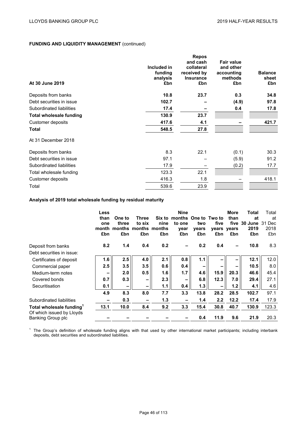|                                |             | <b>Repos</b>     |                   |                |
|--------------------------------|-------------|------------------|-------------------|----------------|
|                                |             | and cash         | <b>Fair value</b> |                |
|                                | Included in | collateral       | and other         |                |
|                                | funding     | received by      | accounting        | <b>Balance</b> |
|                                | analysis    | <b>Insurance</b> | methods           | sheet          |
| At 30 June 2019                | £bn         | £bn              | £bn               | £bn            |
| Deposits from banks            | 10.8        | 23.7             | 0.3               | 34.8           |
| Debt securities in issue       | 102.7       |                  | (4.9)             | 97.8           |
| Subordinated liabilities       | 17.4        |                  | 0.4               | 17.8           |
| <b>Total wholesale funding</b> | 130.9       | 23.7             |                   |                |
| Customer deposits              | 417.6       | 4.1              |                   | 421.7          |
| Total                          | 548.5       | 27.8             |                   |                |
| At 31 December 2018            |             |                  |                   |                |
| Deposits from banks            | 8.3         | 22.1             | (0.1)             | 30.3           |
| Debt securities in issue       | 97.1        |                  | (5.9)             | 91.2           |
| Subordinated liabilities       | 17.9        |                  | (0.2)             | 17.7           |
| Total wholesale funding        | 123.3       | 22.1             |                   |                |
| Customer deposits              | 416.3       | 1.8              |                   | 418.1          |
| Total                          | 539.6       | 23.9             |                   |                |

**Analysis of 2019 total wholesale funding by residual maturity**

|                                                | Less<br>than<br>one<br>month<br>£bn | One to<br>three<br>£bn | Three<br>to six<br>months months months<br>£bn | nine<br>£bn | <b>Nine</b><br>Six to months One to Two to<br>to one<br>year<br>£bn | two<br>vears<br>£bn | five<br>£bn | More<br>than<br>years years<br>£bn | <b>Total</b><br>at<br>five 30 June<br>2019<br>£bn | Total<br>at<br>31 Dec<br>2018<br>£bn |
|------------------------------------------------|-------------------------------------|------------------------|------------------------------------------------|-------------|---------------------------------------------------------------------|---------------------|-------------|------------------------------------|---------------------------------------------------|--------------------------------------|
| Deposit from banks                             | 8.2                                 | 1.4                    | 0.4                                            | 0.2         |                                                                     | 0.2                 | 0.4         | -                                  | 10.8                                              | 8.3                                  |
| Debt securities in issue:                      |                                     |                        |                                                |             |                                                                     |                     |             |                                    |                                                   |                                      |
| Certificates of deposit                        | 1.6                                 | 2.5                    | 4.0                                            | 2.1         | 0.8                                                                 | 1.1                 |             |                                    | 12.1                                              | 12.0                                 |
| Commercial paper                               | 2.5                                 | 3.5                    | 3.5                                            | 0.6         | 0.4                                                                 |                     |             |                                    | 10.5                                              | 8.0                                  |
| Medium-term notes                              |                                     | 2.0                    | 0.5                                            | 1.6         | 1.7                                                                 | 4.6                 | 15.9        | 20.3                               | 46.6                                              | 45.4                                 |
| Covered bonds                                  | 0.7                                 | 0.3                    | -                                              | 2.3         |                                                                     | 6.8                 | 12.3        | 7.0                                | 29.4                                              | 27.1                                 |
| Securitisation                                 | 0.1                                 |                        | -                                              | 1.1         | 0.4                                                                 | 1.3                 |             | 1.2                                | 4.1                                               | 4.6                                  |
|                                                | 4.9                                 | 8.3                    | 8.0                                            | 7.7         | 3.3                                                                 | 13.8                | 28.2        | 28.5                               | 102.7                                             | 97.1                                 |
| Subordinated liabilities                       |                                     | 0.3                    |                                                | 1.3         |                                                                     | 1.4                 | 2.2         | 12.2                               | 17.4                                              | 17.9                                 |
| Total wholesale funding <sup>1</sup>           | 13.1                                | 10.0                   | 8.4                                            | 9.2         | 3.3                                                                 | 15.4                | 30.8        | 40.7                               | 130.9                                             | 123.3                                |
| Of which issued by Lloyds<br>Banking Group plc |                                     |                        |                                                |             |                                                                     | 0.4                 | 11.9        | 9.6                                | 21.9                                              | 20.3                                 |

 $1$  The Group's definition of wholesale funding aligns with that used by other international market participants; including interbank deposits, debt securities and subordinated liabilities.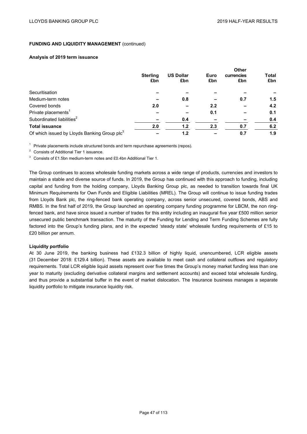### **Analysis of 2019 term issuance**

|                                                          | <b>Sterling</b><br>£bn | <b>US Dollar</b><br>£bn | Euro<br>£bn | <b>Other</b><br>currencies<br>£bn | <b>Total</b><br>£bn |
|----------------------------------------------------------|------------------------|-------------------------|-------------|-----------------------------------|---------------------|
| Securitisation                                           |                        |                         |             |                                   |                     |
| Medium-term notes                                        |                        | 0.8                     |             | 0.7                               | 1.5                 |
| Covered bonds                                            | 2.0                    |                         | 2.2         |                                   | 4.2                 |
| Private placements <sup>1</sup>                          |                        |                         | 0.1         |                                   | 0.1                 |
| Subordinated liabilities <sup>2</sup>                    |                        | 0.4                     |             |                                   | 0.4                 |
| <b>Total issuance</b>                                    | 2.0                    | 1.2                     | 2.3         | 0.7                               | 6.2                 |
| Of which issued by Lloyds Banking Group plc <sup>3</sup> |                        | 1.2                     |             | 0.7                               | 1.9                 |

 $1$  Private placements include structured bonds and term repurchase agreements (repos).

<sup>2</sup> Consists of Additional Tier 1 issuance.

<sup>3</sup> Consists of £1.5bn medium-term notes and £0.4bn Additional Tier 1.

The Group continues to access wholesale funding markets across a wide range of products, currencies and investors to maintain a stable and diverse source of funds. In 2019, the Group has continued with this approach to funding, including capital and funding from the holding company, Lloyds Banking Group plc, as needed to transition towards final UK Minimum Requirements for Own Funds and Eligible Liabilities (MREL). The Group will continue to issue funding trades from Lloyds Bank plc, the ring-fenced bank operating company, across senior unsecured, covered bonds, ABS and RMBS. In the first half of 2019, the Group launched an operating company funding programme for LBCM, the non ringfenced bank, and have since issued a number of trades for this entity including an inaugural five year £500 million senior unsecured public benchmark transaction. The maturity of the Funding for Lending and Term Funding Schemes are fully factored into the Group's funding plans, and in the expected 'steady state' wholesale funding requirements of £15 to £20 billion per annum.

### **Liquidity portfolio**

At 30 June 2019, the banking business had £132.3 billion of highly liquid, unencumbered. LCR eligible assets (31 December 2018: £129.4 billion). These assets are available to meet cash and collateral outflows and regulatory requirements. Total LCR eligible liquid assets represent over five times the Group's money market funding less than one year to maturity (excluding derivative collateral margins and settlement accounts) and exceed total wholesale funding, and thus provide a substantial buffer in the event of market dislocation. The Insurance business manages a separate liquidity portfolio to mitigate insurance liquidity risk.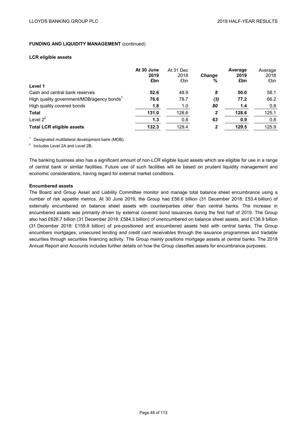#### **LCR eligible assets**

|                                                       | At 30 June<br>2019<br>£bn | At 31 Dec<br>2018<br>£bn | <b>Change</b><br>% | Average<br>2019<br>£bn | Average<br>2018<br>£bn |
|-------------------------------------------------------|---------------------------|--------------------------|--------------------|------------------------|------------------------|
| Level 1                                               |                           |                          |                    |                        |                        |
| Cash and central bank reserves                        | 52.6                      | 48.9                     | 8                  | 50.0                   | 58.1                   |
| High quality government/MDB/agency bonds <sup>1</sup> | 76.6                      | 78.7                     | (3)                | 77.2                   | 66.2                   |
| High quality covered bonds                            | 1.8                       | 1.0                      | 80                 | 1.4                    | 0.8                    |
| <b>Total</b>                                          | 131.0                     | 128.6                    | $\mathbf{2}$       | 128.6                  | 125.1                  |
| Level $2^2$                                           | 1.3                       | 0.8                      | 63                 | 0.9                    | 0.8                    |
| <b>Total LCR eligible assets</b>                      | 132.3                     | 129.4                    | 2                  | 129.5                  | 125.9                  |

 $1$  Designated multilateral development bank (MDB).

<sup>2</sup> Includes Level 2A and Level 2B.

The banking business also has a significant amount of non-LCR eligible liquid assets which are eligible for use in a range of central bank or similar facilities. Future use of such facilities will be based on prudent liquidity management and economic considerations, having regard for external market conditions.

### **Encumbered assets**

The Board and Group Asset and Liability Committee monitor and manage total balance sheet encumbrance using a number of risk appetite metrics. At 30 June 2019, the Group had £56.6 billion (31 December 2018: £53.4 billion) of externally encumbered on balance sheet assets with counterparties other than central banks. The increase in encumbered assets was primarily driven by external covered bond issuances during the first half of 2019. The Group also had £626.7 billion (31 December 2018: £584.3 billion) of unencumbered on balance sheet assets, and £138.9 billion (31 December 2018: £159.8 billion) of pre-positioned and encumbered assets held with central banks. The Group encumbers mortgages, unsecured lending and credit card receivables through the issuance programmes and tradable securities through securities financing activity. The Group mainly positions mortgage assets at central banks. The 2018 Annual Report and Accounts includes further details on how the Group classifies assets for encumbrance purposes.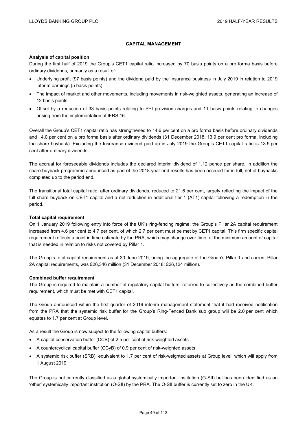# **CAPITAL MANAGEMENT**

### **Analysis of capital position**

During the first half of 2019 the Group's CET1 capital ratio increased by 70 basis points on a pro forma basis before ordinary dividends, primarily as a result of:

- Underlying profit (97 basis points) and the dividend paid by the Insurance business in July 2019 in relation to 2019 interim earnings (5 basis points)
- The impact of market and other movements, including movements in risk-weighted assets, generating an increase of 12 basis points
- Offset by a reduction of 33 basis points relating to PPI provision charges and 11 basis points relating to changes arising from the implementation of IFRS 16

Overall the Group's CET1 capital ratio has strengthened to 14.6 per cent on a pro forma basis before ordinary dividends and 14.0 per cent on a pro forma basis after ordinary dividends (31 December 2018: 13.9 per cent pro forma, including the share buyback). Excluding the Insurance dividend paid up in July 2019 the Group's CET1 capital ratio is 13.9 per cent after ordinary dividends.

The accrual for foreseeable dividends includes the declared interim dividend of 1.12 pence per share. In addition the share buyback programme announced as part of the 2018 year end results has been accrued for in full, net of buybacks completed up to the period end.

The transitional total capital ratio, after ordinary dividends, reduced to 21.6 per cent, largely reflecting the impact of the full share buyback on CET1 capital and a net reduction in additional tier 1 (AT1) capital following a redemption in the period.

### **Total capital requirement**

On 1 January 2019 following entry into force of the UK's ring-fencing regime, the Group's Pillar 2A capital requirement increased from 4.6 per cent to 4.7 per cent, of which 2.7 per cent must be met by CET1 capital. This firm specific capital requirement reflects a point in time estimate by the PRA, which may change over time, of the minimum amount of capital that is needed in relation to risks not covered by Pillar 1.

The Group's total capital requirement as at 30 June 2019, being the aggregate of the Group's Pillar 1 and current Pillar 2A capital requirements, was £26,346 million (31 December 2018: £26,124 million).

### **Combined buffer requirement**

The Group is required to maintain a number of regulatory capital buffers, referred to collectively as the combined buffer requirement, which must be met with CET1 capital.

The Group announced within the first quarter of 2019 interim management statement that it had received notification from the PRA that the systemic risk buffer for the Group's Ring-Fenced Bank sub group will be 2.0 per cent which equates to 1.7 per cent at Group level.

As a result the Group is now subject to the following capital buffers:

- A capital conservation buffer (CCB) of 2.5 per cent of risk-weighted assets
- A countercyclical capital buffer (CCyB) of 0.9 per cent of risk-weighted assets
- A systemic risk buffer (SRB), equivalent to 1.7 per cent of risk-weighted assets at Group level, which will apply from 1 August 2019

The Group is not currently classified as a global systemically important institution (G-SII) but has been identified as an 'other' systemically important institution (O-SII) by the PRA. The O-SII buffer is currently set to zero in the UK.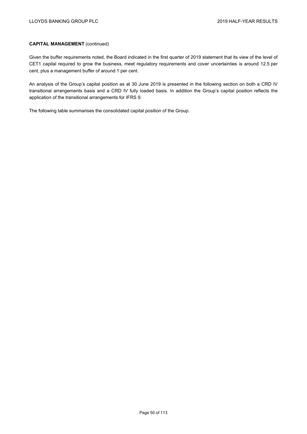Given the buffer requirements noted, the Board indicated in the first quarter of 2019 statement that its view of the level of CET1 capital required to grow the business, meet regulatory requirements and cover uncertainties is around 12.5 per cent, plus a management buffer of around 1 per cent.

An analysis of the Group's capital position as at 30 June 2019 is presented in the following section on both a CRD IV transitional arrangements basis and a CRD IV fully loaded basis. In addition the Group's capital position reflects the application of the transitional arrangements for IFRS 9.

The following table summarises the consolidated capital position of the Group.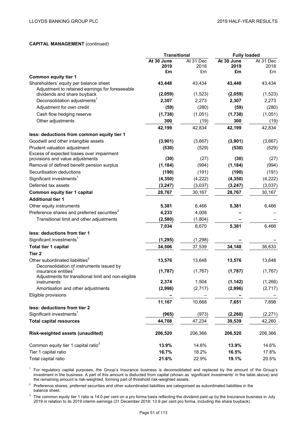|                                                                                           | <b>Transitional</b> |            | <b>Fully loaded</b> |            |
|-------------------------------------------------------------------------------------------|---------------------|------------|---------------------|------------|
|                                                                                           | At 30 June          | At 31 Dec  | At 30 June          | At 31 Dec  |
|                                                                                           | 2019<br>£m          | 2018<br>£m | 2019<br>£m          | 2018<br>£m |
| <b>Common equity tier 1</b>                                                               |                     |            |                     |            |
| Shareholders' equity per balance sheet<br>Adjustment to retained earnings for foreseeable | 43.448              | 43,434     | 43,448              | 43,434     |
| dividends and share buyback                                                               | (2,059)             | (1,523)    | (2,059)             | (1,523)    |
| Deconsolidation adjustments <sup>1</sup>                                                  | 2,307               | 2,273      | 2,307               | 2,273      |
| Adjustment for own credit                                                                 | (59)                | (280)      | (59)                | (280)      |
| Cash flow hedging reserve                                                                 | (1,738)             | (1,051)    | (1,738)             | (1,051)    |
| Other adjustments                                                                         | 300                 | (19)       | 300                 | (19)       |
|                                                                                           | 42,199              | 42,834     | 42,199              | 42,834     |
| less: deductions from common equity tier 1                                                |                     |            |                     |            |
| Goodwill and other intangible assets                                                      | (3,901)             | (3,667)    | (3,901)             | (3,667)    |
| Prudent valuation adjustment                                                              | (530)               | (529)      | (530)               | (529)      |
| Excess of expected losses over impairment                                                 |                     |            |                     |            |
| provisions and value adjustments                                                          | (30)                | (27)       | (30)                | (27)       |
| Removal of defined benefit pension surplus                                                | (1, 184)            | (994)      | (1, 184)            | (994)      |
| Securitisation deductions                                                                 | (190)               | (191)      | (190)               | (191)      |
| Significant investments <sup>1</sup>                                                      | (4, 350)            | (4,222)    | (4, 350)            | (4,222)    |
| Deferred tax assets                                                                       | (3, 247)            | (3,037)    | (3, 247)            | (3,037)    |
| Common equity tier 1 capital                                                              | 28,767              | 30,167     | 28,767              | 30,167     |
| <b>Additional tier 1</b>                                                                  |                     |            |                     |            |
| Other equity instruments                                                                  | 5,381               | 6,466      | 5,381               | 6,466      |
| Preference shares and preferred securities <sup>2</sup>                                   | 4,233               | 4,008      |                     |            |
| Transitional limit and other adjustments                                                  | (2, 580)            | (1,804)    |                     |            |
|                                                                                           | 7,034               | 8,670      | 5,381               | 6,466      |
| less: deductions from tier 1                                                              |                     |            |                     |            |
| Significant investments <sup>1</sup>                                                      | (1, 295)            | (1, 298)   |                     |            |
| Total tier 1 capital                                                                      | 34,506              | 37,539     | 34,148              | 36,633     |
| Tier 2                                                                                    |                     |            |                     |            |
| Other subordinated liabilities <sup>2</sup><br>Deconsolidation of instruments issued by   | 13,576              | 13,648     | 13,576              | 13,648     |
| insurance entities <sup>1</sup><br>Adjustments for transitional limit and non-eligible    | (1,787)             | (1,767)    | (1,787)             | (1,767)    |
| instruments                                                                               | 2,374               | 1,504      | (1, 142)            | (1, 266)   |
| Amortisation and other adjustments                                                        | (2,996)             | (2,717)    | (2,996)             | (2,717)    |
| Eligible provisions                                                                       |                     |            |                     |            |
| less: deductions from tier 2                                                              | 11,167              | 10,668     | 7,651               | 7,898      |
| Significant investments <sup>1</sup>                                                      | (965)               | (973)      | (2, 260)            | (2, 271)   |
| <b>Total capital resources</b>                                                            | 44,708              | 47,234     | 39,539              | 42,260     |
| Risk-weighted assets (unaudited)                                                          | 206,520             | 206,366    | 206,520             | 206,366    |
| Common equity tier 1 capital ratio <sup>3</sup>                                           | 13.9%               | 14.6%      | 13.9%               | 14.6%      |
| Tier 1 capital ratio                                                                      | 16.7%               | 18.2%      | 16.5%               | 17.8%      |
| Total capital ratio                                                                       | 21.6%               | 22.9%      | 19.1%               | 20.5%      |

<sup>1</sup> For regulatory capital purposes, the Group's Insurance business is deconsolidated and replaced by the amount of the Group's investment in the business. A part of this amount is deducted from capital (shown as 'significant investments' in the table above) and the remaining amount is risk-weighted, forming part of threshold risk-weighted assets.

 $2$  Preference shares, preferred securities and other subordinated liabilities are categorised as subordinated liabilities in the balance sheet.

<sup>3</sup> The common equity tier 1 ratio is 14.0 per cent on a pro forma basis reflecting the dividend paid up by the Insurance business in July 2019 in relation to its 2019 interim earnings (31 December 2018: 13.9 per cent pro forma, including the share buyback).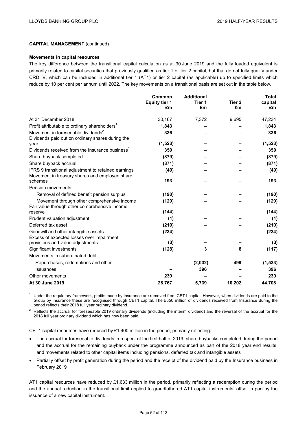#### **Movements in capital resources**

The key difference between the transitional capital calculation as at 30 June 2019 and the fully loaded equivalent is primarily related to capital securities that previously qualified as tier 1 or tier 2 capital, but that do not fully qualify under CRD IV, which can be included in additional tier 1 (AT1) or tier 2 capital (as applicable) up to specified limits which reduce by 10 per cent per annum until 2022. The key movements on a transitional basis are set out in the table below.

|                                                                                              | Common<br><b>Equity tier 1</b><br>£m | <b>Additional</b><br>Tier 1<br>£m | Tier <sub>2</sub><br>£m | <b>Total</b><br>capital<br>£m |
|----------------------------------------------------------------------------------------------|--------------------------------------|-----------------------------------|-------------------------|-------------------------------|
| At 31 December 2018                                                                          | 30,167                               | 7,372                             | 9,695                   | 47,234                        |
| Profit attributable to ordinary shareholders <sup>1</sup>                                    | 1,843                                |                                   |                         | 1,843                         |
| Movement in foreseeable dividends <sup>2</sup>                                               | 336                                  |                                   |                         | 336                           |
| Dividends paid out on ordinary shares during the<br>year                                     | (1, 523)                             |                                   |                         | (1, 523)                      |
| Dividends received from the Insurance business <sup>1</sup>                                  | 350                                  |                                   |                         | 350                           |
| Share buyback completed                                                                      | (879)                                |                                   |                         | (879)                         |
| Share buyback accrual                                                                        | (871)                                |                                   |                         | (871)                         |
| IFRS 9 transitional adjustment to retained earnings                                          | (49)                                 |                                   |                         | (49)                          |
| Movement in treasury shares and employee share<br>schemes                                    | 193                                  |                                   |                         | 193                           |
| Pension movements:                                                                           |                                      |                                   |                         |                               |
| Removal of defined benefit pension surplus                                                   | (190)                                |                                   |                         | (190)                         |
| Movement through other comprehensive income<br>Fair value through other comprehensive income | (129)                                |                                   |                         | (129)                         |
| reserve                                                                                      | (144)                                |                                   |                         | (144)                         |
| Prudent valuation adjustment                                                                 | (1)                                  |                                   |                         | (1)                           |
| Deferred tax asset                                                                           | (210)                                |                                   |                         | (210)                         |
| Goodwill and other intangible assets                                                         | (234)                                |                                   |                         | (234)                         |
| Excess of expected losses over impairment<br>provisions and value adjustments                | (3)                                  |                                   |                         | (3)                           |
| Significant investments                                                                      | (128)                                | 3                                 | 8                       | (117)                         |
| Movements in subordinated debt:                                                              |                                      |                                   |                         |                               |
| Repurchases, redemptions and other                                                           |                                      | (2,032)                           | 499                     | (1, 533)                      |
| Issuances                                                                                    |                                      | 396                               |                         | 396                           |
| Other movements                                                                              | 239                                  |                                   |                         | 239                           |
| At 30 June 2019                                                                              | 28,767                               | 5,739                             | 10,202                  | 44,708                        |

<sup>1</sup> Under the regulatory framework, profits made by Insurance are removed from CET1 capital. However, when dividends are paid to the Group by Insurance these are recognised through CET1 capital. The £350 million of dividends received from Insurance during the period reflects their 2018 full year ordinary dividend.

<sup>2</sup> Reflects the accrual for foreseeable 2019 ordinary dividends (including the interim dividend) and the reversal of the accrual for the 2018 full year ordinary dividend which has now been paid.

CET1 capital resources have reduced by  $£1,400$  million in the period, primarily reflecting:

- The accrual for foreseeable dividends in respect of the first half of 2019, share buybacks completed during the period and the accrual for the remaining buyback under the programme announced as part of the 2018 year end results, and movements related to other capital items including pensions, deferred tax and intangible assets
- Partially offset by profit generation during the period and the receipt of the dividend paid by the Insurance business in February 2019

AT1 capital resources have reduced by £1,633 million in the period, primarily reflecting a redemption during the period and the annual reduction in the transitional limit applied to grandfathered AT1 capital instruments, offset in part by the issuance of a new capital instrument.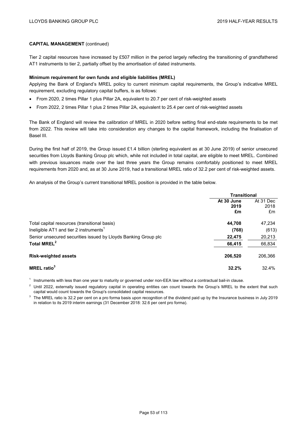Tier 2 capital resources have increased by £507 million in the period largely reflecting the transitioning of grandfathered AT1 instruments to tier 2, partially offset by the amortisation of dated instruments.

### **Minimum requirement for own funds and eligible liabilities (MREL)**

Applying the Bank of England's MREL policy to current minimum capital requirements, the Group's indicative MREL requirement, excluding regulatory capital buffers, is as follows:

- From 2020, 2 times Pillar 1 plus Pillar 2A, equivalent to 20.7 per cent of risk-weighted assets
- From 2022, 2 times Pillar 1 plus 2 times Pillar 2A, equivalent to 25.4 per cent of risk-weighted assets

The Bank of England will review the calibration of MREL in 2020 before setting final end-state requirements to be met from 2022. This review will take into consideration any changes to the capital framework, including the finalisation of Basel III.

During the first half of 2019, the Group issued £1.4 billion (sterling equivalent as at 30 June 2019) of senior unsecured securities from Lloyds Banking Group plc which, while not included in total capital, are eligible to meet MREL. Combined with previous issuances made over the last three years the Group remains comfortably positioned to meet MREL requirements from 2020 and, as at 30 June 2019, had a transitional MREL ratio of 32.2 per cent of risk-weighted assets.

An analysis of the Group's current transitional MREL position is provided in the table below.

|                                                                | <b>Transitional</b> |                   |  |
|----------------------------------------------------------------|---------------------|-------------------|--|
|                                                                | At 30 June<br>2019  | At 31 Dec<br>2018 |  |
|                                                                | £m                  | £m                |  |
| Total capital resources (transitional basis)                   | 44,708              | 47,234            |  |
| Ineligible AT1 and tier 2 instruments <sup>1</sup>             | (768)               | (613)             |  |
| Senior unsecured securities issued by Lloyds Banking Group plc | 22,475              | 20,213            |  |
| Total MREL <sup>2</sup>                                        | 66,415              | 66,834            |  |
| <b>Risk-weighted assets</b>                                    | 206,520             | 206,366           |  |
| <b>MREL</b> ratio <sup>3</sup>                                 | 32.2%               | 32.4%             |  |

 $1$  Instruments with less than one year to maturity or governed under non-EEA law without a contractual bail-in clause.

Until 2022, externally issued regulatory capital in operating entities can count towards the Group's MREL to the extent that such capital would count towards the Group's consolidated capital resources.

<sup>3</sup> The MREL ratio is 32.2 per cent on a pro forma basis upon recognition of the dividend paid up by the Insurance business in July 2019 in relation to its 2019 interim earnings (31 December 2018: 32.6 per cent pro forma).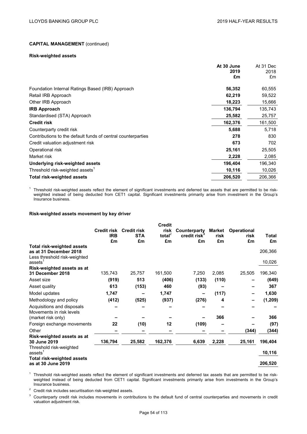#### **Risk-weighted assets**

|                                                              | At 30 June | At 31 Dec  |
|--------------------------------------------------------------|------------|------------|
|                                                              | 2019<br>£m | 2018<br>£m |
|                                                              |            |            |
| Foundation Internal Ratings Based (IRB) Approach             | 56,352     | 60,555     |
| Retail IRB Approach                                          | 62,219     | 59,522     |
| Other IRB Approach                                           | 18,223     | 15,666     |
| <b>IRB Approach</b>                                          | 136,794    | 135,743    |
| Standardised (STA) Approach                                  | 25,582     | 25,757     |
| <b>Credit risk</b>                                           | 162,376    | 161,500    |
| Counterparty credit risk                                     | 5,688      | 5,718      |
| Contributions to the default funds of central counterparties | 278        | 830        |
| Credit valuation adjustment risk                             | 673        | 702        |
| Operational risk                                             | 25,161     | 25,505     |
| Market risk                                                  | 2,228      | 2,085      |
| Underlying risk-weighted assets                              | 196,404    | 196,340    |
| Threshold risk-weighted assets <sup>1</sup>                  | 10,116     | 10,026     |
| <b>Total risk-weighted assets</b>                            | 206,520    | 206,366    |
|                                                              |            |            |

 $1$  Threshold risk-weighted assets reflect the element of significant investments and deferred tax assets that are permitted to be riskweighted instead of being deducted from CET1 capital. Significant investments primarily arise from investment in the Group's Insurance business.

### **Risk-weighted assets movement by key driver**

|                                                                                                                    |                                        |                                        | <b>Credit</b>            |                                                |                      |                                  |                   |
|--------------------------------------------------------------------------------------------------------------------|----------------------------------------|----------------------------------------|--------------------------|------------------------------------------------|----------------------|----------------------------------|-------------------|
|                                                                                                                    | <b>Credit risk</b><br><b>IRB</b><br>£m | <b>Credit risk</b><br><b>STA</b><br>£m | risk<br>total $^2$<br>£m | Counterparty<br>credit risk <sup>3</sup><br>£m | Market<br>risk<br>£m | <b>Operational</b><br>risk<br>£m | Total<br>£m       |
| <b>Total risk-weighted assets</b><br>as at 31 December 2018<br>Less threshold risk-weighted<br>assets <sup>1</sup> |                                        |                                        |                          |                                                |                      |                                  | 206,366<br>10,026 |
| Risk-weighted assets as at<br>31 December 2018                                                                     | 135,743                                | 25,757                                 | 161,500                  | 7,250                                          | 2,085                | 25,505                           | 196,340           |
| Asset size                                                                                                         | (919)                                  | 513                                    | (406)                    | (133)                                          | (110)                |                                  | (649)             |
| Asset quality                                                                                                      | 613                                    | (153)                                  | 460                      | (93)                                           |                      |                                  | 367               |
| Model updates                                                                                                      | 1,747                                  |                                        | 1,747                    | -                                              | (117)                |                                  | 1,630             |
| Methodology and policy                                                                                             | (412)                                  | (525)                                  | (937)                    | (276)                                          | 4                    |                                  | (1, 209)          |
| Acquisitions and disposals<br>Movements in risk levels                                                             |                                        |                                        |                          |                                                | 366                  |                                  | 366               |
| (market risk only)<br>Foreign exchange movements                                                                   | 22                                     | (10)                                   | 12                       | (109)                                          |                      |                                  | (97)              |
| Other                                                                                                              |                                        |                                        |                          |                                                |                      | (344)                            | (344)             |
| Risk-weighted assets as at<br>30 June 2019                                                                         | 136,794                                | 25,582                                 | 162,376                  | 6,639                                          | 2,228                | 25,161                           | 196,404           |
| Threshold risk-weighted<br>assets <sup>1</sup>                                                                     |                                        |                                        |                          |                                                |                      |                                  | 10,116            |
| <b>Total risk-weighted assets</b><br>as at 30 June 2019                                                            |                                        |                                        |                          |                                                |                      |                                  | 206,520           |

<sup>1</sup> Threshold risk-weighted assets reflect the element of significant investments and deferred tax assets that are permitted to be riskweighted instead of being deducted from CET1 capital. Significant investments primarily arise from investments in the Group's Insurance business.

<sup>2</sup> Credit risk includes securitisation risk-weighted assets.

<sup>3</sup> Counterparty credit risk includes movements in contributions to the default fund of central counterparties and movements in credit valuation adjustment risk.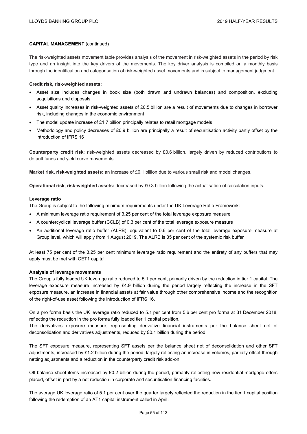The risk-weighted assets movement table provides analysis of the movement in risk-weighted assets in the period by risk type and an insight into the key drivers of the movements. The key driver analysis is compiled on a monthly basis through the identification and categorisation of risk-weighted asset movements and is subject to management judgment.

### **Credit risk, risk-weighted assets:**

- Asset size includes changes in book size (both drawn and undrawn balances) and composition, excluding acquisitions and disposals
- Asset quality increases in risk-weighted assets of £0.5 billion are a result of movements due to changes in borrower risk, including changes in the economic environment
- The model update increase of £1.7 billion principally relates to retail mortgage models
- Methodology and policy decreases of £0.9 billion are principally a result of securitisation activity partly offset by the introduction of IFRS 16

**Counterparty credit risk**: risk-weighted assets decreased by £0.6 billion, largely driven by reduced contributions to default funds and yield curve movements.

**Market risk, risk-weighted assets:** an increase of £0.1 billion due to various small risk and model changes.

**Operational risk, risk-weighted assets:** decreased by £0.3 billion following the actualisation of calculation inputs.

### **Leverage ratio**

The Group is subject to the following minimum requirements under the UK Leverage Ratio Framework:

- A minimum leverage ratio requirement of 3.25 per cent of the total leverage exposure measure
- A countercyclical leverage buffer (CCLB) of 0.3 per cent of the total leverage exposure measure
- An additional leverage ratio buffer (ALRB), equivalent to 0.6 per cent of the total leverage exposure measure at Group level, which will apply from 1 August 2019. The ALRB is 35 per cent of the systemic risk buffer

At least 75 per cent of the 3.25 per cent minimum leverage ratio requirement and the entirety of any buffers that may apply must be met with CET1 capital.

### **Analysis of leverage movements**

The Group's fully loaded UK leverage ratio reduced to 5.1 per cent, primarily driven by the reduction in tier 1 capital. The leverage exposure measure increased by  $£4.9$  billion during the period largely reflecting the increase in the SFT exposure measure, an increase in financial assets at fair value through other comprehensive income and the recognition of the right-of-use asset following the introduction of IFRS 16.

On a pro forma basis the UK leverage ratio reduced to 5.1 per cent from 5.6 per cent pro forma at 31 December 2018, reflecting the reduction in the pro forma fully loaded tier 1 capital position.

The derivatives exposure measure, representing derivative financial instruments per the balance sheet net of deconsolidation and derivatives adjustments, reduced by £0.1 billion during the period.

The SFT exposure measure, representing SFT assets per the balance sheet net of deconsolidation and other SFT adjustments, increased by £1.2 billion during the period, largely reflecting an increase in volumes, partially offset through netting adjustments and a reduction in the counterparty credit risk add-on.

Off-balance sheet items increased by £0.2 billion during the period, primarily reflecting new residential mortgage offers placed, offset in part by a net reduction in corporate and securitisation financing facilities.

The average UK leverage ratio of 5.1 per cent over the quarter largely reflected the reduction in the tier 1 capital position following the redemption of an AT1 capital instrument called in April.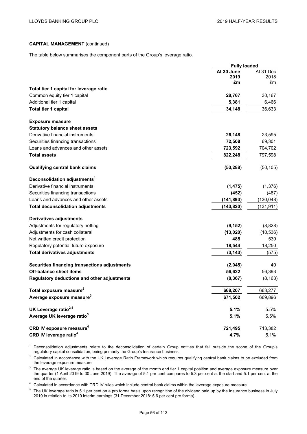The table below summarises the component parts of the Group's leverage ratio.

|                                               | <b>Fully loaded</b> |                   |
|-----------------------------------------------|---------------------|-------------------|
|                                               | At 30 June          | At 31 Dec<br>2018 |
|                                               | 2019<br>£m          | £m                |
| Total tier 1 capital for leverage ratio       |                     |                   |
| Common equity tier 1 capital                  | 28,767              | 30,167            |
| Additional tier 1 capital                     | 5,381               | 6,466             |
| Total tier 1 capital                          | 34,148              | 36,633            |
| <b>Exposure measure</b>                       |                     |                   |
| <b>Statutory balance sheet assets</b>         |                     |                   |
| Derivative financial instruments              | 26,148              | 23,595            |
| Securities financing transactions             | 72,508              | 69,301            |
| Loans and advances and other assets           | 723,592             | 704,702           |
| <b>Total assets</b>                           | 822,248             | 797,598           |
| <b>Qualifying central bank claims</b>         | (53, 288)           | (50, 105)         |
| Deconsolidation adjustments <sup>1</sup>      |                     |                   |
| Derivative financial instruments              | (1, 475)            | (1,376)           |
| Securities financing transactions             | (452)               | (487)             |
| Loans and advances and other assets           | (141, 893)          | (130, 048)        |
| <b>Total deconsolidation adjustments</b>      | (143, 820)          | (131, 911)        |
| <b>Derivatives adjustments</b>                |                     |                   |
| Adjustments for regulatory netting            | (9, 152)            | (8,828)           |
| Adjustments for cash collateral               | (13,020)            | (10, 536)         |
| Net written credit protection                 | 485                 | 539               |
| Regulatory potential future exposure          | 18,544              | 18,250            |
| <b>Total derivatives adjustments</b>          | (3, 143)            | (575)             |
| Securities financing transactions adjustments | (2,045)             | 40                |
| <b>Off-balance sheet items</b>                | 56,622              | 56,393            |
| Regulatory deductions and other adjustments   | (8, 367)            | (8, 163)          |
| Total exposure measure <sup>2</sup>           | 668,207             | 663,277           |
| Average exposure measure <sup>3</sup>         | 671,502             | 669,896           |
| UK Leverage ratio <sup>2,5</sup>              | 5.1%                | 5.5%              |
| Average UK leverage ratio <sup>3</sup>        | 5.1%                | 5.5%              |
| CRD IV exposure measure <sup>4</sup>          | 721,495             | 713,382           |
| CRD IV leverage ratio <sup>4</sup>            | 4.7%                | 5.1%              |

<sup>1</sup> Deconsolidation adjustments relate to the deconsolidation of certain Group entities that fall outside the scope of the Group's regulatory capital consolidation, being primarily the Group's Insurance business.

<sup>2</sup> Calculated in accordance with the UK Leverage Ratio Framework which requires qualifying central bank claims to be excluded from the leverage exposure measure.

<sup>3</sup> The average UK leverage ratio is based on the average of the month end tier 1 capital position and average exposure measure over the quarter (1 April 2019 to 30 June 2019). The average of 5.1 per cent compares to 5.3 per cent at the start and 5.1 per cent at the end of the quarter.

<sup>4</sup> Calculated in accordance with CRD IV rules which include central bank claims within the leverage exposure measure.

 $5$  The UK leverage ratio is 5.1 per cent on a pro forma basis upon recognition of the dividend paid up by the Insurance business in July 2019 in relation to its 2019 interim earnings (31 December 2018: 5.6 per cent pro forma).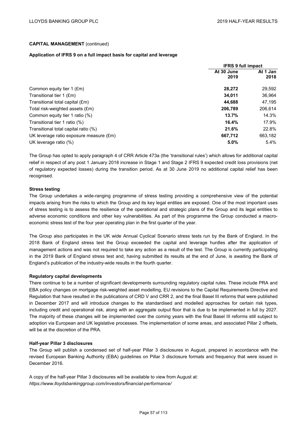### **Application of IFRS 9 on a full impact basis for capital and leverage**

|                                         | <b>IFRS 9 full impact</b> |                  |  |
|-----------------------------------------|---------------------------|------------------|--|
|                                         | At 30 June<br>2019        | At 1 Jan<br>2018 |  |
| Common equity tier 1 (£m)               | 28,272                    | 29,592           |  |
| Transitional tier 1 (£m)                | 34.011                    | 36.964           |  |
| Transitional total capital (£m)         | 44.688                    | 47,195           |  |
| Total risk-weighted assets (£m)         | 206.789                   | 206.614          |  |
| Common equity tier 1 ratio (%)          | 13.7%                     | 14.3%            |  |
| Transitional tier 1 ratio (%)           | 16.4%                     | 17.9%            |  |
| Transitional total capital ratio (%)    | 21.6%                     | 22.8%            |  |
| UK leverage ratio exposure measure (£m) | 667.712                   | 663,182          |  |
| UK leverage ratio (%)                   | 5.0%                      | $5.4\%$          |  |

The Group has opted to apply paragraph 4 of CRR Article 473a (the 'transitional rules') which allows for additional capital relief in respect of any post 1 January 2018 increase in Stage 1 and Stage 2 IFRS 9 expected credit loss provisions (net of regulatory expected losses) during the transition period. As at 30 June 2019 no additional capital relief has been recognised.

### **Stress testing**

The Group undertakes a wide-ranging programme of stress testing providing a comprehensive view of the potential impacts arising from the risks to which the Group and its key legal entities are exposed. One of the most important uses of stress testing is to assess the resilience of the operational and strategic plans of the Group and its legal entities to adverse economic conditions and other key vulnerabilities. As part of this programme the Group conducted a macroeconomic stress test of the four year operating plan in the first quarter of the year.

The Group also participates in the UK wide Annual Cyclical Scenario stress tests run by the Bank of England. In the 2018 Bank of England stress test the Group exceeded the capital and leverage hurdles after the application of management actions and was not required to take any action as a result of the test. The Group is currently participating in the 2019 Bank of England stress test and, having submitted its results at the end of June, is awaiting the Bank of England's publication of the industry-wide results in the fourth quarter.

### **Regulatory capital developments**

There continue to be a number of significant developments surrounding regulatory capital rules. These include PRA and EBA policy changes on mortgage risk-weighted asset modelling, EU revisions to the Capital Requirements Directive and Regulation that have resulted in the publications of CRD V and CRR 2, and the final Basel III reforms that were published in December 2017 and will introduce changes to the standardised and modelled approaches for certain risk types, including credit and operational risk, along with an aggregate output floor that is due to be implemented in full by 2027. The majority of these changes will be implemented over the coming years with the final Basel III reforms still subject to adoption via European and UK legislative processes. The implementation of some areas, and associated Pillar 2 offsets, will be at the discretion of the PRA.

### **Half-year Pillar 3 disclosures**

The Group will publish a condensed set of half-year Pillar 3 disclosures in August, prepared in accordance with the revised European Banking Authority (EBA) guidelines on Pillar 3 disclosure formats and frequency that were issued in December 2016.

A copy of the half-year Pillar 3 disclosures will be available to view from August at: *https://www.lloydsbankinggroup.com/investors/financial-performance/*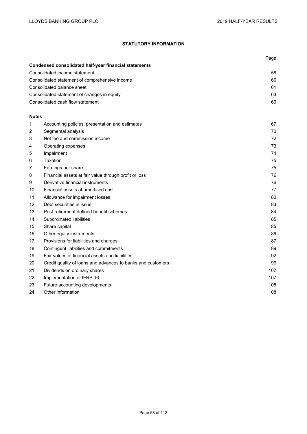# **STATUTORY INFORMATION**

|              |                                                             | Page |  |  |  |
|--------------|-------------------------------------------------------------|------|--|--|--|
|              | Condensed consolidated half-year financial statements       |      |  |  |  |
|              | Consolidated income statement                               |      |  |  |  |
|              | Consolidated statement of comprehensive income              | 60   |  |  |  |
|              | Consolidated balance sheet                                  | 61   |  |  |  |
|              | Consolidated statement of changes in equity                 | 63   |  |  |  |
|              | Consolidated cash flow statement                            | 66   |  |  |  |
| <b>Notes</b> |                                                             |      |  |  |  |
| 1            | Accounting policies, presentation and estimates             | 67   |  |  |  |
| 2            | Segmental analysis                                          | 70   |  |  |  |
| 3            | Net fee and commission income                               | 72   |  |  |  |
| 4            | Operating expenses                                          | 73   |  |  |  |
| 5            | Impairment                                                  | 74   |  |  |  |
| 6            | Taxation                                                    | 75   |  |  |  |
| 7            | Earnings per share                                          | 75   |  |  |  |
| 8            | Financial assets at fair value through profit or loss       | 76   |  |  |  |
| 9            | Derivative financial instruments                            | 76   |  |  |  |
| 10           | Financial assets at amortised cost                          | 77   |  |  |  |
| 11           | Allowance for impairment losses                             | 80   |  |  |  |
| 12           | Debt securities in issue                                    | 83   |  |  |  |
| 13           | Post-retirement defined benefit schemes                     | 84   |  |  |  |
| 14           | Subordinated liabilities                                    | 85   |  |  |  |
| 15           | Share capital                                               | 85   |  |  |  |
| 16           | Other equity instruments                                    | 86   |  |  |  |
| 17           | Provisions for liabilities and charges                      | 87   |  |  |  |
| 18           | Contingent liabilities and commitments                      | 89   |  |  |  |
| 19           | Fair values of financial assets and liabilities             | 92   |  |  |  |
| 20           | Credit quality of loans and advances to banks and customers | 99   |  |  |  |
| 21           | Dividends on ordinary shares                                | 107  |  |  |  |
| 22           | Implementation of IFRS 16                                   | 107  |  |  |  |
| 23           | Future accounting developments                              | 108  |  |  |  |
| 24           | Other information                                           | 108  |  |  |  |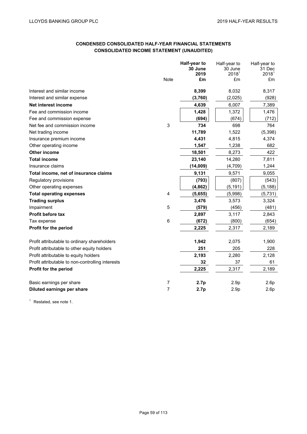# **CONDENSED CONSOLIDATED HALF-YEAR FINANCIAL STATEMENTS CONSOLIDATED INCOME STATEMENT (UNAUDITED)**

|                                                  |             | Half-year to<br>30 June | Half-year to<br>30 June | Half-year to<br>31 Dec |
|--------------------------------------------------|-------------|-------------------------|-------------------------|------------------------|
|                                                  |             | 2019                    | 2018 <sup>1</sup>       | 2018 <sup>1</sup>      |
|                                                  | <b>Note</b> | £m                      | £m                      | £m                     |
| Interest and similar income                      |             | 8,399                   | 8,032                   | 8,317                  |
| Interest and similar expense                     |             | (3,760)                 | (2,025)                 | (928)                  |
| Net interest income                              |             | 4,639                   | 6,007                   | 7,389                  |
| Fee and commission income                        |             | 1,428                   | 1,372                   | 1,476                  |
| Fee and commission expense                       |             | (694)                   | (674)                   | (712)                  |
| Net fee and commission income                    | 3           | 734                     | 698                     | 764                    |
| Net trading income                               |             | 11,789                  | 1,522                   | (5, 398)               |
| Insurance premium income                         |             | 4,431                   | 4,815                   | 4,374                  |
| Other operating income                           |             | 1,547                   | 1,238                   | 682                    |
| <b>Other income</b>                              |             | 18,501                  | 8,273                   | 422                    |
| <b>Total income</b>                              |             | 23,140                  | 14,280                  | 7,811                  |
| Insurance claims                                 |             | (14,009)                | (4, 709)                | 1,244                  |
| Total income, net of insurance claims            |             | 9,131                   | 9,571                   | 9,055                  |
| Regulatory provisions                            |             | (793)                   | (807)                   | (543)                  |
| Other operating expenses                         |             | (4, 862)                | (5, 191)                | (5, 188)               |
| <b>Total operating expenses</b>                  | 4           | (5,655)                 | (5,998)                 | (5,731)                |
| <b>Trading surplus</b>                           |             | 3,476                   | 3,573                   | 3,324                  |
| Impairment                                       | 5           | (579)                   | (456)                   | (481)                  |
| Profit before tax                                |             | 2,897                   | 3,117                   | 2,843                  |
| Tax expense                                      | 6           | (672)                   | (800)                   | (654)                  |
| Profit for the period                            |             | 2,225                   | 2,317                   | 2,189                  |
| Profit attributable to ordinary shareholders     |             | 1,942                   | 2,075                   | 1,900                  |
| Profit attributable to other equity holders      |             | 251                     | 205                     | 228                    |
| Profit attributable to equity holders            |             | 2,193                   | 2,280                   | 2,128                  |
| Profit attributable to non-controlling interests |             | 32                      | 37                      | 61                     |
| Profit for the period                            |             | 2,225                   | 2,317                   | 2,189                  |
| Basic earnings per share                         | 7           | 2.7p                    | 2.9 <sub>p</sub>        | 2.6p                   |
| Diluted earnings per share                       | 7           | 2.7p                    | 2.9 <sub>p</sub>        | 2.6p                   |

<sup>1</sup> Restated, see note 1.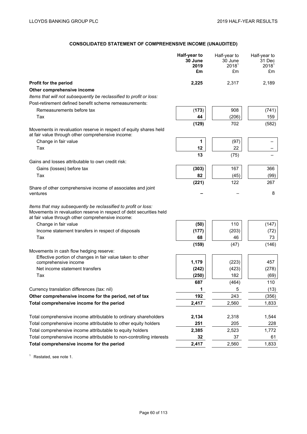# **CONSOLIDATED STATEMENT OF COMPREHENSIVE INCOME (UNAUDITED)**

|                                                                                                                                                                                            | Half-year to<br>30 June<br>2019<br>£m | Half-year to<br>30 June<br>2018 <sup>1</sup><br>£m | Half-year to<br>31 Dec<br>2018 <sup>1</sup><br>£m |
|--------------------------------------------------------------------------------------------------------------------------------------------------------------------------------------------|---------------------------------------|----------------------------------------------------|---------------------------------------------------|
| Profit for the period                                                                                                                                                                      | 2,225                                 | 2,317                                              | 2,189                                             |
| Other comprehensive income                                                                                                                                                                 |                                       |                                                    |                                                   |
| Items that will not subsequently be reclassified to profit or loss:                                                                                                                        |                                       |                                                    |                                                   |
| Post-retirement defined benefit scheme remeasurements:                                                                                                                                     |                                       |                                                    |                                                   |
| Remeasurements before tax                                                                                                                                                                  | (173)                                 | 908                                                | (741)                                             |
| Tax                                                                                                                                                                                        | 44                                    | (206)                                              | 159                                               |
| Movements in revaluation reserve in respect of equity shares held<br>at fair value through other comprehensive income:                                                                     | (129)                                 | 702                                                | (582)                                             |
| Change in fair value                                                                                                                                                                       | 1                                     | (97)                                               |                                                   |
| Tax                                                                                                                                                                                        | 12                                    | 22                                                 |                                                   |
|                                                                                                                                                                                            | 13                                    | (75)                                               |                                                   |
| Gains and losses attributable to own credit risk:                                                                                                                                          |                                       |                                                    |                                                   |
| Gains (losses) before tax                                                                                                                                                                  | (303)                                 | 167                                                | 366                                               |
| Tax                                                                                                                                                                                        | 82                                    | (45)                                               | (99)                                              |
|                                                                                                                                                                                            | (221)                                 | 122                                                | 267                                               |
| Share of other comprehensive income of associates and joint<br>ventures                                                                                                                    |                                       |                                                    | 8                                                 |
| Items that may subsequently be reclassified to profit or loss:<br>Movements in revaluation reserve in respect of debt securities held<br>at fair value through other comprehensive income: |                                       |                                                    |                                                   |
| Change in fair value                                                                                                                                                                       | (50)                                  | 110                                                | (147)                                             |
| Income statement transfers in respect of disposals                                                                                                                                         | (177)                                 | (203)                                              | (72)                                              |
| Tax                                                                                                                                                                                        | 68                                    | 46                                                 | 73                                                |
|                                                                                                                                                                                            | (159)                                 | (47)                                               | (146)                                             |
| Movements in cash flow hedging reserve:                                                                                                                                                    |                                       |                                                    |                                                   |
| Effective portion of changes in fair value taken to other                                                                                                                                  | 1,179                                 | (223)                                              | 457                                               |
| comprehensive income<br>Net income statement transfers                                                                                                                                     | (242)                                 | (423)                                              | (278)                                             |
| Tax                                                                                                                                                                                        | (250)                                 | 182                                                | (69)                                              |
|                                                                                                                                                                                            | 687                                   | (464)                                              | 110                                               |
| Currency translation differences (tax: nil)                                                                                                                                                | 1                                     | 5                                                  | (13)                                              |
| Other comprehensive income for the period, net of tax                                                                                                                                      | 192                                   | 243                                                | (356)                                             |
| Total comprehensive income for the period                                                                                                                                                  | 2,417                                 | 2,560                                              | 1,833                                             |
|                                                                                                                                                                                            |                                       |                                                    |                                                   |
| Total comprehensive income attributable to ordinary shareholders                                                                                                                           | 2,134                                 | 2,318                                              | 1,544                                             |
| Total comprehensive income attributable to other equity holders                                                                                                                            | 251                                   | 205                                                | 228                                               |
| Total comprehensive income attributable to equity holders                                                                                                                                  | 2,385                                 | 2,523                                              | 1,772                                             |
| Total comprehensive income attributable to non-controlling interests                                                                                                                       | 32                                    | 37                                                 | 61                                                |
| Total comprehensive income for the period                                                                                                                                                  | 2,417                                 | 2,560                                              | 1,833                                             |

<sup>1</sup> Restated, see note 1.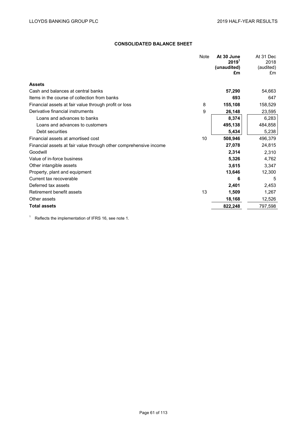# **CONSOLIDATED BALANCE SHEET**

| Note | At 30 June<br>$2019^1$ | At 31 Dec<br>2018<br>(audited) |
|------|------------------------|--------------------------------|
|      | £m                     | £m                             |
|      |                        |                                |
|      | 57,290                 | 54,663                         |
|      | 693                    | 647                            |
| 8    | 155,108                | 158,529                        |
| 9    | 26,148                 | 23,595                         |
|      | 8,374                  | 6,283                          |
|      | 495,138                | 484,858                        |
|      | 5,434                  | 5,238                          |
| 10   | 508,946                | 496,379                        |
|      | 27,078                 | 24,815                         |
|      | 2,314                  | 2,310                          |
|      | 5,326                  | 4,762                          |
|      | 3,615                  | 3,347                          |
|      | 13,646                 | 12,300                         |
|      | 6                      | 5                              |
|      | 2,401                  | 2,453                          |
| 13   | 1,509                  | 1,267                          |
|      | 18,168                 | 12,526                         |
|      | 822,248                | 797,598                        |
|      |                        | (unaudited)                    |

<sup>1</sup> Reflects the implementation of IFRS 16, see note 1.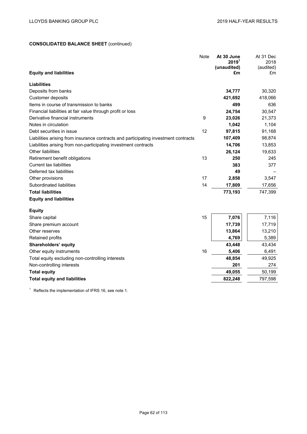# **CONSOLIDATED BALANCE SHEET** (continued)

| <b>Equity and liabilities</b>                                                       | <b>Note</b> | At 30 June<br>2019 <sup>1</sup><br>(unaudited)<br>£m | At 31 Dec<br>2018<br>(audited)<br>£m |
|-------------------------------------------------------------------------------------|-------------|------------------------------------------------------|--------------------------------------|
| <b>Liabilities</b>                                                                  |             |                                                      |                                      |
| Deposits from banks                                                                 |             | 34,777                                               | 30,320                               |
| Customer deposits                                                                   |             | 421,692                                              | 418,066                              |
| Items in course of transmission to banks                                            |             | 499                                                  | 636                                  |
| Financial liabilities at fair value through profit or loss                          |             | 24,754                                               | 30,547                               |
| Derivative financial instruments                                                    | 9           | 23,026                                               | 21,373                               |
| Notes in circulation                                                                |             | 1,042                                                | 1,104                                |
| Debt securities in issue                                                            | 12          | 97,815                                               | 91,168                               |
| Liabilities arising from insurance contracts and participating investment contracts |             | 107,409                                              | 98,874                               |
| Liabilities arising from non-participating investment contracts                     |             | 14,706                                               | 13,853                               |
| <b>Other liabilities</b>                                                            |             | 26,124                                               | 19,633                               |
| Retirement benefit obligations                                                      | 13          | 250                                                  | 245                                  |
| <b>Current tax liabilities</b>                                                      |             | 383                                                  | 377                                  |
| Deferred tax liabilities                                                            |             | 49                                                   |                                      |
| Other provisions                                                                    | 17          | 2,858                                                | 3,547                                |
| Subordinated liabilities                                                            | 14          | 17,809                                               | 17,656                               |
| <b>Total liabilities</b>                                                            |             | 773,193                                              | 747,399                              |
| <b>Equity and liabilities</b>                                                       |             |                                                      |                                      |
| <b>Equity</b>                                                                       |             |                                                      |                                      |
| Share capital                                                                       | 15          | 7,076                                                | 7,116                                |
| Share premium account                                                               |             | 17,739                                               | 17,719                               |
| Other reserves                                                                      |             | 13,864                                               | 13,210                               |
| Retained profits                                                                    |             | 4,769                                                | 5,389                                |
| Shareholders' equity                                                                |             | 43,448                                               | 43,434                               |
| Other equity instruments                                                            | 16          | 5,406                                                | 6,491                                |
| Total equity excluding non-controlling interests                                    |             | 48,854                                               | 49,925                               |
| Non-controlling interests                                                           |             | 201                                                  | 274                                  |
| <b>Total equity</b>                                                                 |             | 49,055                                               | 50,199                               |
| <b>Total equity and liabilities</b>                                                 |             | 822,248                                              | 797,598                              |

 $1$  Reflects the implementation of IFRS 16, see note 1.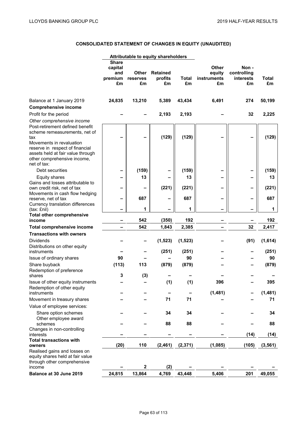# **CONSOLIDATED STATEMENT OF CHANGES IN EQUITY (UNAUDITED)**

|                                                                                                                                                                                                                           |                                                 |                         | Attributable to equity shareholders |             |                                             |                                        |              |
|---------------------------------------------------------------------------------------------------------------------------------------------------------------------------------------------------------------------------|-------------------------------------------------|-------------------------|-------------------------------------|-------------|---------------------------------------------|----------------------------------------|--------------|
|                                                                                                                                                                                                                           | <b>Share</b><br>capital<br>and<br>premium<br>£m | Other<br>reserves<br>£m | <b>Retained</b><br>profits<br>£m    | Total<br>£m | <b>Other</b><br>equity<br>instruments<br>£m | Non-<br>controlling<br>interests<br>£m | Total<br>£m  |
| Balance at 1 January 2019<br><b>Comprehensive income</b>                                                                                                                                                                  | 24,835                                          | 13,210                  | 5,389                               | 43,434      | 6,491                                       | 274                                    | 50,199       |
| Profit for the period<br>Other comprehensive income                                                                                                                                                                       |                                                 |                         | 2,193                               | 2,193       |                                             | 32                                     | 2,225        |
| Post-retirement defined benefit<br>scheme remeasurements, net of<br>tax<br>Movements in revaluation<br>reserve in respect of financial<br>assets held at fair value through<br>other comprehensive income,<br>net of tax: |                                                 |                         | (129)                               | (129)       |                                             |                                        | (129)        |
| Debt securities                                                                                                                                                                                                           |                                                 | (159)                   |                                     | (159)       | -                                           |                                        | (159)        |
| Equity shares                                                                                                                                                                                                             |                                                 | 13                      |                                     | 13          |                                             |                                        | 13           |
| Gains and losses attributable to                                                                                                                                                                                          |                                                 |                         |                                     |             |                                             |                                        |              |
| own credit risk, net of tax<br>Movements in cash flow hedging                                                                                                                                                             |                                                 |                         | (221)                               | (221)       |                                             |                                        | (221)        |
| reserve, net of tax<br>Currency translation differences                                                                                                                                                                   | -                                               | 687                     |                                     | 687         |                                             |                                        | 687          |
| (tax: £nil)                                                                                                                                                                                                               | $\overline{\phantom{0}}$                        | 1                       |                                     | 1           |                                             |                                        | $\mathbf{1}$ |
| <b>Total other comprehensive</b><br>income                                                                                                                                                                                |                                                 | 542                     | (350)                               | 192         |                                             |                                        | 192          |
| Total comprehensive income                                                                                                                                                                                                |                                                 | 542                     | 1,843                               | 2,385       |                                             | 32                                     | 2,417        |
| <b>Transactions with owners</b>                                                                                                                                                                                           |                                                 |                         |                                     |             |                                             |                                        |              |
| <b>Dividends</b><br>Distributions on other equity                                                                                                                                                                         |                                                 |                         | (1, 523)                            | (1, 523)    |                                             | (91)                                   | (1,614)      |
| instruments                                                                                                                                                                                                               |                                                 |                         | (251)                               | (251)       |                                             |                                        | (251)        |
| Issue of ordinary shares                                                                                                                                                                                                  | 90                                              |                         |                                     | 90          |                                             |                                        | 90           |
| Share buyback                                                                                                                                                                                                             | (113)                                           | 113                     | (879)                               | (879)       |                                             |                                        | (879)        |
| Redemption of preference                                                                                                                                                                                                  |                                                 |                         |                                     |             |                                             |                                        |              |
| shares                                                                                                                                                                                                                    | 3                                               | (3)                     |                                     |             |                                             |                                        |              |
| Issue of other equity instruments<br>Redemption of other equity                                                                                                                                                           |                                                 |                         | (1)                                 | (1)         | 396                                         |                                        | 395          |
| instruments                                                                                                                                                                                                               |                                                 |                         |                                     |             | (1,481)                                     |                                        | (1,481)      |
| Movement in treasury shares                                                                                                                                                                                               |                                                 |                         | 71                                  | 71          |                                             |                                        | 71           |
| Value of employee services:                                                                                                                                                                                               |                                                 |                         |                                     |             |                                             |                                        |              |
| Share option schemes<br>Other employee award                                                                                                                                                                              |                                                 |                         | 34                                  | 34          |                                             |                                        | 34           |
| schemes                                                                                                                                                                                                                   |                                                 |                         | 88                                  | 88          |                                             |                                        | 88           |
| Changes in non-controlling<br>interests                                                                                                                                                                                   |                                                 |                         |                                     |             |                                             | (14)                                   | (14)         |
| <b>Total transactions with</b><br>owners                                                                                                                                                                                  | (20)                                            | 110                     | (2,461)                             | (2, 371)    | (1,085)                                     | (105)                                  | (3, 561)     |
| Realised gains and losses on<br>equity shares held at fair value<br>through other comprehensive                                                                                                                           |                                                 |                         |                                     |             |                                             |                                        |              |
| income                                                                                                                                                                                                                    |                                                 | $\mathbf 2$             | (2)                                 |             |                                             |                                        |              |
| Balance at 30 June 2019                                                                                                                                                                                                   | 24,815                                          | 13,864                  | 4,769                               | 43,448      | 5,406                                       | 201                                    | 49,055       |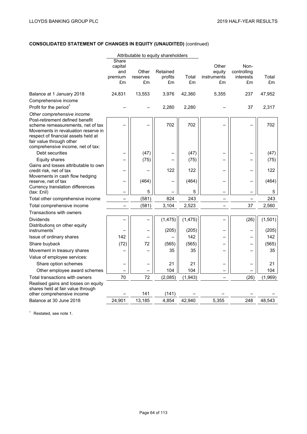# **CONSOLIDATED STATEMENT OF CHANGES IN EQUITY (UNAUDITED)** (continued)

|                                                                                                                                                                                                                     | Attributable to equity shareholders |                |               |             |                   |                     |             |
|---------------------------------------------------------------------------------------------------------------------------------------------------------------------------------------------------------------------|-------------------------------------|----------------|---------------|-------------|-------------------|---------------------|-------------|
|                                                                                                                                                                                                                     | Share<br>capital<br>and             | Other          | Retained      |             | Other<br>equity   | Non-<br>controlling |             |
|                                                                                                                                                                                                                     | premium<br>£m                       | reserves<br>£m | profits<br>£m | Total<br>£m | instruments<br>£m | interests<br>£m     | Total<br>£m |
| Balance at 1 January 2018                                                                                                                                                                                           | 24,831                              | 13,553         | 3,976         | 42,360      | 5,355             | 237                 | 47,952      |
| Comprehensive income                                                                                                                                                                                                |                                     |                |               |             |                   |                     |             |
| Profit for the period <sup>1</sup>                                                                                                                                                                                  |                                     |                | 2,280         | 2,280       |                   | 37                  | 2,317       |
| Other comprehensive income                                                                                                                                                                                          |                                     |                |               |             |                   |                     |             |
| Post-retirement defined benefit<br>scheme remeasurements, net of tax<br>Movements in revaluation reserve in<br>respect of financial assets held at<br>fair value through other<br>comprehensive income, net of tax: |                                     |                | 702           | 702         |                   |                     | 702         |
| Debt securities                                                                                                                                                                                                     |                                     | (47)           |               | (47)        |                   |                     | (47)        |
| Equity shares                                                                                                                                                                                                       |                                     | (75)           |               | (75)        |                   |                     | (75)        |
| Gains and losses attributable to own                                                                                                                                                                                |                                     |                |               |             |                   |                     |             |
| credit risk, net of tax                                                                                                                                                                                             |                                     |                | 122           | 122         |                   |                     | 122         |
| Movements in cash flow hedging<br>reserve, net of tax                                                                                                                                                               |                                     | (464)          |               | (464)       |                   |                     | (464)       |
| Currency translation differences<br>(tax: £nil)                                                                                                                                                                     |                                     | 5              |               | 5           |                   |                     | 5           |
| Total other comprehensive income                                                                                                                                                                                    |                                     | (581)          | 824           | 243         |                   |                     | 243         |
| Total comprehensive income                                                                                                                                                                                          |                                     | (581)          | 3,104         | 2,523       |                   | 37                  | 2,560       |
| Transactions with owners                                                                                                                                                                                            |                                     |                |               |             |                   |                     |             |
| <b>Dividends</b>                                                                                                                                                                                                    |                                     |                | (1, 475)      | (1, 475)    |                   | (26)                | (1,501)     |
| Distributions on other equity                                                                                                                                                                                       |                                     |                |               |             |                   |                     |             |
| instruments <sup>1</sup>                                                                                                                                                                                            |                                     |                | (205)         | (205)       |                   |                     | (205)       |
| Issue of ordinary shares                                                                                                                                                                                            | 142                                 |                |               | 142         |                   |                     | 142         |
| Share buyback                                                                                                                                                                                                       | (72)                                | 72             | (565)         | (565)       |                   |                     | (565)       |
| Movement in treasury shares                                                                                                                                                                                         |                                     |                | 35            | 35          |                   |                     | 35          |
| Value of employee services:                                                                                                                                                                                         |                                     |                |               |             |                   |                     |             |
| Share option schemes                                                                                                                                                                                                |                                     |                | 21            | 21          |                   |                     | 21          |
| Other employee award schemes                                                                                                                                                                                        |                                     |                | 104           | 104         |                   |                     | 104         |
| Total transactions with owners                                                                                                                                                                                      | 70                                  | 72             | (2,085)       | (1,943)     |                   | (26)                | (1,969)     |
| Realised gains and losses on equity<br>shares held at fair value through                                                                                                                                            |                                     |                |               |             |                   |                     |             |
| other comprehensive income                                                                                                                                                                                          |                                     | 141            | (141)         |             |                   |                     |             |
| Balance at 30 June 2018                                                                                                                                                                                             | 24,901                              | 13,185         | 4,854         | 42,940      | 5,355             | 248                 | 48,543      |

<sup>1</sup> Restated, see note 1.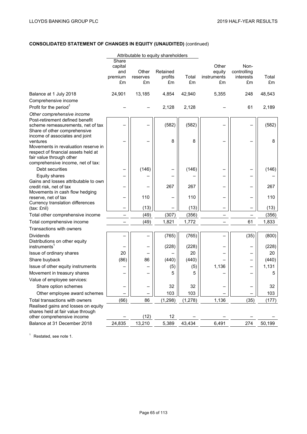# **CONSOLIDATED STATEMENT OF CHANGES IN EQUITY (UNAUDITED)** (continued)

|                                                                                                                                             |                                          |                         | Attributable to equity shareholders |             |                                      |                                        |             |
|---------------------------------------------------------------------------------------------------------------------------------------------|------------------------------------------|-------------------------|-------------------------------------|-------------|--------------------------------------|----------------------------------------|-------------|
|                                                                                                                                             | Share<br>capital<br>and<br>premium<br>£m | Other<br>reserves<br>£m | Retained<br>profits<br>£m           | Total<br>£m | Other<br>equity<br>instruments<br>£m | Non-<br>controlling<br>interests<br>£m | Total<br>£m |
| Balance at 1 July 2018                                                                                                                      | 24,901                                   | 13,185                  | 4,854                               | 42,940      | 5,355                                | 248                                    | 48,543      |
| Comprehensive income                                                                                                                        |                                          |                         |                                     |             |                                      |                                        |             |
| Profit for the period <sup>1</sup>                                                                                                          |                                          |                         | 2,128                               | 2,128       |                                      | 61                                     | 2,189       |
| Other comprehensive income                                                                                                                  |                                          |                         |                                     |             |                                      |                                        |             |
| Post-retirement defined benefit                                                                                                             |                                          |                         |                                     |             |                                      |                                        |             |
| scheme remeasurements, net of tax                                                                                                           |                                          |                         | (582)                               | (582)       |                                      |                                        | (582)       |
| Share of other comprehensive<br>income of associates and joint<br>ventures                                                                  |                                          |                         | 8                                   | 8           |                                      |                                        | 8           |
| Movements in revaluation reserve in<br>respect of financial assets held at<br>fair value through other<br>comprehensive income, net of tax: |                                          |                         |                                     |             |                                      |                                        |             |
| Debt securities                                                                                                                             |                                          | (146)                   |                                     | (146)       |                                      |                                        | (146)       |
| Equity shares                                                                                                                               |                                          |                         |                                     |             |                                      |                                        |             |
| Gains and losses attributable to own<br>credit risk, net of tax                                                                             |                                          |                         | 267                                 | 267         |                                      |                                        | 267         |
| Movements in cash flow hedging<br>reserve, net of tax                                                                                       |                                          | 110                     |                                     | 110         |                                      |                                        | 110         |
| Currency translation differences                                                                                                            |                                          |                         |                                     |             |                                      |                                        |             |
| (tax: £nil)                                                                                                                                 |                                          | (13)                    |                                     | (13)        |                                      |                                        | (13)        |
| Total other comprehensive income                                                                                                            |                                          | (49)                    | (307)                               | (356)       |                                      |                                        | (356)       |
| Total comprehensive income                                                                                                                  |                                          | (49)                    | 1,821                               | 1,772       |                                      | 61                                     | 1,833       |
| Transactions with owners                                                                                                                    |                                          |                         |                                     |             |                                      |                                        |             |
| <b>Dividends</b><br>Distributions on other equity                                                                                           |                                          |                         | (765)                               | (765)       |                                      | (35)                                   | (800)       |
| instruments <sup>1</sup>                                                                                                                    |                                          |                         | (228)                               | (228)       |                                      |                                        | (228)       |
| Issue of ordinary shares                                                                                                                    | 20                                       |                         |                                     | 20          |                                      |                                        | 20          |
| Share buyback                                                                                                                               | (86)                                     | 86                      | (440)                               | (440)       |                                      |                                        | (440)       |
| Issue of other equity instruments                                                                                                           |                                          |                         | (5)                                 | (5)         | 1,136                                |                                        | 1,131       |
| Movement in treasury shares                                                                                                                 |                                          |                         | 5                                   | 5           |                                      |                                        | 5           |
| Value of employee services:                                                                                                                 |                                          |                         |                                     |             |                                      |                                        |             |
| Share option schemes                                                                                                                        |                                          |                         | 32                                  | 32          |                                      |                                        | 32          |
| Other employee award schemes                                                                                                                |                                          |                         | 103                                 | 103         |                                      |                                        | 103         |
| Total transactions with owners                                                                                                              | (66)                                     | 86                      | (1, 298)                            | (1, 278)    | 1,136                                | (35)                                   | (177)       |
| Realised gains and losses on equity<br>shares held at fair value through                                                                    |                                          |                         |                                     |             |                                      |                                        |             |
| other comprehensive income                                                                                                                  |                                          | (12)                    | 12                                  |             |                                      |                                        |             |
| Balance at 31 December 2018                                                                                                                 | 24,835                                   | 13,210                  | 5,389                               | 43,434      | 6,491                                | 274                                    | 50,199      |

<sup>1</sup> Restated, see note 1.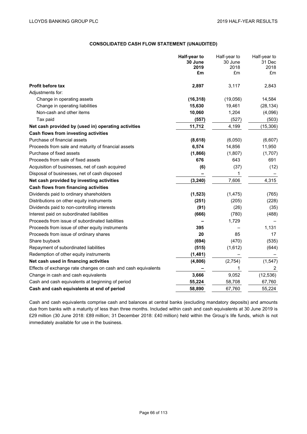# **CONSOLIDATED CASH FLOW STATEMENT (UNAUDITED)**

|                                                               | Half-year to | Half-year to | Half-year to |
|---------------------------------------------------------------|--------------|--------------|--------------|
|                                                               | 30 June      | 30 June      | 31 Dec       |
|                                                               | 2019<br>£m   | 2018<br>£m   | 2018<br>£m   |
|                                                               |              |              |              |
| <b>Profit before tax</b>                                      | 2,897        | 3,117        | 2,843        |
| Adjustments for:                                              |              |              |              |
| Change in operating assets                                    | (16, 318)    | (19,056)     | 14,584       |
| Change in operating liabilities                               | 15,630       | 19,461       | (28, 134)    |
| Non-cash and other items                                      | 10,060       | 1,204        | (4,096)      |
| Tax paid                                                      | (557)        | (527)        | (503)        |
| Net cash provided by (used in) operating activities           | 11,712       | 4,199        | (15, 306)    |
| Cash flows from investing activities                          |              |              |              |
| Purchase of financial assets                                  | (8,618)      | (6,050)      | (6,607)      |
| Proceeds from sale and maturity of financial assets           | 6,574        | 14,856       | 11,950       |
| Purchase of fixed assets                                      | (1,866)      | (1,807)      | (1,707)      |
| Proceeds from sale of fixed assets                            | 676          | 643          | 691          |
| Acquisition of businesses, net of cash acquired               | (6)          | (37)         | (12)         |
| Disposal of businesses, net of cash disposed                  |              | 1            |              |
| Net cash provided by investing activities                     | (3, 240)     | 7,606        | 4,315        |
| <b>Cash flows from financing activities</b>                   |              |              |              |
| Dividends paid to ordinary shareholders                       | (1, 523)     | (1, 475)     | (765)        |
| Distributions on other equity instruments                     | (251)        | (205)        | (228)        |
| Dividends paid to non-controlling interests                   | (91)         | (26)         | (35)         |
| Interest paid on subordinated liabilities                     | (666)        | (780)        | (488)        |
| Proceeds from issue of subordinated liabilities               |              | 1,729        |              |
| Proceeds from issue of other equity instruments               | 395          |              | 1,131        |
| Proceeds from issue of ordinary shares                        | 20           | 85           | 17           |
| Share buyback                                                 | (694)        | (470)        | (535)        |
| Repayment of subordinated liabilities                         | (515)        | (1,612)      | (644)        |
| Redemption of other equity instruments                        | (1,481)      |              |              |
| Net cash used in financing activities                         | (4,806)      | (2,754)      | (1, 547)     |
| Effects of exchange rate changes on cash and cash equivalents |              | 1            | 2            |
| Change in cash and cash equivalents                           | 3,666        | 9,052        | (12, 536)    |
| Cash and cash equivalents at beginning of period              | 55,224       | 58,708       | 67,760       |
| Cash and cash equivalents at end of period                    | 58,890       | 67,760       | 55,224       |
|                                                               |              |              |              |

Cash and cash equivalents comprise cash and balances at central banks (excluding mandatory deposits) and amounts due from banks with a maturity of less than three months. Included within cash and cash equivalents at 30 June 2019 is £29 million (30 June 2018: £89 million; 31 December 2018: £40 million) held within the Group's life funds, which is not immediately available for use in the business.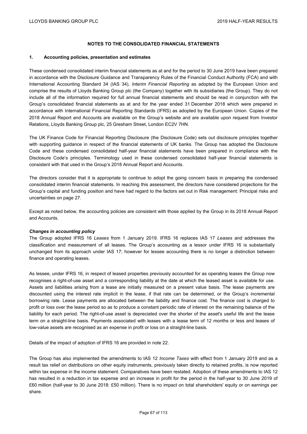## **NOTES TO THE CONSOLIDATED FINANCIAL STATEMENTS**

#### **1. Accounting policies, presentation and estimates**

These condensed consolidated interim financial statements as at and for the period to 30 June 2019 have been prepared in accordance with the Disclosure Guidance and Transparency Rules of the Financial Conduct Authority (FCA) and with International Accounting Standard 34 (IAS 34), *Interim Financial Reporting* as adopted by the European Union and comprise the results of Lloyds Banking Group plc (the Company) together with its subsidiaries (the Group). They do not include all of the information required for full annual financial statements and should be read in conjunction with the Group's consolidated financial statements as at and for the year ended 31 December 2018 which were prepared in accordance with International Financial Reporting Standards (IFRS) as adopted by the European Union. Copies of the 2018 Annual Report and Accounts are available on the Group's website and are available upon request from Investor Relations, Lloyds Banking Group plc, 25 Gresham Street, London EC2V 7HN.

The UK Finance Code for Financial Reporting Disclosure (the Disclosure Code) sets out disclosure principles together with supporting guidance in respect of the financial statements of UK banks. The Group has adopted the Disclosure Code and these condensed consolidated half-year financial statements have been prepared in compliance with the Disclosure Code's principles. Terminology used in these condensed consolidated half-year financial statements is consistent with that used in the Group's 2018 Annual Report and Accounts.

The directors consider that it is appropriate to continue to adopt the going concern basis in preparing the condensed consolidated interim financial statements. In reaching this assessment, the directors have considered projections for the Group's capital and funding position and have had regard to the factors set out in Risk management: Principal risks and uncertainties on page 27.

Except as noted below, the accounting policies are consistent with those applied by the Group in its 2018 Annual Report and Accounts.

### *Changes in accounting policy*

The Group adopted IFRS 16 *Leases* from 1 January 2019. IFRS 16 replaces IAS 17 *Leases* and addresses the classification and measurement of all leases. The Group's accounting as a lessor under IFRS 16 is substantially unchanged from its approach under IAS 17; however for lessee accounting there is no longer a distinction between finance and operating leases.

As lessee, under IFRS 16, in respect of leased properties previously accounted for as operating leases the Group now recognises a right-of-use asset and a corresponding liability at the date at which the leased asset is available for use. Assets and liabilities arising from a lease are initially measured on a present value basis. The lease payments are discounted using the interest rate implicit in the lease, if that rate can be determined, or the Group's incremental borrowing rate. Lease payments are allocated between the liability and finance cost. The finance cost is charged to profit or loss over the lease period so as to produce a constant periodic rate of interest on the remaining balance of the liability for each period. The right-of-use asset is depreciated over the shorter of the asset's useful life and the lease term on a straight-line basis. Payments associated with leases with a lease term of 12 months or less and leases of low-value assets are recognised as an expense in profit or loss on a straight-line basis.

Details of the impact of adoption of IFRS 16 are provided in note 22.

The Group has also implemented the amendments to IAS 12 *Income Taxes* with effect from 1 January 2019 and as a result tax relief on distributions on other equity instruments, previously taken directly to retained profits, is now reported within tax expense in the income statement. Comparatives have been restated. Adoption of these amendments to IAS 12 has resulted in a reduction in tax expense and an increase in profit for the period in the half-year to 30 June 2019 of £60 million (half-year to 30 June 2018: £50 million). There is no impact on total shareholders' equity or on earnings per share.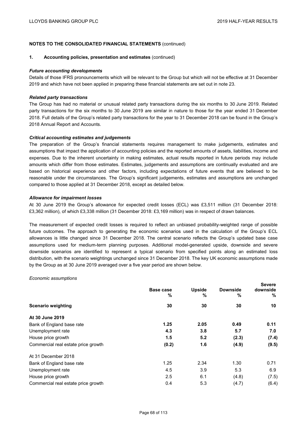## **NOTES TO THE CONSOLIDATED FINANCIAL STATEMENTS** (continued)

#### **1. Accounting policies, presentation and estimates** (continued)

#### *Future accounting developments*

Details of those IFRS pronouncements which will be relevant to the Group but which will not be effective at 31 December 2019 and which have not been applied in preparing these financial statements are set out in note 23.

#### *Related party transactions*

The Group has had no material or unusual related party transactions during the six months to 30 June 2019. Related party transactions for the six months to 30 June 2019 are similar in nature to those for the year ended 31 December 2018. Full details of the Group's related party transactions for the year to 31 December 2018 can be found in the Group's 2018 Annual Report and Accounts.

### *Critical accounting estimates and judgements*

The preparation of the Group's financial statements requires management to make judgements, estimates and assumptions that impact the application of accounting policies and the reported amounts of assets, liabilities, income and expenses. Due to the inherent uncertainty in making estimates, actual results reported in future periods may include amounts which differ from those estimates. Estimates, judgements and assumptions are continually evaluated and are based on historical experience and other factors, including expectations of future events that are believed to be reasonable under the circumstances. The Group's significant judgements, estimates and assumptions are unchanged compared to those applied at 31 December 2018, except as detailed below.

#### *Allowance for impairment losses*

At 30 June 2019 the Group's allowance for expected credit losses (ECL) was £3,511 million (31 December 2018: £3,362 million), of which £3,338 million (31 December 2018: £3,169 million) was in respect of drawn balances.

The measurement of expected credit losses is required to reflect an unbiased probability-weighted range of possible future outcomes. The approach to generating the economic scenarios used in the calculation of the Group's ECL allowances is little changed since 31 December 2018. The central scenario reflects the Group's updated base case assumptions used for medium-term planning purposes. Additional model-generated upside, downside and severe downside scenarios are identified to represent a typical scenario from specified points along an estimated loss distribution, with the scenario weightings unchanged since 31 December 2018. The key UK economic assumptions made by the Group as at 30 June 2019 averaged over a five year period are shown below.

#### *Economic assumptions*

|                                     |                |                    |                      | <b>Severe</b> |
|-------------------------------------|----------------|--------------------|----------------------|---------------|
|                                     | Base case<br>% | <b>Upside</b><br>% | <b>Downside</b><br>% | downside<br>% |
| <b>Scenario weighting</b>           | 30             | 30                 | 30                   | 10            |
| At 30 June 2019                     |                |                    |                      |               |
| Bank of England base rate           | 1.25           | 2.05               | 0.49                 | 0.11          |
| Unemployment rate                   | 4.3            | 3.8                | 5.7                  | 7.0           |
| House price growth                  | 1.5            | 5.2                | (2.3)                | (7.4)         |
| Commercial real estate price growth | (0.2)          | 1.6                | (4.9)                | (9.5)         |
| At 31 December 2018                 |                |                    |                      |               |
| Bank of England base rate           | 1.25           | 2.34               | 1.30                 | 0.71          |
| Unemployment rate                   | 4.5            | 3.9                | 5.3                  | 6.9           |
| House price growth                  | 2.5            | 6.1                | (4.8)                | (7.5)         |
| Commercial real estate price growth | 0.4            | 5.3                | (4.7)                | (6.4)         |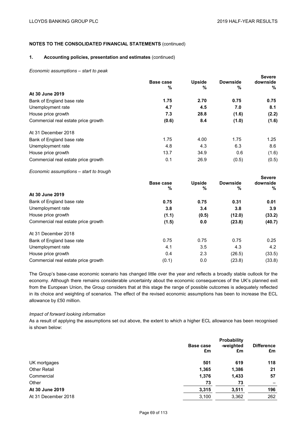# **NOTES TO THE CONSOLIDATED FINANCIAL STATEMENTS** (continued)

### **1. Accounting policies, presentation and estimates** (continued)

*Economic assumptions – start to peak* 

|                                     |           |               |                 | <b>Severe</b> |
|-------------------------------------|-----------|---------------|-----------------|---------------|
|                                     | Base case | <b>Upside</b> | <b>Downside</b> | downside      |
|                                     | %         | %             | %               | %             |
| At 30 June 2019                     |           |               |                 |               |
| Bank of England base rate           | 1.75      | 2.70          | 0.75            | 0.75          |
| Unemployment rate                   | 4.7       | 4.5           | 7.0             | 8.1           |
| House price growth                  | 7.3       | 28.8          | (1.6)           | (2.2)         |
| Commercial real estate price growth | (0.6)     | 8.4           | (1.0)           | (1.6)         |
| At 31 December 2018                 |           |               |                 |               |
| Bank of England base rate           | 1.75      | 4.00          | 1.75            | 1.25          |
| Unemployment rate                   | 4.8       | 4.3           | 6.3             | 8.6           |
| House price growth                  | 13.7      | 34.9          | 0.6             | (1.6)         |
| Commercial real estate price growth | 0.1       | 26.9          | (0.5)           | (0.5)         |
|                                     |           |               |                 |               |

*Economic assumptions – start to trough* 

|                                     |                |                    |                      | <b>Severe</b> |
|-------------------------------------|----------------|--------------------|----------------------|---------------|
|                                     | Base case<br>% | <b>Upside</b><br>% | <b>Downside</b><br>% | downside<br>% |
| At 30 June 2019                     |                |                    |                      |               |
|                                     |                |                    |                      |               |
| Bank of England base rate           | 0.75           | 0.75               | 0.31                 | 0.01          |
| Unemployment rate                   | 3.8            | 3.4                | 3.8                  | 3.9           |
| House price growth                  | (1.1)          | (0.5)              | (12.0)               | (33.2)        |
| Commercial real estate price growth | (1.5)          | 0.0                | (23.8)               | (40.7)        |
| At 31 December 2018                 |                |                    |                      |               |
| Bank of England base rate           | 0.75           | 0.75               | 0.75                 | 0.25          |
| Unemployment rate                   | 4.1            | 3.5                | 4.3                  | 4.2           |
| House price growth                  | 0.4            | 2.3                | (26.5)               | (33.5)        |
| Commercial real estate price growth | (0.1)          | 0.0                | (23.8)               | (33.8)        |

The Group's base-case economic scenario has changed little over the year and reflects a broadly stable outlook for the economy. Although there remains considerable uncertainty about the economic consequences of the UK's planned exit from the European Union, the Group considers that at this stage the range of possible outcomes is adequately reflected in its choice and weighting of scenarios. The effect of the revised economic assumptions has been to increase the ECL allowance by £50 million.

# *Impact of forward looking information*

As a result of applying the assumptions set out above, the extent to which a higher ECL allowance has been recognised is shown below:

|                     | Probability |                 |                         |
|---------------------|-------------|-----------------|-------------------------|
|                     | Base case   | -weighted<br>£m | <b>Difference</b><br>£m |
|                     | £m          |                 |                         |
| UK mortgages        | 501         | 619             | 118                     |
| <b>Other Retail</b> | 1,365       | 1,386           | 21                      |
| Commercial          | 1,376       | 1,433           | 57                      |
| Other               | 73          | 73              |                         |
| At 30 June 2019     | 3,315       | 3,511           | 196                     |
| At 31 December 2018 | 3,100       | 3,362           | 262                     |
|                     |             |                 |                         |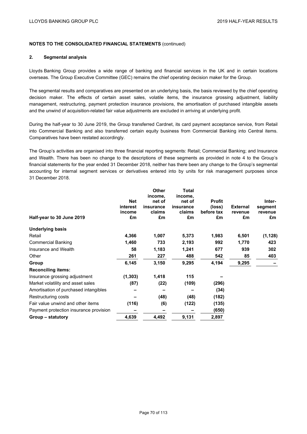### **2. Segmental analysis**

Lloyds Banking Group provides a wide range of banking and financial services in the UK and in certain locations overseas. The Group Executive Committee (GEC) remains the chief operating decision maker for the Group.

The segmental results and comparatives are presented on an underlying basis, the basis reviewed by the chief operating decision maker. The effects of certain asset sales, volatile items, the insurance grossing adjustment, liability management, restructuring, payment protection insurance provisions, the amortisation of purchased intangible assets and the unwind of acquisition-related fair value adjustments are excluded in arriving at underlying profit.

During the half-year to 30 June 2019, the Group transferred Cardnet, its card payment acceptance service, from Retail into Commercial Banking and also transferred certain equity business from Commercial Banking into Central items. Comparatives have been restated accordingly.

The Group's activities are organised into three financial reporting segments: Retail; Commercial Banking; and Insurance and Wealth. There has been no change to the descriptions of these segments as provided in note 4 to the Group's financial statements for the year ended 31 December 2018, neither has there been any change to the Group's segmental accounting for internal segment services or derivatives entered into by units for risk management purposes since 31 December 2018.

|                                        |            | <b>Other</b> | Total     |               |                 |          |
|----------------------------------------|------------|--------------|-----------|---------------|-----------------|----------|
|                                        |            | income,      | income,   |               |                 |          |
|                                        | <b>Net</b> | net of       | net of    | <b>Profit</b> |                 | Inter-   |
|                                        | interest   | insurance    | insurance | (loss)        | <b>External</b> | segment  |
|                                        | income     | claims       | claims    | before tax    | revenue         | revenue  |
| Half-year to 30 June 2019              | £m         | £m           | £m        | £m            | £m              | £m       |
| <b>Underlying basis</b>                |            |              |           |               |                 |          |
| Retail                                 | 4,366      | 1,007        | 5,373     | 1,983         | 6,501           | (1, 128) |
| <b>Commercial Banking</b>              | 1,460      | 733          | 2,193     | 992           | 1,770           | 423      |
| Insurance and Wealth                   | 58         | 1,183        | 1,241     | 677           | 939             | 302      |
| Other                                  | 261        | 227          | 488       | 542           | 85              | 403      |
| Group                                  | 6,145      | 3,150        | 9,295     | 4,194         | 9,295           |          |
| <b>Reconciling items:</b>              |            |              |           |               |                 |          |
| Insurance grossing adjustment          | (1, 303)   | 1,418        | 115       |               |                 |          |
| Market volatility and asset sales      | (87)       | (22)         | (109)     | (296)         |                 |          |
| Amortisation of purchased intangibles  |            |              |           | (34)          |                 |          |
| Restructuring costs                    |            | (48)         | (48)      | (182)         |                 |          |
| Fair value unwind and other items      | (116)      | (6)          | (122)     | (135)         |                 |          |
| Payment protection insurance provision |            |              |           | (650)         |                 |          |
| Group – statutory                      | 4,639      | 4,492        | 9,131     | 2,897         |                 |          |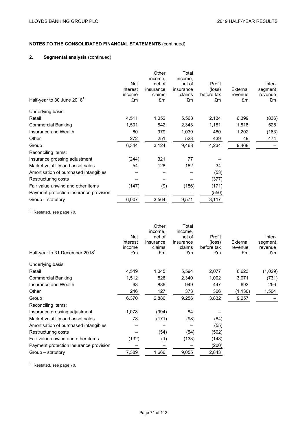## **2. Segmental analysis** (continued)

|                                        | <b>Net</b><br>interest | Other<br>income,<br>net of<br>insurance | Total<br>income,<br>net of<br>insurance | Profit<br>(loss) | External | Inter-<br>segment |
|----------------------------------------|------------------------|-----------------------------------------|-----------------------------------------|------------------|----------|-------------------|
|                                        | income                 | claims                                  | claims                                  | before tax       | revenue  | revenue           |
| Half-year to 30 June 2018 <sup>1</sup> | £m                     | £m                                      | £m                                      | £m               | £m       | £m                |
| Underlying basis                       |                        |                                         |                                         |                  |          |                   |
| Retail                                 | 4,511                  | 1,052                                   | 5,563                                   | 2,134            | 6,399    | (836)             |
| <b>Commercial Banking</b>              | 1,501                  | 842                                     | 2,343                                   | 1,181            | 1,818    | 525               |
| Insurance and Wealth                   | 60                     | 979                                     | 1,039                                   | 480              | 1,202    | (163)             |
| Other                                  | 272                    | 251                                     | 523                                     | 439              | 49       | 474               |
| Group                                  | 6,344                  | 3,124                                   | 9,468                                   | 4,234            | 9,468    |                   |
| Reconciling items:                     |                        |                                         |                                         |                  |          |                   |
| Insurance grossing adjustment          | (244)                  | 321                                     | 77                                      |                  |          |                   |
| Market volatility and asset sales      | 54                     | 128                                     | 182                                     | 34               |          |                   |
| Amortisation of purchased intangibles  |                        |                                         |                                         | (53)             |          |                   |
| Restructuring costs                    |                        |                                         |                                         | (377)            |          |                   |
| Fair value unwind and other items      | (147)                  | (9)                                     | (156)                                   | (171)            |          |                   |
| Payment protection insurance provision |                        |                                         |                                         | (550)            |          |                   |
| Group - statutory                      | 6,007                  | 3,564                                   | 9,571                                   | 3,117            |          |                   |

<sup>1</sup> Restated, see page 70.

|                                            |          | Other     | Total     |            |          |         |
|--------------------------------------------|----------|-----------|-----------|------------|----------|---------|
|                                            |          | income,   | income,   |            |          |         |
|                                            | Net      | net of    | net of    | Profit     |          | Inter-  |
|                                            | interest | insurance | insurance | (loss)     | External | segment |
|                                            | income   | claims    | claims    | before tax | revenue  | revenue |
| Half-year to 31 December 2018 <sup>1</sup> | £m       | £m        | £m        | £m         | £m       | £m      |
| Underlying basis                           |          |           |           |            |          |         |
| Retail                                     | 4,549    | 1,045     | 5,594     | 2,077      | 6,623    | (1,029) |
| <b>Commercial Banking</b>                  | 1,512    | 828       | 2,340     | 1,002      | 3,071    | (731)   |
| Insurance and Wealth                       | 63       | 886       | 949       | 447        | 693      | 256     |
| Other                                      | 246      | 127       | 373       | 306        | (1, 130) | 1,504   |
| Group                                      | 6,370    | 2,886     | 9,256     | 3,832      | 9,257    |         |
| Reconciling items:                         |          |           |           |            |          |         |
| Insurance grossing adjustment              | 1,078    | (994)     | 84        |            |          |         |
| Market volatility and asset sales          | 73       | (171)     | (98)      | (84)       |          |         |
| Amortisation of purchased intangibles      |          |           |           | (55)       |          |         |
| Restructuring costs                        |          | (54)      | (54)      | (502)      |          |         |
| Fair value unwind and other items          | (132)    | (1)       | (133)     | (148)      |          |         |
| Payment protection insurance provision     |          |           |           | (200)      |          |         |
| Group - statutory                          | 7,389    | 1,666     | 9,055     | 2,843      |          |         |
|                                            |          |           |           |            |          |         |

 $1$  Restated, see page 70.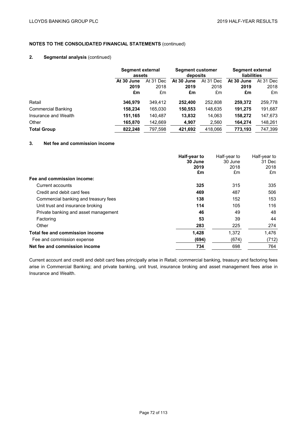## **2. Segmental analysis** (continued)

|                           |            | Segment external<br>assets |            | <b>Segment customer</b><br>deposits |            | Segment external<br><b>liabilities</b> |  |
|---------------------------|------------|----------------------------|------------|-------------------------------------|------------|----------------------------------------|--|
|                           | At 30 June | At 31 Dec                  | At 30 June | At 31 Dec                           | At 30 June | At 31 Dec                              |  |
|                           | 2019       | 2018                       | 2019       | 2018                                | 2019       | 2018                                   |  |
|                           | £m         | £m                         | £m         | £m                                  | £m         | £m                                     |  |
| Retail                    | 346,979    | 349.412                    | 252,400    | 252,808                             | 259.372    | 259,778                                |  |
| <b>Commercial Banking</b> | 158,234    | 165.030                    | 150,553    | 148,635                             | 191,275    | 191,687                                |  |
| Insurance and Wealth      | 151,165    | 140,487                    | 13,832     | 14,063                              | 158,272    | 147,673                                |  |
| Other                     | 165,870    | 142,669                    | 4,907      | 2,560                               | 164,274    | 148,261                                |  |
| <b>Total Group</b>        | 822.248    | 797.598                    | 421,692    | 418.066                             | 773.193    | 747,399                                |  |

## **3. Net fee and commission income**

|                                      | Half-year to<br>30 June | Half-year to<br>30 June | Half-year to<br>31 Dec |
|--------------------------------------|-------------------------|-------------------------|------------------------|
|                                      | 2019                    | 2018                    | 2018                   |
|                                      | £m                      | £m                      | £m                     |
| Fee and commission income:           |                         |                         |                        |
| Current accounts                     | 325                     | 315                     | 335                    |
| Credit and debit card fees           | 469                     | 487                     | 506                    |
| Commercial banking and treasury fees | 138                     | 152                     | 153                    |
| Unit trust and insurance broking     | 114                     | 105                     | 116                    |
| Private banking and asset management | 46                      | 49                      | 48                     |
| Factoring                            | 53                      | 39                      | 44                     |
| Other                                | 283                     | 225                     | 274                    |
| Total fee and commission income      | 1,428                   | 1,372                   | 1,476                  |
| Fee and commission expense           | (694)                   | (674)                   | (712)                  |
| Net fee and commission income        | 734                     | 698                     | 764                    |

Current account and credit and debit card fees principally arise in Retail; commercial banking, treasury and factoring fees arise in Commercial Banking; and private banking, unit trust, insurance broking and asset management fees arise in Insurance and Wealth.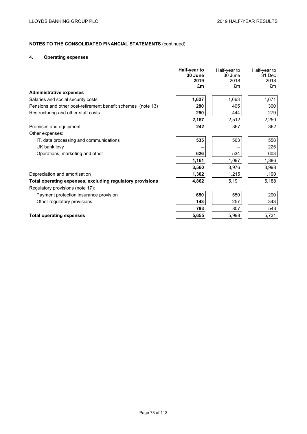## **4. Operating expenses**

|                                                              | Half-year to<br>30 June<br>2019<br>£m | Half-year to<br>30 June<br>2018<br>£m | Half-year to<br>31 Dec<br>2018<br>£m |
|--------------------------------------------------------------|---------------------------------------|---------------------------------------|--------------------------------------|
| <b>Administrative expenses</b>                               |                                       |                                       |                                      |
| Salaries and social security costs                           | 1,627                                 | 1,663                                 | 1,671                                |
| Pensions and other post-retirement benefit schemes (note 13) | 280                                   | 405                                   | 300                                  |
| Restructuring and other staff costs                          | 250                                   | 444                                   | 279                                  |
|                                                              | 2,157                                 | 2,512                                 | 2,250                                |
| Premises and equipment                                       | 242                                   | 367                                   | 362                                  |
| Other expenses:                                              |                                       |                                       |                                      |
| IT, data processing and communications                       | 535                                   | 563                                   | 558                                  |
| UK bank levy                                                 |                                       |                                       | 225                                  |
| Operations, marketing and other                              | 626                                   | 534                                   | 603                                  |
|                                                              | 1,161                                 | 1,097                                 | 1,386                                |
|                                                              | 3,560                                 | 3,976                                 | 3,998                                |
| Depreciation and amortisation                                | 1,302                                 | 1,215                                 | 1,190                                |
| Total operating expenses, excluding regulatory provisions    | 4,862                                 | 5,191                                 | 5,188                                |
| Regulatory provisions (note 17):                             |                                       |                                       |                                      |
| Payment protection insurance provision                       | 650                                   | 550                                   | 200                                  |
| Other regulatory provisions                                  | 143                                   | 257                                   | 343                                  |
|                                                              | 793                                   | 807                                   | 543                                  |
| <b>Total operating expenses</b>                              | 5,655                                 | 5,998                                 | 5,731                                |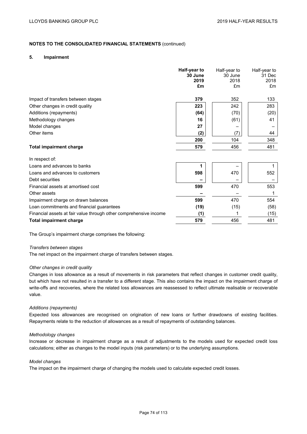### **5. Impairment**

|                                                                   | Half-year to<br>30 June<br>2019<br>£m | Half-year to<br>30 June<br>2018<br>£m | Half-year to<br>31 Dec<br>2018<br>£m |
|-------------------------------------------------------------------|---------------------------------------|---------------------------------------|--------------------------------------|
| Impact of transfers between stages                                | 379                                   | 352                                   | 133                                  |
| Other changes in credit quality                                   | 223                                   | 242                                   | 283                                  |
| Additions (repayments)                                            | (64)                                  | (70)                                  | (20)                                 |
| Methodology changes                                               | 16                                    | (61)                                  | 41                                   |
| Model changes                                                     | 27                                    |                                       |                                      |
| Other items                                                       | (2)                                   | (7)                                   | 44                                   |
|                                                                   | 200                                   | 104                                   | 348                                  |
| <b>Total impairment charge</b>                                    | 579                                   | 456                                   | 481                                  |
| In respect of:                                                    |                                       |                                       |                                      |
| Loans and advances to banks                                       |                                       |                                       |                                      |
| Loans and advances to customers                                   | 598                                   | 470                                   | 552                                  |
| Debt securities                                                   |                                       |                                       |                                      |
| Financial assets at amortised cost                                | 599                                   | 470                                   | 553                                  |
| Other assets                                                      |                                       |                                       | 1                                    |
| Impairment charge on drawn balances                               | 599                                   | 470                                   | 554                                  |
| Loan commitments and financial guarantees                         | (19)                                  | (15)                                  | (58)                                 |
| Financial assets at fair value through other comprehensive income | (1)                                   | 1                                     | (15)                                 |
| <b>Total impairment charge</b>                                    | 579                                   | 456                                   | 481                                  |

The Group's impairment charge comprises the following:

#### *Transfers between stages*

The net impact on the impairment charge of transfers between stages.

#### *Other changes in credit quality*

Changes in loss allowance as a result of movements in risk parameters that reflect changes in customer credit quality, but which have not resulted in a transfer to a different stage. This also contains the impact on the impairment charge of write-offs and recoveries, where the related loss allowances are reassessed to reflect ultimate realisable or recoverable value.

#### *Additions (repayments)*

Expected loss allowances are recognised on origination of new loans or further drawdowns of existing facilities. Repayments relate to the reduction of allowances as a result of repayments of outstanding balances.

#### *Methodology changes*

Increase or decrease in impairment charge as a result of adjustments to the models used for expected credit loss calculations; either as changes to the model inputs (risk parameters) or to the underlying assumptions.

#### *Model changes*

The impact on the impairment charge of changing the models used to calculate expected credit losses.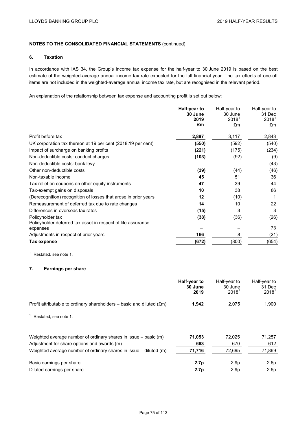#### **6. Taxation**

In accordance with IAS 34, the Group's income tax expense for the half-year to 30 June 2019 is based on the best estimate of the weighted-average annual income tax rate expected for the full financial year. The tax effects of one-off items are not included in the weighted-average annual income tax rate, but are recognised in the relevant period.

An explanation of the relationship between tax expense and accounting profit is set out below:

|                                                                          | Half-year to    | Half-year to        | Half-year to       |
|--------------------------------------------------------------------------|-----------------|---------------------|--------------------|
|                                                                          | 30 June<br>2019 | 30 June<br>$2018^1$ | 31 Dec<br>$2018^1$ |
|                                                                          | £m              | £m                  | £m                 |
|                                                                          |                 |                     |                    |
| Profit before tax                                                        | 2,897           | 3,117               | 2,843              |
| UK corporation tax thereon at 19 per cent (2018:19 per cent)             | (550)           | (592)               | (540)              |
| Impact of surcharge on banking profits                                   | (221)           | (175)               | (234)              |
| Non-deductible costs: conduct charges                                    | (103)           | (92)                | (9)                |
| Non-deductible costs: bank levy                                          |                 |                     | (43)               |
| Other non-deductible costs                                               | (39)            | (44)                | (46)               |
| Non-taxable income                                                       | 45              | 51                  | 36                 |
| Tax relief on coupons on other equity instruments                        | 47              | 39                  | 44                 |
| Tax-exempt gains on disposals                                            | 10              | 38                  | 86                 |
| (Derecognition) recognition of losses that arose in prior years          | 12              | (10)                | 1                  |
| Remeasurement of deferred tax due to rate changes                        | 14              | 10                  | 22                 |
| Differences in overseas tax rates                                        | (15)            | 3                   | 3                  |
| Policyholder tax                                                         | (38)            | (36)                | (26)               |
| Policyholder deferred tax asset in respect of life assurance<br>expenses |                 |                     | 73                 |
| Adjustments in respect of prior years                                    | 166             | 8                   | (21)               |
| Tax expense                                                              | (672)           | (800)               | (654)              |

<sup>1</sup> Restated, see note 1.

# **7. Earnings per share**

|                                                                                  | Half-year to<br>30 June<br>2019 | Half-year to<br>30 June<br>2018 <sup>1</sup> | Half-year to<br>31 Dec<br>2018 <sup>1</sup> |
|----------------------------------------------------------------------------------|---------------------------------|----------------------------------------------|---------------------------------------------|
| Profit attributable to ordinary shareholders $-$ basic and diluted $(\text{Em})$ | 1,942                           | 2,075                                        | 1,900                                       |
| Restated, see note 1.                                                            |                                 |                                              |                                             |
| Weighted average number of ordinary shares in issue $-$ basic (m)                | 71,053                          | 72.025                                       | 71,257                                      |
| Adjustment for share options and awards (m)                                      | 663                             | 670                                          | 612                                         |
| Weighted average number of ordinary shares in issue – diluted (m)                | 71,716                          | 72.695                                       | 71,869                                      |
| Basic earnings per share                                                         | 2.7 <sub>p</sub>                | 2.9 <sub>p</sub>                             | 2.6p                                        |
| Diluted earnings per share                                                       | 2.7p                            | 2.9 <sub>p</sub>                             | 2.6p                                        |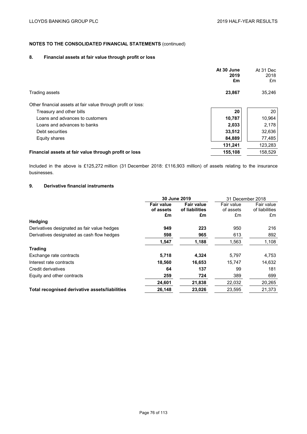## **8. Financial assets at fair value through profit or loss**

|                                                              | At 30 June<br>2019<br>£m | At 31 Dec<br>2018<br>£m |
|--------------------------------------------------------------|--------------------------|-------------------------|
| Trading assets                                               | 23,867                   | 35,246                  |
| Other financial assets at fair value through profit or loss: |                          |                         |
| Treasury and other bills                                     | 20                       | 20                      |
| Loans and advances to customers                              | 10,787                   | 10,964                  |
| Loans and advances to banks                                  | 2,033                    | 2,178                   |
| Debt securities                                              | 33,512                   | 32,636                  |
| Equity shares                                                | 84,889                   | 77,485                  |
|                                                              | 131,241                  | 123,283                 |
| Financial assets at fair value through profit or loss        | 155,108                  | 158,529                 |

Included in the above is £125,272 million (31 December 2018: £116,903 million) of assets relating to the insurance businesses.

## **9. Derivative financial instruments**

|                                | 31 December 2018                    |                         |                              |
|--------------------------------|-------------------------------------|-------------------------|------------------------------|
| <b>Fair value</b><br>of assets | <b>Fair value</b><br>of liabilities | Fair value<br>of assets | Fair value<br>of liabilities |
|                                |                                     |                         | £m                           |
|                                |                                     |                         |                              |
| 949                            | 223                                 | 950                     | 216                          |
| 598                            | 965                                 | 613                     | 892                          |
| 1,547                          | 1,188                               | 1,563                   | 1,108                        |
|                                |                                     |                         |                              |
| 5,718                          | 4,324                               | 5,797                   | 4,753                        |
| 18,560                         | 16,653                              | 15.747                  | 14,632                       |
| 64                             | 137                                 | 99                      | 181                          |
| 259                            | 724                                 | 389                     | 699                          |
| 24,601                         | 21,838                              | 22,032                  | 20,265                       |
| 26,148                         | 23,026                              | 23,595                  | 21,373                       |
|                                | £m                                  | 30 June 2019<br>£m      | £m                           |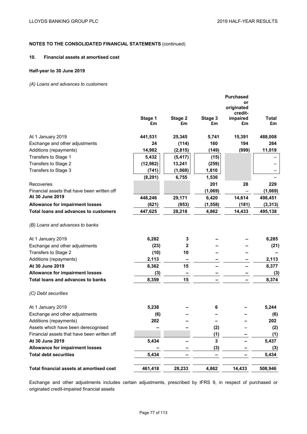### **10. Financial assets at amortised cost**

### **Half-year to 30 June 2019**

### *(A) Loans and advances to customers*

|                                              |               |               |               | <b>Purchased</b><br>or<br>originated<br>credit- |                    |
|----------------------------------------------|---------------|---------------|---------------|-------------------------------------------------|--------------------|
|                                              | Stage 1<br>£m | Stage 2<br>£m | Stage 3<br>£m | impaired<br>£m                                  | <b>Total</b><br>£m |
| At 1 January 2019                            | 441,531       | 25,345        | 5,741         | 15,391                                          | 488,008            |
| Exchange and other adjustments               | 24            | (114)         | 160           | 194                                             | 264                |
| Additions (repayments)                       | 14,982        | (2,815)       | (149)         | (999)                                           | 11,019             |
| Transfers to Stage 1                         | 5,432         | (5, 417)      | (15)          |                                                 |                    |
| Transfers to Stage 2                         | (12, 982)     | 13,241        | (259)         |                                                 |                    |
| Transfers to Stage 3                         | (741)         | (1,069)       | 1,810         |                                                 |                    |
|                                              | (8, 291)      | 6,755         | 1,536         |                                                 |                    |
| Recoveries                                   |               |               | 201           | 28                                              | 229                |
| Financial assets that have been written off  |               |               | (1,069)       |                                                 | (1,069)            |
| At 30 June 2019                              | 448,246       | 29,171        | 6,420         | 14,614                                          | 498,451            |
| <b>Allowance for impairment losses</b>       | (621)         | (953)         | (1, 558)      | (181)                                           | (3, 313)           |
| <b>Total loans and advances to customers</b> | 447,625       | 28,218        | 4,862         | 14,433                                          | 495,138            |
| (B) Loans and advances to banks              |               |               |               |                                                 |                    |
| At 1 January 2019                            | 6,282         | 3             |               |                                                 | 6,285              |
| Exchange and other adjustments               | (23)          | $\mathbf{2}$  |               |                                                 | (21)               |
| Transfers to Stage 2                         | (10)          | 10            |               |                                                 |                    |
| Additions (repayments)                       | 2,113         |               |               |                                                 | 2,113              |
| At 30 June 2019                              | 8,362         | 15            |               |                                                 | 8,377              |
| <b>Allowance for impairment losses</b>       | (3)           |               |               |                                                 | (3)                |
| <b>Total loans and advances to banks</b>     | 8,359         | 15            |               |                                                 | 8,374              |
| (C) Debt securities                          |               |               |               |                                                 |                    |
| At 1 January 2019                            | 5,238         |               | 6             |                                                 | 5,244              |
| Exchange and other adjustments               | (6)           |               |               |                                                 | (6)                |
| Additions (repayments)                       | 202           |               |               |                                                 | 202                |
| Assets which have been derecognised          |               |               | (2)           |                                                 | (2)                |
| Financial assets that have been written off  |               |               | (1)           |                                                 | (1)                |
| At 30 June 2019                              | 5,434         |               | 3             |                                                 | 5,437              |
| <b>Allowance for impairment losses</b>       |               |               | (3)           |                                                 | (3)                |
| <b>Total debt securities</b>                 | 5,434         |               |               |                                                 | 5,434              |
| Total financial assets at amortised cost     | 461,418       | 28,233        | 4,862         | 14,433                                          | 508,946            |
|                                              |               |               |               |                                                 |                    |

Exchange and other adjustments includes certain adjustments, prescribed by IFRS 9, in respect of purchased or originated credit-impaired financial assets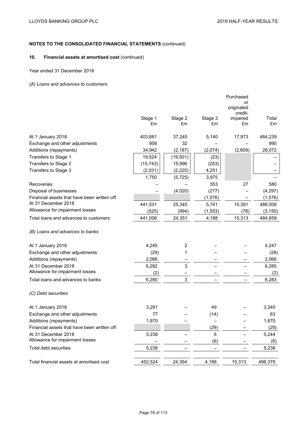## **10. Financial assets at amortised cost** (continued)

Year ended 31 December 2018

## *(A) Loans and advances to customers*

|                                             |           |                  |          | Purchased           |          |
|---------------------------------------------|-----------|------------------|----------|---------------------|----------|
|                                             |           |                  |          | or                  |          |
|                                             |           |                  |          | originated          |          |
|                                             | Stage 1   | Stage 2          | Stage 3  | credit-<br>impaired | Total    |
|                                             | £m        | £m               | £m       | £m                  | £m       |
|                                             |           |                  |          |                     |          |
| At 1 January 2018                           | 403,881   | 37,245           | 5,140    | 17,973              | 464,239  |
| Exchange and other adjustments              | 958       | 32               |          |                     | 990      |
| Additions (repayments)                      | 34,942    | (2, 187)         | (2,074)  | (2,609)             | 28,072   |
| Transfers to Stage 1                        | 19,524    | (19, 501)        | (23)     |                     |          |
| Transfers to Stage 2                        | (15, 743) | 15,996           | (253)    |                     |          |
| Transfers to Stage 3                        | (2,031)   | (2,220)          | 4,251    |                     |          |
|                                             | 1,750     | (5, 725)         | 3,975    |                     |          |
| Recoveries                                  |           |                  | 553      | 27                  | 580      |
| Disposal of businesses                      |           | (4,020)          | (277)    |                     | (4, 297) |
| Financial assets that have been written off |           |                  | (1, 576) |                     | (1, 576) |
| At 31 December 2018                         | 441,531   | 25,345           | 5,741    | 15,391              | 488,008  |
| Allowance for impairment losses             | (525)     | (994)            | (1, 553) | (78)                | (3, 150) |
| Total loans and advances to customers       | 441,006   | 24,351           | 4,188    | 15,313              | 484,858  |
| (B) Loans and advances to banks             |           |                  |          |                     |          |
|                                             |           |                  |          |                     |          |
| At 1 January 2018                           | 4,245     | $\boldsymbol{2}$ |          |                     | 4,247    |
| Exchange and other adjustments              | (29)      | 1                |          |                     | (28)     |
| Additions (repayments)                      | 2,066     |                  |          |                     | 2,066    |
| At 31 December 2018                         | 6,282     | 3                |          |                     | 6,285    |
| Allowance for impairment losses             | (2)       |                  |          |                     | (2)      |
| Total loans and advances to banks           | 6,280     | $\mathsf 3$      |          |                     | 6,283    |
| (C) Debt securities                         |           |                  |          |                     |          |
|                                             |           |                  |          |                     |          |
| At 1 January 2018                           | 3,291     |                  | 49       |                     | 3,340    |
| Exchange and other adjustments              | 77        |                  | (14)     |                     | 63       |
| Additions (repayments)                      | 1,870     |                  |          |                     | 1,870    |
| Financial assets that have been written off |           |                  | (29)     |                     | (29)     |
| At 31 December 2018                         | 5,238     |                  | $\,6\,$  |                     | 5,244    |
| Allowance for impairment losses             |           |                  | (6)      |                     | (6)      |
| <b>Total debt securities</b>                | 5,238     |                  |          |                     | 5,238    |
|                                             |           |                  |          |                     |          |
| Total financial assets at amortised cost    | 452,524   | 24,354           | 4,188    | 15,313              | 496,379  |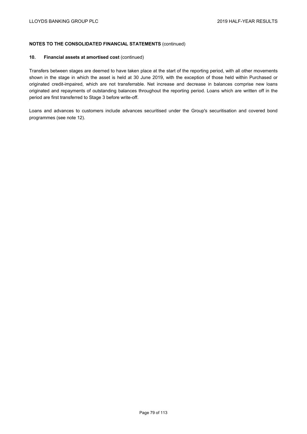### **10. Financial assets at amortised cost** (continued)

Transfers between stages are deemed to have taken place at the start of the reporting period, with all other movements shown in the stage in which the asset is held at 30 June 2019, with the exception of those held within Purchased or originated credit-impaired, which are not transferrable. Net increase and decrease in balances comprise new loans originated and repayments of outstanding balances throughout the reporting period. Loans which are written off in the period are first transferred to Stage 3 before write-off.

Loans and advances to customers include advances securitised under the Group's securitisation and covered bond programmes (see note 12).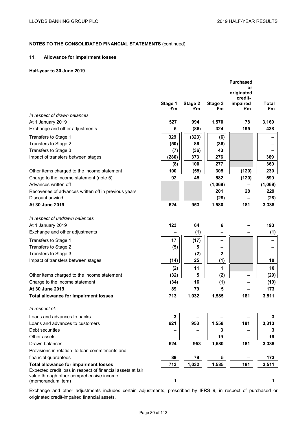### **11. Allowance for impairment losses**

### **Half-year to 30 June 2019**

|                                                                                                         | Stage 1 | Stage 2 | Stage 3     | <b>Purchased</b><br>or<br>originated<br>credit-<br>impaired | <b>Total</b> |
|---------------------------------------------------------------------------------------------------------|---------|---------|-------------|-------------------------------------------------------------|--------------|
|                                                                                                         | £m      | £m      | £m          | £m                                                          | £m           |
| In respect of drawn balances                                                                            |         |         |             |                                                             |              |
| At 1 January 2019                                                                                       | 527     | 994     | 1,570       | 78                                                          | 3,169        |
| Exchange and other adjustments                                                                          | 5       | (86)    | 324         | 195                                                         | 438          |
| Transfers to Stage 1                                                                                    | 329     | (323)   | (6)         |                                                             |              |
| Transfers to Stage 2                                                                                    | (50)    | 86      | (36)        |                                                             |              |
| Transfers to Stage 3                                                                                    | (7)     | (36)    | 43          |                                                             |              |
| Impact of transfers between stages                                                                      | (280)   | 373     | 276         |                                                             | 369          |
|                                                                                                         | (8)     | 100     | 277         |                                                             | 369          |
| Other items charged to the income statement                                                             | 100     | (55)    | 305         | (120)                                                       | 230          |
| Charge to the income statement (note 5)                                                                 | 92      | 45      | 582         | (120)                                                       | 599          |
| Advances written off                                                                                    |         |         | (1,069)     |                                                             | (1,069)      |
| Recoveries of advances written off in previous years                                                    |         |         | 201         | 28                                                          | 229          |
| Discount unwind                                                                                         |         |         | (28)        |                                                             | (28)         |
| At 30 June 2019                                                                                         | 624     | 953     | 1,580       | 181                                                         | 3,338        |
|                                                                                                         |         |         |             |                                                             |              |
| In respect of undrawn balances                                                                          |         |         |             |                                                             |              |
| At 1 January 2019                                                                                       | 123     | 64      | 6           |                                                             | 193          |
| Exchange and other adjustments                                                                          |         | (1)     |             |                                                             | (1)          |
| Transfers to Stage 1                                                                                    | 17      | (17)    |             |                                                             |              |
| Transfers to Stage 2                                                                                    | (5)     | 5       |             |                                                             |              |
| Transfers to Stage 3                                                                                    |         | (2)     | $\mathbf 2$ |                                                             |              |
| Impact of transfers between stages                                                                      | (14)    | 25      | (1)         |                                                             | 10           |
|                                                                                                         | (2)     | 11      | 1           |                                                             | 10           |
| Other items charged to the income statement                                                             | (32)    | 5       | (2)         | -                                                           | (29)         |
| Charge to the income statement                                                                          | (34)    | 16      | (1)         |                                                             | (19)         |
| At 30 June 2019                                                                                         | 89      | 79      | 5           |                                                             | 173          |
| <b>Total allowance for impairment losses</b>                                                            | 713     | 1,032   | 1,585       | 181                                                         | 3,511        |
| In respect of:                                                                                          |         |         |             |                                                             |              |
| Loans and advances to banks                                                                             | 3       |         |             |                                                             | 3            |
| Loans and advances to customers                                                                         | 621     | 953     | 1,558       | 181                                                         | 3,313        |
| Debt securities                                                                                         |         |         | 3           |                                                             | 3            |
| Other assets                                                                                            |         |         | 19          |                                                             | 19           |
| Drawn balances                                                                                          | 624     | 953     | 1,580       | 181                                                         | 3,338        |
| Provisions in relation to loan commitments and                                                          |         |         |             |                                                             |              |
| financial guarantees                                                                                    | 89      | 79      | 5           |                                                             | 173          |
| <b>Total allowance for impairment losses</b>                                                            | 713     | 1,032   | 1,585       | 181                                                         | 3,511        |
| Expected credit loss in respect of financial assets at fair<br>value through other comprehensive income |         |         |             |                                                             |              |
| (memorandum item)                                                                                       | 1.      |         |             |                                                             | 1            |
|                                                                                                         |         |         |             |                                                             |              |

Exchange and other adjustments includes certain adjustments, prescribed by IFRS 9, in respect of purchased or originated credit-impaired financial assets.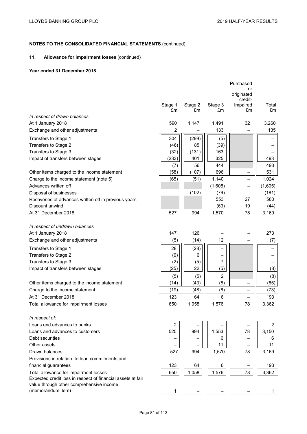## **11. Allowance for impairment losses** (continued)

### **Year ended 31 December 2018**

|                                                             | Stage 1 | Stage 2 | Stage 3        | Purchased<br>or<br>originated<br>credit-<br>Impaired | Total   |
|-------------------------------------------------------------|---------|---------|----------------|------------------------------------------------------|---------|
|                                                             | £m      | £m      | £m             | £m                                                   | £m      |
| In respect of drawn balances                                |         |         |                |                                                      |         |
| At 1 January 2018                                           | 590     | 1,147   | 1,491          | 32                                                   | 3,260   |
| Exchange and other adjustments                              | 2       |         | 133            |                                                      | 135     |
| Transfers to Stage 1                                        | 304     | (299)   | (5)            |                                                      |         |
| Transfers to Stage 2                                        | (46)    | 85      | (39)           |                                                      |         |
| Transfers to Stage 3                                        | (32)    | (131)   | 163            |                                                      |         |
| Impact of transfers between stages                          | (233)   | 401     | 325            |                                                      | 493     |
|                                                             | (7)     | 56      | 444            |                                                      | 493     |
| Other items charged to the income statement                 | (58)    | (107)   | 696            |                                                      | 531     |
| Charge to the income statement (note 5)                     | (65)    | (51)    | 1,140          |                                                      | 1,024   |
| Advances written off                                        |         |         | (1,605)        |                                                      | (1,605) |
| Disposal of businesses                                      |         | (102)   | (79)           |                                                      | (181)   |
| Recoveries of advances written off in previous years        |         |         | 553            | 27                                                   | 580     |
| Discount unwind                                             |         |         | (63)           | 19                                                   | (44)    |
| At 31 December 2018                                         | 527     | 994     | 1,570          | 78                                                   | 3,169   |
|                                                             |         |         |                |                                                      |         |
| In respect of undrawn balances                              |         |         |                |                                                      |         |
| At 1 January 2018                                           | 147     | 126     |                |                                                      | 273     |
| Exchange and other adjustments                              | (5)     | (14)    | 12             |                                                      | (7)     |
| Transfers to Stage 1                                        | 28      | (28)    |                |                                                      |         |
| Transfers to Stage 2                                        | (6)     | 6       |                |                                                      |         |
| Transfers to Stage 3                                        | (2)     | (5)     | 7              |                                                      |         |
| Impact of transfers between stages                          | (25)    | 22      | (5)            |                                                      | (8)     |
|                                                             | (5)     | (5)     | $\overline{2}$ |                                                      | (8)     |
| Other items charged to the income statement                 | (14)    | (43)    | (8)            |                                                      | (65)    |
| Charge to the income statement                              | (19)    | (48)    | (6)            |                                                      | (73)    |
| At 31 December 2018                                         | 123     | 64      | 6              |                                                      | 193     |
| Total allowance for impairment losses                       | 650     | 1,058   | 1,576          | 78                                                   | 3,362   |
|                                                             |         |         |                |                                                      |         |
| In respect of:                                              |         |         |                |                                                      |         |
| Loans and advances to banks                                 | 2       |         |                |                                                      | 2       |
| Loans and advances to customers                             | 525     | 994     | 1,553          | 78                                                   | 3,150   |
| Debt securities                                             |         |         | 6              |                                                      | 6       |
| Other assets                                                |         |         | 11             |                                                      | 11      |
| Drawn balances                                              | 527     | 994     | 1,570          | 78                                                   | 3,169   |
| Provisions in relation to loan commitments and              |         |         |                |                                                      |         |
| financial guarantees                                        | 123     | 64      | 6              |                                                      | 193     |
| Total allowance for impairment losses                       | 650     | 1,058   | 1,576          | 78                                                   | 3,362   |
| Expected credit loss in respect of financial assets at fair |         |         |                |                                                      |         |
| value through other comprehensive income                    |         |         |                |                                                      |         |
| (memorandum item)                                           | 1       |         |                |                                                      |         |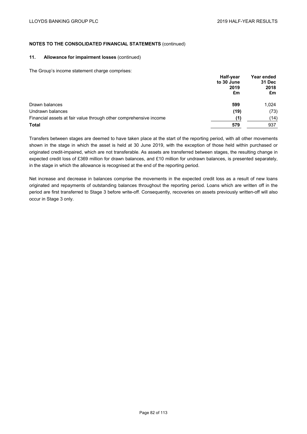### **11. Allowance for impairment losses** (continued)

The Group's income statement charge comprises:

|                                                                   | Half-year          |       |        |
|-------------------------------------------------------------------|--------------------|-------|--------|
|                                                                   | to 30 June<br>2019 |       | 31 Dec |
|                                                                   |                    | 2018  |        |
|                                                                   | £m                 | £m    |        |
| Drawn balances                                                    | 599                | 1.024 |        |
| Undrawn balances                                                  | (19)               | (73)  |        |
| Financial assets at fair value through other comprehensive income | (1)                | (14)  |        |
| <b>Total</b>                                                      | 579                | 937   |        |

Transfers between stages are deemed to have taken place at the start of the reporting period, with all other movements shown in the stage in which the asset is held at 30 June 2019, with the exception of those held within purchased or originated credit-impaired, which are not transferable. As assets are transferred between stages, the resulting change in expected credit loss of £369 million for drawn balances, and £10 million for undrawn balances, is presented separately, in the stage in which the allowance is recognised at the end of the reporting period.

Net increase and decrease in balances comprise the movements in the expected credit loss as a result of new loans originated and repayments of outstanding balances throughout the reporting period. Loans which are written off in the period are first transferred to Stage 3 before write-off. Consequently, recoveries on assets previously written-off will also occur in Stage 3 only.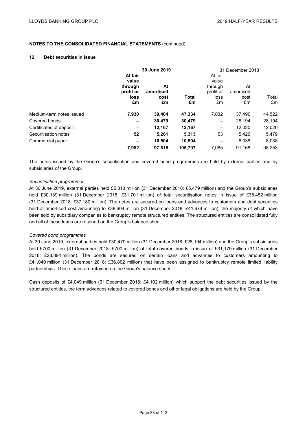### **12. Debt securities in issue**

|                          |                                                        | 30 June 2019                  |                    |                                                        | 31 December 2018              |             |  |
|--------------------------|--------------------------------------------------------|-------------------------------|--------------------|--------------------------------------------------------|-------------------------------|-------------|--|
|                          | At fair<br>value<br>through<br>profit or<br>loss<br>£m | At<br>amortised<br>cost<br>£m | <b>Total</b><br>£m | At fair<br>value<br>through<br>profit or<br>loss<br>£m | At<br>amortised<br>cost<br>£m | Total<br>£m |  |
| Medium-term notes issued | 7,930                                                  | 39,404                        | 47,334             | 7,032                                                  | 37.490                        | 44,522      |  |
| Covered bonds            | $\overline{\phantom{0}}$                               | 30,479                        | 30,479             | $\overline{\phantom{m}}$                               | 28.194                        | 28,194      |  |
| Certificates of deposit  | $\overline{\phantom{0}}$                               | 12.167                        | 12,167             | $\qquad \qquad$                                        | 12.020                        | 12,020      |  |
| Securitisation notes     | 52                                                     | 5,261                         | 5,313              | 53                                                     | 5.426                         | 5,479       |  |
| Commercial paper         | $\overline{\phantom{a}}$                               | 10,504                        | 10,504             |                                                        | 8,038                         | 8,038       |  |
|                          | 7,982                                                  | 97.815                        | 105.797            | 7,085                                                  | 91.168                        | 98,253      |  |

The notes issued by the Group's securitisation and covered bond programmes are held by external parties and by subsidiaries of the Group.

### *Securitisation programmes*

At 30 June 2019, external parties held £5,313 million (31 December 2018: £5,479 million) and the Group's subsidiaries held £30,139 million (31 December 2018: £31,701 million) of total securitisation notes in issue of £35,452 million (31 December 2018: £37,180 million). The notes are secured on loans and advances to customers and debt securities held at amortised cost amounting to £38,604 million (31 December 2018: £41,674 million), the majority of which have been sold by subsidiary companies to bankruptcy remote structured entities. The structured entities are consolidated fully and all of these loans are retained on the Group's balance sheet.

#### *Covered bond programmes*

At 30 June 2019, external parties held £30,479 million (31 December 2018: £28,194 million) and the Group's subsidiaries held £700 million (31 December 2018: £700 million) of total covered bonds in issue of £31,179 million (31 December 2018: £28,894 million). The bonds are secured on certain loans and advances to customers amounting to £41,049 million (31 December 2018: £36,802 million) that have been assigned to bankruptcy remote limited liability partnerships. These loans are retained on the Group's balance sheet.

Cash deposits of £4,049 million (31 December 2018: £4,102 million) which support the debt securities issued by the structured entities, the term advances related to covered bonds and other legal obligations are held by the Group.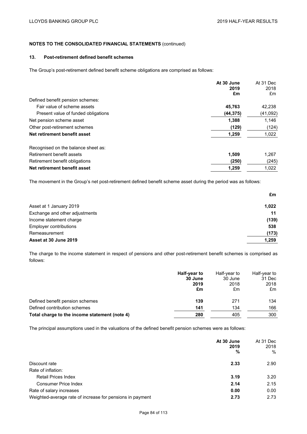## **13. Post-retirement defined benefit schemes**

The Group's post-retirement defined benefit scheme obligations are comprised as follows:

|                                     | At 30 June<br>2019<br>£m | At 31 Dec<br>2018<br>£m |
|-------------------------------------|--------------------------|-------------------------|
| Defined benefit pension schemes:    |                          |                         |
| Fair value of scheme assets         | 45.763                   | 42,238                  |
| Present value of funded obligations | (44, 375)                | (41,092)                |
| Net pension scheme asset            | 1,388                    | 1,146                   |
| Other post-retirement schemes       | (129)                    | (124)                   |
| Net retirement benefit asset        | 1,259                    | 1,022                   |
| Recognised on the balance sheet as: |                          |                         |
| Retirement benefit assets           | 1.509                    | 1,267                   |
| Retirement benefit obligations      | (250)                    | (245)                   |
| Net retirement benefit asset        | 1.259                    | 1.022                   |

The movement in the Group's net post-retirement defined benefit scheme asset during the period was as follows:

|                                | £m    |
|--------------------------------|-------|
| Asset at 1 January 2019        | 1,022 |
| Exchange and other adjustments | 11    |
| Income statement charge        | (139) |
| Employer contributions         | 538   |
| Remeasurement                  | (173) |
| Asset at 30 June 2019          | 1,259 |

The charge to the income statement in respect of pensions and other post-retirement benefit schemes is comprised as follows:

|                                               | Half-year to<br>30 June<br>2019<br>£m | Half-year to<br>30 June<br>2018<br>£m | Half-year to<br>31 Dec<br>2018<br>£m |
|-----------------------------------------------|---------------------------------------|---------------------------------------|--------------------------------------|
| Defined benefit pension schemes               | 139                                   | 271                                   | 134                                  |
| Defined contribution schemes                  | 141                                   | 134                                   | 166                                  |
| Total charge to the income statement (note 4) | 280                                   | 405                                   | 300                                  |

The principal assumptions used in the valuations of the defined benefit pension schemes were as follows:

|                                                           | At 30 June<br>2019<br>% | At 31 Dec<br>2018<br>$\%$ |
|-----------------------------------------------------------|-------------------------|---------------------------|
| Discount rate                                             | 2.33                    | 2.90                      |
| Rate of inflation:                                        |                         |                           |
| <b>Retail Prices Index</b>                                | 3.19                    | 3.20                      |
| <b>Consumer Price Index</b>                               | 2.14                    | 2.15                      |
| Rate of salary increases                                  | 0.00                    | 0.00                      |
| Weighted-average rate of increase for pensions in payment | 2.73                    | 2.73                      |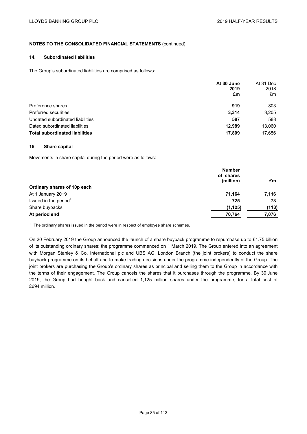### **14. Subordinated liabilities**

The Group's subordinated liabilities are comprised as follows:

|                                       | At 30 June<br>2019<br>£m | At 31 Dec<br>2018<br>£m |
|---------------------------------------|--------------------------|-------------------------|
| Preference shares                     | 919                      | 803                     |
| <b>Preferred securities</b>           | 3,314                    | 3,205                   |
| Undated subordinated liabilities      | 587                      | 588                     |
| Dated subordinated liabilities        | 12.989                   | 13,060                  |
| <b>Total subordinated liabilities</b> | 17,809                   | 17,656                  |

### **15. Share capital**

Movements in share capital during the period were as follows:

|                                   | <b>Number</b><br>of shares<br>(million) | £m    |
|-----------------------------------|-----------------------------------------|-------|
| Ordinary shares of 10p each       |                                         |       |
| At 1 January 2019                 | 71,164                                  | 7,116 |
| Issued in the period <sup>1</sup> | 725                                     | 73    |
| Share buybacks                    | (1, 125)                                | (113) |
| At period end                     | 70,764                                  | 7,076 |

 $1$  The ordinary shares issued in the period were in respect of employee share schemes.

On 20 February 2019 the Group announced the launch of a share buyback programme to repurchase up to £1.75 billion of its outstanding ordinary shares; the programme commenced on 1 March 2019. The Group entered into an agreement with Morgan Stanley & Co. International plc and UBS AG, London Branch (the joint brokers) to conduct the share buyback programme on its behalf and to make trading decisions under the programme independently of the Group. The joint brokers are purchasing the Group's ordinary shares as principal and selling them to the Group in accordance with the terms of their engagement. The Group cancels the shares that it purchases through the programme. By 30 June 2019, the Group had bought back and cancelled 1,125 million shares under the programme, for a total cost of £694 million.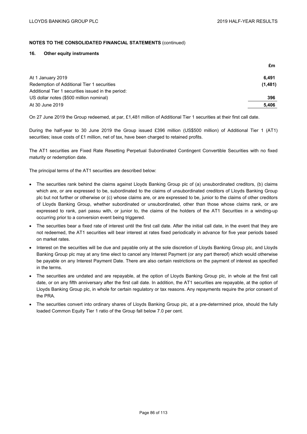### **16. Other equity instruments**

|                                                    | £m      |
|----------------------------------------------------|---------|
| At 1 January 2019                                  | 6.491   |
| Redemption of Additional Tier 1 securities         | (1,481) |
| Additional Tier 1 securities issued in the period: |         |
| US dollar notes (\$500 million nominal)            | 396     |
| At 30 June 2019                                    | 5.406   |

On 27 June 2019 the Group redeemed, at par, £1,481 million of Additional Tier 1 securities at their first call date.

During the half-year to 30 June 2019 the Group issued £396 million (US\$500 million) of Additional Tier 1 (AT1) securities; issue costs of £1 million, net of tax, have been charged to retained profits.

The AT1 securities are Fixed Rate Resetting Perpetual Subordinated Contingent Convertible Securities with no fixed maturity or redemption date.

The principal terms of the AT1 securities are described below:

- The securities rank behind the claims against Lloyds Banking Group plc of (a) unsubordinated creditors, (b) claims which are, or are expressed to be, subordinated to the claims of unsubordinated creditors of Lloyds Banking Group plc but not further or otherwise or (c) whose claims are, or are expressed to be, junior to the claims of other creditors of Lloyds Banking Group, whether subordinated or unsubordinated, other than those whose claims rank, or are expressed to rank, pari passu with, or junior to, the claims of the holders of the AT1 Securities in a winding-up occurring prior to a conversion event being triggered.
- The securities bear a fixed rate of interest until the first call date. After the initial call date, in the event that they are not redeemed, the AT1 securities will bear interest at rates fixed periodically in advance for five year periods based on market rates.
- Interest on the securities will be due and payable only at the sole discretion of Lloyds Banking Group plc, and Lloyds Banking Group plc may at any time elect to cancel any Interest Payment (or any part thereof) which would otherwise be payable on any Interest Payment Date. There are also certain restrictions on the payment of interest as specified in the terms.
- The securities are undated and are repayable, at the option of Lloyds Banking Group plc, in whole at the first call date, or on any fifth anniversary after the first call date. In addition, the AT1 securities are repayable, at the option of Lloyds Banking Group plc, in whole for certain regulatory or tax reasons. Any repayments require the prior consent of the PRA.
- The securities convert into ordinary shares of Lloyds Banking Group plc, at a pre-determined price, should the fully loaded Common Equity Tier 1 ratio of the Group fall below 7.0 per cent.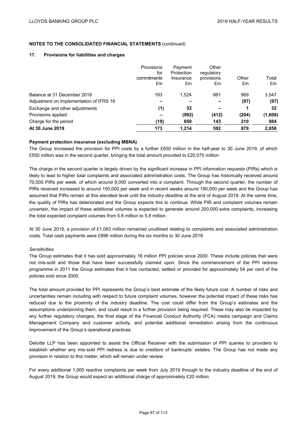#### **17. Provisions for liabilities and charges**

|                                         | Provisions<br>for<br>commitments<br>£m | Payment<br>Protection<br>Insurance<br>£m | Other<br>regulatory<br>provisions<br>£m | Other<br>£m | Total<br>£m |
|-----------------------------------------|----------------------------------------|------------------------------------------|-----------------------------------------|-------------|-------------|
| Balance at 31 December 2018             | 193                                    | 1,524                                    | 861                                     | 969         | 3,547       |
| Adjustment on implementation of IFRS 16 |                                        |                                          |                                         | (97)        | (97)        |
| Exchange and other adjustments          | (1)                                    | 32                                       |                                         |             | 32          |
| Provisions applied                      |                                        | (992)                                    | (412)                                   | (204)       | (1,608)     |
| Charge for the period                   | (19)                                   | 650                                      | 143                                     | 210         | 984         |
| At 30 June 2019                         | 173                                    | 1,214                                    | 592                                     | 879         | 2,858       |

### **Payment protection insurance (excluding MBNA)**

The Group increased the provision for PPI costs by a further £650 million in the half-year to 30 June 2019, of which £550 million was in the second quarter, bringing the total amount provided to £20,075 million.

The charge in the second quarter is largely driven by the significant increase in PPI information requests (PIRs) which is likely to lead to higher total complaints and associated administration costs. The Group has historically received around 70,000 PIRs per week, of which around 9,000 converted into a complaint. Through the second quarter, the number of PIRs received increased to around 150,000 per week and in recent weeks around 190,000 per week and the Group has assumed that PIRs remain at this elevated level until the industry deadline at the end of August 2019. At the same time, the quality of PIRs has deteriorated and the Group expects this to continue. While PIR and complaint volumes remain uncertain, the impact of these additional volumes is expected to generate around 200,000 extra complaints, increasing the total expected complaint volumes from 5.6 million to 5.8 million.

At 30 June 2019, a provision of £1,083 million remained unutilised relating to complaints and associated administration costs. Total cash payments were £896 million during the six months to 30 June 2019.

#### *Sensitivities*

The Group estimates that it has sold approximately 16 million PPI policies since 2000. These include policies that were not mis-sold and those that have been successfully claimed upon. Since the commencement of the PPI redress programme in 2011 the Group estimates that it has contacted, settled or provided for approximately 54 per cent of the policies sold since 2000.

The total amount provided for PPI represents the Group's best estimate of the likely future cost. A number of risks and uncertainties remain including with respect to future complaint volumes, however the potential impact of these risks has reduced due to the proximity of the industry deadline. The cost could differ from the Group's estimates and the assumptions underpinning them, and could result in a further provision being required. These may also be impacted by any further regulatory changes, the final stage of the Financial Conduct Authority (FCA) media campaign and Claims Management Company and customer activity, and potential additional remediation arising from the continuous improvement of the Group's operational practices.

Deloitte LLP has been appointed to assist the Official Receiver with the submission of PPI queries to providers to establish whether any mis-sold PPI redress is due to creditors of bankrupts' estates. The Group has not made any provision in relation to this matter, which will remain under review.

For every additional 1,000 reactive complaints per week from July 2019 through to the industry deadline of the end of August 2019, the Group would expect an additional charge of approximately £20 million.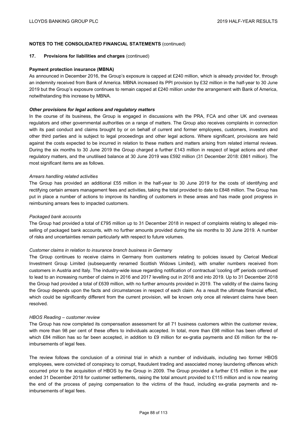#### **17. Provisions for liabilities and charges** (continued)

#### **Payment protection insurance (MBNA)**

As announced in December 2016, the Group's exposure is capped at £240 million, which is already provided for, through an indemnity received from Bank of America. MBNA increased its PPI provision by £32 million in the half-year to 30 June 2019 but the Group's exposure continues to remain capped at £240 million under the arrangement with Bank of America, notwithstanding this increase by MBNA.

#### *Other provisions for legal actions and regulatory matters*

In the course of its business, the Group is engaged in discussions with the PRA, FCA and other UK and overseas regulators and other governmental authorities on a range of matters. The Group also receives complaints in connection with its past conduct and claims brought by or on behalf of current and former employees, customers, investors and other third parties and is subject to legal proceedings and other legal actions. Where significant, provisions are held against the costs expected to be incurred in relation to these matters and matters arising from related internal reviews. During the six months to 30 June 2019 the Group charged a further £143 million in respect of legal actions and other regulatory matters, and the unutilised balance at 30 June 2019 was £592 million (31 December 2018: £861 million). The most significant items are as follows.

#### *Arrears handling related activities*

The Group has provided an additional £55 million in the half-year to 30 June 2019 for the costs of identifying and rectifying certain arrears management fees and activities, taking the total provided to date to £848 million. The Group has put in place a number of actions to improve its handling of customers in these areas and has made good progress in reimbursing arrears fees to impacted customers.

#### *Packaged bank accounts*

The Group had provided a total of £795 million up to 31 December 2018 in respect of complaints relating to alleged misselling of packaged bank accounts, with no further amounts provided during the six months to 30 June 2019. A number of risks and uncertainties remain particularly with respect to future volumes.

#### *Customer claims in relation to insurance branch business in Germany*

The Group continues to receive claims in Germany from customers relating to policies issued by Clerical Medical Investment Group Limited (subsequently renamed Scottish Widows Limited), with smaller numbers received from customers in Austria and Italy. The industry-wide issue regarding notification of contractual 'cooling off' periods continued to lead to an increasing number of claims in 2016 and 2017 levelling out in 2018 and into 2019. Up to 31 December 2018 the Group had provided a total of £639 million, with no further amounts provided in 2019. The validity of the claims facing the Group depends upon the facts and circumstances in respect of each claim. As a result the ultimate financial effect, which could be significantly different from the current provision, will be known only once all relevant claims have been resolved.

#### *HBOS Reading – customer review*

The Group has now completed its compensation assessment for all 71 business customers within the customer review, with more than 98 per cent of these offers to individuals accepted. In total, more than £98 million has been offered of which £84 million has so far been accepted, in addition to £9 million for ex-gratia payments and £6 million for the reimbursements of legal fees.

The review follows the conclusion of a criminal trial in which a number of individuals, including two former HBOS employees, were convicted of conspiracy to corrupt, fraudulent trading and associated money laundering offences which occurred prior to the acquisition of HBOS by the Group in 2009. The Group provided a further £15 million in the year ended 31 December 2018 for customer settlements, raising the total amount provided to £115 million and is now nearing the end of the process of paying compensation to the victims of the fraud, including ex-gratia payments and reimbursements of legal fees.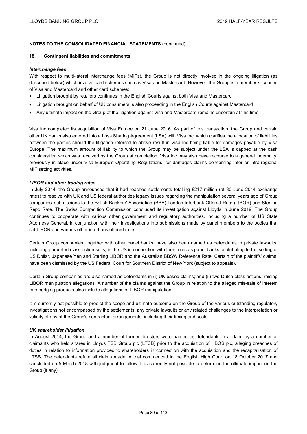#### **18. Contingent liabilities and commitments**

#### *Interchange fees*

With respect to multi-lateral interchange fees (MIFs), the Group is not directly involved in the ongoing litigation (as described below) which involve card schemes such as Visa and Mastercard. However, the Group is a member / licensee of Visa and Mastercard and other card schemes:

- Litigation brought by retailers continues in the English Courts against both Visa and Mastercard
- Litigation brought on behalf of UK consumers is also proceeding in the English Courts against Mastercard
- Any ultimate impact on the Group of the litigation against Visa and Mastercard remains uncertain at this time

Visa Inc completed its acquisition of Visa Europe on 21 June 2016. As part of this transaction, the Group and certain other UK banks also entered into a Loss Sharing Agreement (LSA) with Visa Inc, which clarifies the allocation of liabilities between the parties should the litigation referred to above result in Visa Inc being liable for damages payable by Visa Europe. The maximum amount of liability to which the Group may be subject under the LSA is capped at the cash consideration which was received by the Group at completion. Visa Inc may also have recourse to a general indemnity, previously in place under Visa Europe's Operating Regulations, for damages claims concerning inter or intra-regional MIF setting activities.

### *LIBOR and other trading rates*

In July 2014, the Group announced that it had reached settlements totalling £217 million (at 30 June 2014 exchange rates) to resolve with UK and US federal authorities legacy issues regarding the manipulation several years ago of Group companies' submissions to the British Bankers' Association (BBA) London Interbank Offered Rate (LIBOR) and Sterling Repo Rate. The Swiss Competition Commission concluded its investigation against Lloyds in June 2019. The Group continues to cooperate with various other government and regulatory authorities, including a number of US State Attorneys General, in conjunction with their investigations into submissions made by panel members to the bodies that set LIBOR and various other interbank offered rates.

Certain Group companies, together with other panel banks, have also been named as defendants in private lawsuits, including purported class action suits, in the US in connection with their roles as panel banks contributing to the setting of US Dollar, Japanese Yen and Sterling LIBOR and the Australian BBSW Reference Rate. Certain of the plaintiffs' claims, have been dismissed by the US Federal Court for Southern District of New York (subject to appeals).

Certain Group companies are also named as defendants in (i) UK based claims; and (ii) two Dutch class actions, raising LIBOR manipulation allegations. A number of the claims against the Group in relation to the alleged mis-sale of interest rate hedging products also include allegations of LIBOR manipulation.

It is currently not possible to predict the scope and ultimate outcome on the Group of the various outstanding regulatory investigations not encompassed by the settlements, any private lawsuits or any related challenges to the interpretation or validity of any of the Group's contractual arrangements, including their timing and scale.

#### *UK shareholder litigation*

In August 2014, the Group and a number of former directors were named as defendants in a claim by a number of claimants who held shares in Lloyds TSB Group plc (LTSB) prior to the acquisition of HBOS plc, alleging breaches of duties in relation to information provided to shareholders in connection with the acquisition and the recapitalisation of LTSB. The defendants refute all claims made. A trial commenced in the English High Court on 18 October 2017 and concluded on 5 March 2018 with judgment to follow. It is currently not possible to determine the ultimate impact on the Group (if any).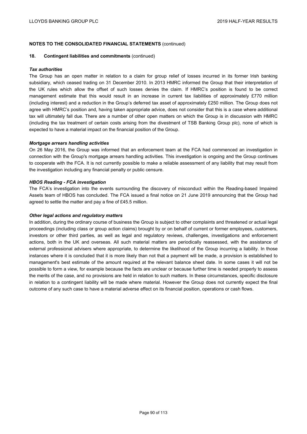#### **18. Contingent liabilities and commitments** (continued)

#### *Tax authorities*

The Group has an open matter in relation to a claim for group relief of losses incurred in its former Irish banking subsidiary, which ceased trading on 31 December 2010. In 2013 HMRC informed the Group that their interpretation of the UK rules which allow the offset of such losses denies the claim. If HMRC's position is found to be correct management estimate that this would result in an increase in current tax liabilities of approximately £770 million (including interest) and a reduction in the Group's deferred tax asset of approximately £250 million. The Group does not agree with HMRC's position and, having taken appropriate advice, does not consider that this is a case where additional tax will ultimately fall due. There are a number of other open matters on which the Group is in discussion with HMRC (including the tax treatment of certain costs arising from the divestment of TSB Banking Group plc), none of which is expected to have a material impact on the financial position of the Group.

#### *Mortgage arrears handling activities*

On 26 May 2016, the Group was informed that an enforcement team at the FCA had commenced an investigation in connection with the Group's mortgage arrears handling activities. This investigation is ongoing and the Group continues to cooperate with the FCA. It is not currently possible to make a reliable assessment of any liability that may result from the investigation including any financial penalty or public censure.

#### *HBOS Reading - FCA investigation*

The FCA's investigation into the events surrounding the discovery of misconduct within the Reading-based Impaired Assets team of HBOS has concluded. The FCA issued a final notice on 21 June 2019 announcing that the Group had agreed to settle the matter and pay a fine of £45.5 million.

#### *Other legal actions and regulatory matters*

In addition, during the ordinary course of business the Group is subject to other complaints and threatened or actual legal proceedings (including class or group action claims) brought by or on behalf of current or former employees, customers, investors or other third parties, as well as legal and regulatory reviews, challenges, investigations and enforcement actions, both in the UK and overseas. All such material matters are periodically reassessed, with the assistance of external professional advisers where appropriate, to determine the likelihood of the Group incurring a liability. In those instances where it is concluded that it is more likely than not that a payment will be made, a provision is established to management's best estimate of the amount required at the relevant balance sheet date. In some cases it will not be possible to form a view, for example because the facts are unclear or because further time is needed properly to assess the merits of the case, and no provisions are held in relation to such matters. In these circumstances, specific disclosure in relation to a contingent liability will be made where material. However the Group does not currently expect the final outcome of any such case to have a material adverse effect on its financial position, operations or cash flows.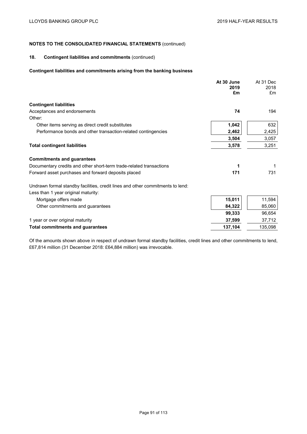### **18. Contingent liabilities and commitments** (continued)

### **Contingent liabilities and commitments arising from the banking business**

|                                                                                                                       | At 30 June<br>2019<br>£m | At 31 Dec<br>2018<br>£m |
|-----------------------------------------------------------------------------------------------------------------------|--------------------------|-------------------------|
| <b>Contingent liabilities</b>                                                                                         |                          |                         |
| Acceptances and endorsements                                                                                          | 74                       | 194                     |
| Other:                                                                                                                |                          |                         |
| Other items serving as direct credit substitutes                                                                      | 1,042                    | 632                     |
| Performance bonds and other transaction-related contingencies                                                         | 2,462                    | 2,425                   |
|                                                                                                                       | 3,504                    | 3,057                   |
| <b>Total contingent liabilities</b>                                                                                   | 3,578                    | 3,251                   |
| <b>Commitments and guarantees</b>                                                                                     |                          |                         |
| Documentary credits and other short-term trade-related transactions                                                   | 1                        |                         |
| Forward asset purchases and forward deposits placed                                                                   | 171                      | 731                     |
| Undrawn formal standby facilities, credit lines and other commitments to lend:<br>Less than 1 year original maturity: |                          |                         |
| Mortgage offers made                                                                                                  | 15,011                   | 11,594                  |
| Other commitments and guarantees                                                                                      | 84,322                   | 85,060                  |
|                                                                                                                       | 99,333                   | 96,654                  |
| 1 year or over original maturity                                                                                      | 37,599                   | 37,712                  |
| <b>Total commitments and guarantees</b>                                                                               | 137,104                  | 135,098                 |
|                                                                                                                       |                          |                         |

Of the amounts shown above in respect of undrawn formal standby facilities, credit lines and other commitments to lend, £67,814 million (31 December 2018: £64,884 million) was irrevocable.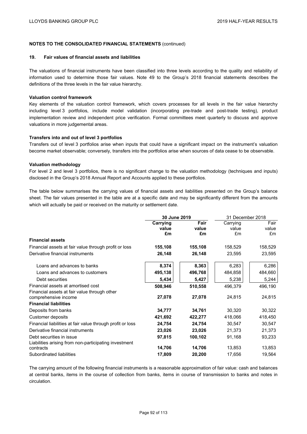#### **19. Fair values of financial assets and liabilities**

The valuations of financial instruments have been classified into three levels according to the quality and reliability of information used to determine those fair values. Note 49 to the Group's 2018 financial statements describes the definitions of the three levels in the fair value hierarchy.

#### **Valuation control framework**

Key elements of the valuation control framework, which covers processes for all levels in the fair value hierarchy including level 3 portfolios, include model validation (incorporating pre-trade and post-trade testing), product implementation review and independent price verification. Formal committees meet quarterly to discuss and approve valuations in more judgemental areas.

#### **Transfers into and out of level 3 portfolios**

Transfers out of level 3 portfolios arise when inputs that could have a significant impact on the instrument's valuation become market observable; conversely, transfers into the portfolios arise when sources of data cease to be observable.

### **Valuation methodology**

For level 2 and level 3 portfolios, there is no significant change to the valuation methodology (techniques and inputs) disclosed in the Group's 2018 Annual Report and Accounts applied to these portfolios.

The table below summarises the carrying values of financial assets and liabilities presented on the Group's balance sheet. The fair values presented in the table are at a specific date and may be significantly different from the amounts which will actually be paid or received on the maturity or settlement date.

|                                                            | 30 June 2019 |         | 31 December 2018 |         |
|------------------------------------------------------------|--------------|---------|------------------|---------|
|                                                            | Carrying     | Fair    | Carrying         | Fair    |
|                                                            | value        | value   | value            | value   |
|                                                            | £m           | £m      | £m               | £m      |
| <b>Financial assets</b>                                    |              |         |                  |         |
| Financial assets at fair value through profit or loss      | 155,108      | 155,108 | 158,529          | 158,529 |
| Derivative financial instruments                           | 26,148       | 26,148  | 23,595           | 23,595  |
| Loans and advances to banks                                | 8,374        | 8,363   | 6,283            | 6,286   |
| Loans and advances to customers                            | 495,138      | 496,768 | 484,858          | 484,660 |
| Debt securities                                            | 5,434        | 5,427   | 5,238            | 5,244   |
| Financial assets at amortised cost                         | 508,946      | 510,558 | 496,379          | 496,190 |
| Financial assets at fair value through other               |              |         |                  |         |
| comprehensive income                                       | 27,078       | 27,078  | 24,815           | 24,815  |
| <b>Financial liabilities</b>                               |              |         |                  |         |
| Deposits from banks                                        | 34,777       | 34,761  | 30,320           | 30,322  |
| Customer deposits                                          | 421,692      | 422,277 | 418,066          | 418,450 |
| Financial liabilities at fair value through profit or loss | 24,754       | 24,754  | 30,547           | 30,547  |
| Derivative financial instruments                           | 23,026       | 23,026  | 21,373           | 21,373  |
| Debt securities in issue                                   | 97,815       | 100,102 | 91,168           | 93,233  |
| Liabilities arising from non-participating investment      |              |         |                  |         |
| contracts                                                  | 14,706       | 14,706  | 13,853           | 13,853  |
| Subordinated liabilities                                   | 17,809       | 20,200  | 17,656           | 19,564  |

The carrying amount of the following financial instruments is a reasonable approximation of fair value: cash and balances at central banks, items in the course of collection from banks, items in course of transmission to banks and notes in circulation.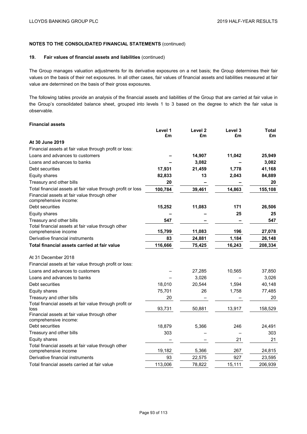## **19. Fair values of financial assets and liabilities** (continued)

The Group manages valuation adjustments for its derivative exposures on a net basis; the Group determines their fair values on the basis of their net exposures. In all other cases, fair values of financial assets and liabilities measured at fair value are determined on the basis of their gross exposures.

The following tables provide an analysis of the financial assets and liabilities of the Group that are carried at fair value in the Group's consolidated balance sheet, grouped into levels 1 to 3 based on the degree to which the fair value is observable.

#### **Financial assets**

|                                                                            | Level 1<br>£m | Level <sub>2</sub><br>£m | Level 3<br>£m | <b>Total</b><br>£m |
|----------------------------------------------------------------------------|---------------|--------------------------|---------------|--------------------|
| At 30 June 2019                                                            |               |                          |               |                    |
| Financial assets at fair value through profit or loss:                     |               |                          |               |                    |
| Loans and advances to customers                                            |               | 14,907                   | 11,042        | 25,949             |
| Loans and advances to banks                                                |               | 3,082                    |               | 3,082              |
| Debt securities                                                            | 17,931        | 21,459                   | 1,778         | 41,168             |
| <b>Equity shares</b>                                                       | 82,833        | 13                       | 2,043         | 84,889             |
| Treasury and other bills                                                   | 20            |                          |               | 20                 |
| Total financial assets at fair value through profit or loss                | 100,784       | 39,461                   | 14,863        | 155,108            |
| Financial assets at fair value through other<br>comprehensive income:      |               |                          |               |                    |
| Debt securities                                                            | 15,252        | 11,083                   | 171           | 26,506             |
| <b>Equity shares</b>                                                       |               |                          | 25            | 25                 |
| Treasury and other bills                                                   | 547           |                          |               | 547                |
| Total financial assets at fair value through other<br>comprehensive income | 15,799        | 11,083                   | 196           | 27,078             |
| Derivative financial instruments                                           | 83            | 24,881                   | 1,184         | 26,148             |
| Total financial assets carried at fair value                               | 116,666       | 75,425                   | 16,243        | 208,334            |
| At 31 December 2018                                                        |               |                          |               |                    |
| Financial assets at fair value through profit or loss:                     |               |                          |               |                    |
| Loans and advances to customers                                            |               | 27,285                   | 10,565        | 37,850             |
| Loans and advances to banks                                                |               | 3,026                    |               | 3,026              |
| Debt securities                                                            | 18,010        | 20,544                   | 1,594         | 40,148             |
| Equity shares                                                              | 75,701        | 26                       | 1,758         | 77,485             |
| Treasury and other bills                                                   | 20            |                          |               | 20                 |
| Total financial assets at fair value through profit or<br>loss             | 93,731        | 50,881                   | 13,917        | 158,529            |
| Financial assets at fair value through other<br>comprehensive income:      |               |                          |               |                    |
| Debt securities                                                            | 18,879        | 5,366                    | 246           | 24,491             |
| Treasury and other bills                                                   | 303           |                          |               | 303                |
| Equity shares                                                              |               |                          | 21            | 21                 |
| Total financial assets at fair value through other<br>comprehensive income | 19,182        | 5,366                    | 267           | 24,815             |
| Derivative financial instruments                                           | 93            | 22,575                   | 927           | 23,595             |
| Total financial assets carried at fair value                               | 113,006       | 78,822                   | 15,111        | 206,939            |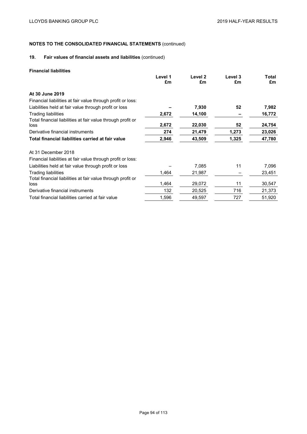## **19. Fair values of financial assets and liabilities** (continued)

### **Financial liabilities**

|                                                                     | Level 1<br>£m | Level 2<br>£m | Level 3<br>£m | Total<br>£m |
|---------------------------------------------------------------------|---------------|---------------|---------------|-------------|
|                                                                     |               |               |               |             |
| At 30 June 2019                                                     |               |               |               |             |
| Financial liabilities at fair value through profit or loss:         |               |               |               |             |
| Liabilities held at fair value through profit or loss               |               | 7,930         | 52            | 7,982       |
| <b>Trading liabilities</b>                                          | 2,672         | 14,100        |               | 16,772      |
| Total financial liabilities at fair value through profit or<br>loss | 2,672         | 22,030        | 52            | 24,754      |
| Derivative financial instruments                                    | 274           | 21,479        | 1,273         | 23,026      |
| Total financial liabilities carried at fair value                   | 2,946         | 43,509        | 1,325         | 47,780      |
| At 31 December 2018                                                 |               |               |               |             |
| Financial liabilities at fair value through profit or loss:         |               |               |               |             |
| Liabilities held at fair value through profit or loss               |               | 7,085         | 11            | 7,096       |
| <b>Trading liabilities</b>                                          | 1,464         | 21,987        |               | 23,451      |
| Total financial liabilities at fair value through profit or         | 1,464         | 29,072        | 11            | 30,547      |
| loss                                                                |               |               |               |             |
| Derivative financial instruments                                    | 132           | 20,525        | 716           | 21,373      |
| Total financial liabilities carried at fair value                   | 1,596         | 49,597        | 727           | 51,920      |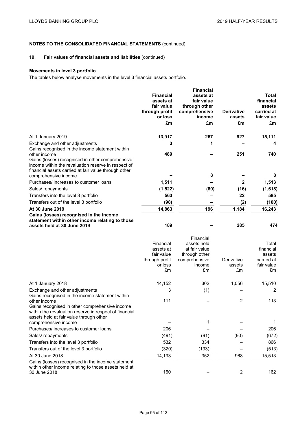## **19. Fair values of financial assets and liabilities** (continued)

### **Movements in level 3 portfolio**

The tables below analyse movements in the level 3 financial assets portfolio.

|                                                                                                                                                                                                                                    | <b>Financial</b><br>assets at<br>fair value<br>through profit<br>or loss<br>£m | <b>Financial</b><br>assets at<br>fair value<br>through other<br>comprehensive<br>income<br>£m | <b>Derivative</b><br>assets<br>£m | Total<br>financial<br>assets<br>carried at<br>fair value<br>£m |
|------------------------------------------------------------------------------------------------------------------------------------------------------------------------------------------------------------------------------------|--------------------------------------------------------------------------------|-----------------------------------------------------------------------------------------------|-----------------------------------|----------------------------------------------------------------|
| At 1 January 2019                                                                                                                                                                                                                  | 13,917                                                                         | 267                                                                                           | 927                               | 15,111                                                         |
| Exchange and other adjustments                                                                                                                                                                                                     | 3                                                                              | 1                                                                                             |                                   | 4                                                              |
| Gains recognised in the income statement within<br>other income<br>Gains (losses) recognised in other comprehensive<br>income within the revaluation reserve in respect of<br>financial assets carried at fair value through other | 489                                                                            | 8                                                                                             | 251                               | 740<br>8                                                       |
| comprehensive income<br>Purchases/ increases to customer loans                                                                                                                                                                     | 1,511                                                                          |                                                                                               | $\mathbf{2}$                      | 1,513                                                          |
| Sales/repayments                                                                                                                                                                                                                   | (1,522)                                                                        | (80)                                                                                          | (16)                              | (1,618)                                                        |
| Transfers into the level 3 portfolio                                                                                                                                                                                               | 563                                                                            |                                                                                               | 22                                | 585                                                            |
| Transfers out of the level 3 portfolio                                                                                                                                                                                             | (98)                                                                           |                                                                                               | (2)                               | (100)                                                          |
| At 30 June 2019                                                                                                                                                                                                                    | 14,863                                                                         | 196                                                                                           | 1,184                             | 16,243                                                         |
| Gains (losses) recognised in the income<br>statement within other income relating to those<br>assets held at 30 June 2019                                                                                                          | 189                                                                            |                                                                                               | 285                               | 474                                                            |
|                                                                                                                                                                                                                                    | Financial<br>assets at<br>fair value<br>through profit<br>or loss<br>£m        | Financial<br>assets held<br>at fair value<br>through other<br>comprehensive<br>income<br>£m   | Derivative<br>assets<br>£m        | Total<br>financial<br>assets<br>carried at<br>fair value<br>£m |
| At 1 January 2018                                                                                                                                                                                                                  | 14,152                                                                         | 302                                                                                           | 1,056                             | 15,510                                                         |
| Exchange and other adjustments                                                                                                                                                                                                     | 3                                                                              | (1)                                                                                           |                                   | 2                                                              |
| Gains recognised in the income statement within<br>other income<br>Gains recognised in other comprehensive income<br>within the revaluation reserve in respect of financial                                                        | 111                                                                            |                                                                                               | 2                                 | 113                                                            |
| assets held at fair value through other                                                                                                                                                                                            |                                                                                | 1                                                                                             |                                   | 1                                                              |
| comprehensive income<br>Purchases/ increases to customer loans                                                                                                                                                                     | 206                                                                            |                                                                                               |                                   | 206                                                            |
| Sales/repayments                                                                                                                                                                                                                   | (491)                                                                          | (91)                                                                                          | (90)                              | (672)                                                          |
| Transfers into the level 3 portfolio                                                                                                                                                                                               | 532                                                                            | 334                                                                                           |                                   | 866                                                            |
| Transfers out of the level 3 portfolio                                                                                                                                                                                             | (320)                                                                          | (193)                                                                                         |                                   | (513)                                                          |
| At 30 June 2018                                                                                                                                                                                                                    | 14,193                                                                         | 352                                                                                           | 968                               | 15,513                                                         |
| Gains (losses) recognised in the income statement<br>within other income relating to those assets held at<br>30 June 2018                                                                                                          | 160                                                                            |                                                                                               | $\overline{c}$                    | 162                                                            |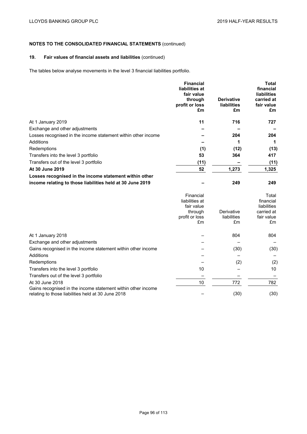## **19. Fair values of financial assets and liabilities** (continued)

The tables below analyse movements in the level 3 financial liabilities portfolio.

|                                                               | <b>Financial</b><br>liabilities at<br>fair value<br>through<br>profit or loss<br>£m | <b>Derivative</b><br><b>liabilities</b><br>£m | <b>Total</b><br>financial<br><b>liabilities</b><br>carried at<br>fair value<br>£m |
|---------------------------------------------------------------|-------------------------------------------------------------------------------------|-----------------------------------------------|-----------------------------------------------------------------------------------|
|                                                               |                                                                                     |                                               |                                                                                   |
| At 1 January 2019                                             | 11                                                                                  | 716                                           | 727                                                                               |
| Exchange and other adjustments                                |                                                                                     |                                               |                                                                                   |
| Losses recognised in the income statement within other income |                                                                                     | 204                                           | 204                                                                               |
| Additions                                                     |                                                                                     | 1                                             | 1                                                                                 |
| Redemptions                                                   | (1)                                                                                 | (12)                                          | (13)                                                                              |
| Transfers into the level 3 portfolio                          | 53                                                                                  | 364                                           | 417                                                                               |
| Transfers out of the level 3 portfolio                        | (11)                                                                                |                                               | (11)                                                                              |
| At 30 June 2019                                               | 52                                                                                  | 1,273                                         | 1,325                                                                             |
| Losses recognised in the income statement within other        |                                                                                     |                                               |                                                                                   |
| income relating to those liabilities held at 30 June 2019     |                                                                                     | 249                                           | 249                                                                               |
|                                                               | Financial<br>liabilities at<br>fair value<br>through<br>profit or loss<br>£m        | Derivative<br>liabilities<br>£m               | Total<br>financial<br>liabilities<br>carried at<br>fair value<br>£m               |
| At 1 January 2018                                             |                                                                                     | 804                                           | 804                                                                               |

| At 1 January 2018                                                                                                  |    | 804  | 804  |
|--------------------------------------------------------------------------------------------------------------------|----|------|------|
| Exchange and other adjustments                                                                                     |    |      |      |
| Gains recognised in the income statement within other income                                                       |    | (30) | (30) |
| Additions                                                                                                          |    |      |      |
| Redemptions                                                                                                        |    | (2)  | (2)  |
| Transfers into the level 3 portfolio                                                                               | 10 |      | 10   |
| Transfers out of the level 3 portfolio                                                                             |    |      |      |
| At 30 June 2018                                                                                                    | 10 | 772  | 782  |
| Gains recognised in the income statement within other income<br>relating to those liabilities held at 30 June 2018 |    | (30) | (30) |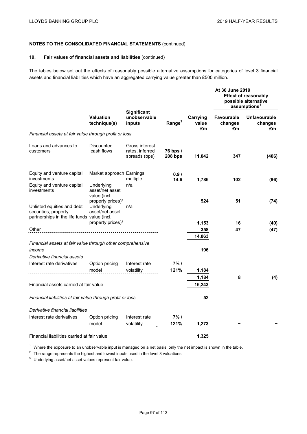### **19. Fair values of financial assets and liabilities** (continued)

The tables below set out the effects of reasonably possible alternative assumptions for categories of level 3 financial assets and financial liabilities which have an aggregated carrying value greater than £500 million.

|                                                                                                   |                                                                |                                                    |                       |                         | At 30 June 2019<br><b>Effect of reasonably</b><br>possible alternative<br>assumptions <sup>1</sup> |                                      |
|---------------------------------------------------------------------------------------------------|----------------------------------------------------------------|----------------------------------------------------|-----------------------|-------------------------|----------------------------------------------------------------------------------------------------|--------------------------------------|
|                                                                                                   | <b>Valuation</b><br>technique(s)                               | <b>Significant</b><br>unobservable<br>inputs       | Range <sup>2</sup>    | Carrying<br>value<br>£m | <b>Favourable</b><br>changes<br>£m                                                                 | <b>Unfavourable</b><br>changes<br>£m |
| Financial assets at fair value through profit or loss                                             |                                                                |                                                    |                       |                         |                                                                                                    |                                      |
| Loans and advances to<br>customers                                                                | Discounted<br>cash flows                                       | Gross interest<br>rates, inferred<br>spreads (bps) | 76 bps /<br>$208$ bps | 11,042                  | 347                                                                                                | (406)                                |
| Equity and venture capital<br>investments                                                         | Market approach Earnings                                       | multiple                                           | 0.91<br>14.6          | 1,786                   | 102                                                                                                | (96)                                 |
| Equity and venture capital<br>investments                                                         | Underlying<br>asset/net asset<br>value (incl.                  | n/a                                                |                       |                         |                                                                                                    |                                      |
| Unlisted equities and debt<br>securities, property<br>partnerships in the life funds value (incl. | property prices) <sup>3</sup><br>Underlying<br>asset/net asset | n/a                                                |                       | 524                     | 51                                                                                                 | (74)                                 |
|                                                                                                   | property prices) <sup>3</sup>                                  |                                                    |                       | 1,153                   | 16                                                                                                 | (40)                                 |
| Other                                                                                             |                                                                |                                                    |                       | 358                     | 47                                                                                                 | (47)                                 |
|                                                                                                   |                                                                |                                                    |                       | 14,863                  |                                                                                                    |                                      |
| Financial assets at fair value through other comprehensive                                        |                                                                |                                                    |                       |                         |                                                                                                    |                                      |
| income                                                                                            |                                                                |                                                    |                       | 196                     |                                                                                                    |                                      |
| Derivative financial assets                                                                       |                                                                |                                                    |                       |                         |                                                                                                    |                                      |
| Interest rate derivatives                                                                         | Option pricing<br>model                                        | Interest rate<br>volatility                        | 7%1<br>121%           | 1,184                   |                                                                                                    |                                      |
|                                                                                                   |                                                                |                                                    |                       | 1,184                   | 8                                                                                                  | (4)                                  |
| Financial assets carried at fair value                                                            |                                                                |                                                    |                       | 16,243                  |                                                                                                    |                                      |
|                                                                                                   |                                                                |                                                    |                       |                         |                                                                                                    |                                      |
| Financial liabilities at fair value through profit or loss                                        |                                                                |                                                    |                       | 52                      |                                                                                                    |                                      |
| Derivative financial liabilities                                                                  |                                                                |                                                    |                       |                         |                                                                                                    |                                      |
| Interest rate derivatives                                                                         | Option pricing                                                 | Interest rate                                      | 7%1                   |                         |                                                                                                    |                                      |
|                                                                                                   | model                                                          | volatility                                         | 121%                  | 1,273                   |                                                                                                    |                                      |
| Financial liabilities carried at fair value                                                       |                                                                |                                                    |                       | 1.325                   |                                                                                                    |                                      |

<sup>1</sup> Where the exposure to an unobservable input is managed on a net basis, only the net impact is shown in the table.

 $2$  The range represents the highest and lowest inputs used in the level 3 valuations.

<sup>3</sup> Underlying asset/net asset values represent fair value.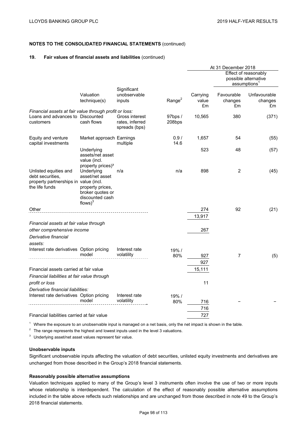### **19. Fair values of financial assets and liabilities** (continued)

|                                                                                                         |                                                                                                        |                                                    |                   | At 31 December 2018     |                                                                          |                               |
|---------------------------------------------------------------------------------------------------------|--------------------------------------------------------------------------------------------------------|----------------------------------------------------|-------------------|-------------------------|--------------------------------------------------------------------------|-------------------------------|
|                                                                                                         |                                                                                                        |                                                    |                   |                         | Effect of reasonably<br>possible alternative<br>assumptions <sup>1</sup> |                               |
|                                                                                                         | Valuation<br>technique(s)                                                                              | Significant<br>unobservable<br>inputs              | Range $2$         | Carrying<br>value<br>£m | Favourable<br>changes<br>£m                                              | Unfavourable<br>changes<br>£m |
| Financial assets at fair value through profit or loss:<br>Loans and advances to Discounted<br>customers | cash flows                                                                                             | Gross interest<br>rates, inferred<br>spreads (bps) | 97bps /<br>208bps | 10,565                  | 380                                                                      | (371)                         |
| Equity and venture<br>capital investments                                                               | Market approach Earnings                                                                               | multiple                                           | 0.9/<br>14.6      | 1,657                   | 54                                                                       | (55)                          |
|                                                                                                         | Underlying<br>assets/net asset<br>value (incl.<br>property prices) <sup>3</sup>                        |                                                    |                   | 523                     | 48                                                                       | (57)                          |
| Unlisted equities and<br>debt securities,<br>property partnerships in value (incl.<br>the life funds    | Underlying<br>asset/net asset<br>property prices,<br>broker quotes or<br>discounted cash<br>flows) $3$ | n/a                                                | n/a               | 898                     | 2                                                                        | (45)                          |
| Other                                                                                                   |                                                                                                        |                                                    |                   | 274                     | 92                                                                       | (21)                          |
| Financial assets at fair value through<br>other comprehensive income<br>Derivative financial<br>assets: |                                                                                                        |                                                    |                   | 13,917<br>267           |                                                                          |                               |
| Interest rate derivatives Option pricing                                                                | model                                                                                                  | Interest rate<br>volatility                        | 19% /<br>80%      | 927<br>927              | 7                                                                        | (5)                           |
| Financial assets carried at fair value<br>Financial liabilities at fair value through<br>profit or loss |                                                                                                        |                                                    |                   | 15,111<br>11            |                                                                          |                               |
| Derivative financial liabilities:<br>Interest rate derivatives Option pricing                           | model                                                                                                  | Interest rate<br>volatility                        | 19% /<br>80%      | 716                     |                                                                          |                               |
| Financial liabilities carried at fair value                                                             |                                                                                                        |                                                    |                   | 716<br>727              |                                                                          |                               |

 $<sup>1</sup>$  Where the exposure to an unobservable input is managed on a net basis, only the net impact is shown in the table.</sup>

 $2\degree$  The range represents the highest and lowest inputs used in the level 3 valuations.

<sup>3</sup> Underlying asset/net asset values represent fair value.

### **Unobservable inputs**

Significant unobservable inputs affecting the valuation of debt securities, unlisted equity investments and derivatives are unchanged from those described in the Group's 2018 financial statements.

## **Reasonably possible alternative assumptions**

Valuation techniques applied to many of the Group's level 3 instruments often involve the use of two or more inputs whose relationship is interdependent. The calculation of the effect of reasonably possible alternative assumptions included in the table above reflects such relationships and are unchanged from those described in note 49 to the Group's 2018 financial statements.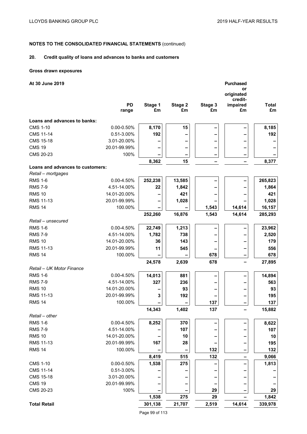## **20. Credit quality of loans and advances to banks and customers**

### **Gross drawn exposures**

| At 30 June 2019                  |                 |         |         |         | <b>Purchased</b> |              |
|----------------------------------|-----------------|---------|---------|---------|------------------|--------------|
|                                  |                 |         |         |         | or<br>originated |              |
|                                  |                 |         |         |         | credit-          |              |
|                                  | <b>PD</b>       | Stage 1 | Stage 2 | Stage 3 | impaired         | <b>Total</b> |
|                                  | range           | £m      | £m      | £m      | £m               | £m           |
| Loans and advances to banks:     |                 |         |         |         |                  |              |
| <b>CMS 1-10</b>                  | 0.00-0.50%      | 8,170   | 15      |         |                  | 8,185        |
| <b>CMS 11-14</b>                 | 0.51-3.00%      | 192     |         |         |                  | 192          |
| <b>CMS 15-18</b>                 | 3.01-20.00%     |         |         |         |                  |              |
| <b>CMS 19</b>                    | 20.01-99.99%    |         |         |         |                  |              |
| CMS 20-23                        | 100%            |         |         |         |                  |              |
|                                  |                 | 8,362   | 15      |         |                  | 8,377        |
| Loans and advances to customers: |                 |         |         |         |                  |              |
| Retail - mortgages               |                 |         |         |         |                  |              |
| <b>RMS 1-6</b>                   | 0.00-4.50%      | 252,238 | 13,585  |         |                  | 265,823      |
| <b>RMS 7-9</b>                   | 4.51-14.00%     | 22      | 1,842   |         |                  | 1,864        |
| <b>RMS 10</b>                    | 14.01-20.00%    |         | 421     |         |                  | 421          |
| <b>RMS 11-13</b>                 | 20.01-99.99%    |         | 1,028   |         |                  | 1,028        |
| <b>RMS 14</b>                    | 100.00%         |         |         | 1,543   | 14,614           | 16,157       |
|                                  |                 | 252,260 | 16,876  | 1,543   | 14,614           | 285,293      |
| Retail - unsecured               |                 |         |         |         |                  |              |
| <b>RMS 1-6</b>                   | 0.00-4.50%      | 22,749  | 1,213   |         |                  | 23,962       |
| <b>RMS 7-9</b>                   | 4.51-14.00%     | 1,782   | 738     |         |                  | 2,520        |
| <b>RMS 10</b>                    | 14.01-20.00%    | 36      | 143     |         |                  | 179          |
| <b>RMS 11-13</b>                 | 20.01-99.99%    | 11      | 545     |         |                  | 556          |
| <b>RMS 14</b>                    | 100.00%         |         |         | 678     |                  | 678          |
|                                  |                 | 24,578  | 2,639   | 678     |                  | 27,895       |
| Retail - UK Motor Finance        |                 |         |         |         |                  |              |
| <b>RMS 1-6</b>                   | 0.00-4.50%      | 14,013  | 881     |         |                  | 14,894       |
| <b>RMS 7-9</b>                   | 4.51-14.00%     | 327     | 236     |         |                  | 563          |
| <b>RMS 10</b>                    | 14.01-20.00%    |         | 93      |         |                  | 93           |
| RMS 11-13                        | 20.01-99.99%    | 3       | 192     |         |                  | 195          |
| <b>RMS 14</b>                    | 100.00%         |         |         | 137     |                  | 137          |
|                                  |                 | 14,343  | 1,402   | 137     |                  | 15,882       |
| Retail – other                   |                 |         |         |         |                  |              |
| <b>RMS 1-6</b>                   | $0.00 - 4.50%$  | 8,252   | 370     |         |                  | 8,622        |
| <b>RMS 7-9</b>                   | 4.51-14.00%     |         | 107     |         |                  | 107          |
| <b>RMS 10</b>                    | 14.01-20.00%    |         | 10      |         |                  | 10           |
| RMS 11-13                        | 20.01-99.99%    | 167     | 28      |         |                  | 195          |
| <b>RMS 14</b>                    | 100.00%         |         |         | 132     |                  | 132          |
|                                  |                 | 8,419   | 515     | 132     |                  | 9,066        |
| <b>CMS 1-10</b>                  | $0.00 - 0.50\%$ | 1,538   | 275     |         |                  | 1,813        |
| <b>CMS 11-14</b>                 | 0.51-3.00%      |         |         |         |                  |              |
| <b>CMS 15-18</b>                 | 3.01-20.00%     |         |         |         |                  |              |
| <b>CMS 19</b>                    | 20.01-99.99%    |         |         |         |                  |              |
| CMS 20-23                        | 100%            |         |         | 29      |                  | 29           |
|                                  |                 | 1,538   | 275     | 29      |                  | 1,842        |
| <b>Total Retail</b>              |                 | 301,138 | 21,707  | 2,519   | 14,614           | 339,978      |

Page 99 of 113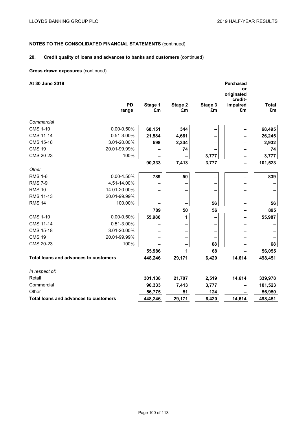## **20. Credit quality of loans and advances to banks and customers** (continued)

### **Gross drawn exposures** (continued)

| At 30 June 2019                       |                    |               |               |               | Purchased<br>or<br>originated<br>credit- |                    |
|---------------------------------------|--------------------|---------------|---------------|---------------|------------------------------------------|--------------------|
|                                       | <b>PD</b><br>range | Stage 1<br>£m | Stage 2<br>£m | Stage 3<br>£m | impaired<br>£m                           | <b>Total</b><br>£m |
| Commercial                            |                    |               |               |               |                                          |                    |
| <b>CMS 1-10</b>                       | $0.00 - 0.50\%$    | 68,151        | 344           |               |                                          | 68,495             |
| <b>CMS 11-14</b>                      | 0.51-3.00%         | 21,584        | 4,661         |               |                                          | 26,245             |
| <b>CMS 15-18</b>                      | 3.01-20.00%        | 598           | 2,334         |               |                                          | 2,932              |
| <b>CMS 19</b>                         | 20.01-99.99%       |               | 74            |               |                                          | 74                 |
| CMS 20-23                             | 100%               |               |               | 3,777         |                                          | 3,777              |
|                                       |                    | 90,333        | 7,413         | 3,777         |                                          | 101,523            |
| Other                                 |                    |               |               |               |                                          |                    |
| <b>RMS 1-6</b>                        | $0.00 - 4.50%$     | 789           | 50            |               |                                          | 839                |
| <b>RMS 7-9</b>                        | 4.51-14.00%        |               |               |               |                                          |                    |
| <b>RMS 10</b>                         | 14.01-20.00%       |               |               |               |                                          |                    |
| <b>RMS 11-13</b>                      | 20.01-99.99%       |               |               |               |                                          |                    |
| <b>RMS 14</b>                         | 100.00%            |               |               | 56            |                                          | 56                 |
|                                       |                    | 789           | 50            | 56            |                                          | 895                |
| <b>CMS 1-10</b>                       | $0.00 - 0.50\%$    | 55,986        | 1             |               |                                          | 55,987             |
| <b>CMS 11-14</b>                      | 0.51-3.00%         |               |               |               |                                          |                    |
| <b>CMS 15-18</b>                      | 3.01-20.00%        |               |               |               |                                          |                    |
| <b>CMS 19</b>                         | 20.01-99.99%       |               |               |               |                                          |                    |
| CMS 20-23                             | 100%               |               |               | 68            |                                          | 68                 |
|                                       |                    | 55,986        | 1             | 68            |                                          | 56,055             |
| Total loans and advances to customers |                    | 448,246       | 29,171        | 6,420         | 14,614                                   | 498,451            |
| In respect of:                        |                    |               |               |               |                                          |                    |
| Retail                                |                    | 301,138       | 21,707        | 2,519         | 14,614                                   | 339,978            |
| Commercial                            |                    | 90,333        | 7,413         | 3,777         |                                          | 101,523            |
| Other                                 |                    | 56,775        | 51            | 124           |                                          | 56,950             |
| Total loans and advances to customers |                    | 448,246       | 29,171        | 6,420         | 14,614                                   | 498,451            |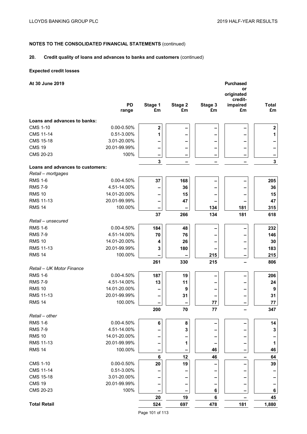## **20. Credit quality of loans and advances to banks and customers** (continued)

## **Expected credit losses**

| At 30 June 2019                  |              |         |         |         | <b>Purchased</b>    |              |
|----------------------------------|--------------|---------|---------|---------|---------------------|--------------|
|                                  |              |         |         |         | or<br>originated    |              |
|                                  | <b>PD</b>    | Stage 1 | Stage 2 | Stage 3 | credit-<br>impaired | <b>Total</b> |
|                                  | range        | £m      | £m      | £m      | £m                  | £m           |
| Loans and advances to banks:     |              |         |         |         |                     |              |
| <b>CMS 1-10</b>                  | 0.00-0.50%   | $\bf 2$ |         |         |                     | $\mathbf 2$  |
| <b>CMS 11-14</b>                 | 0.51-3.00%   | 1       |         |         |                     | 1            |
| <b>CMS 15-18</b>                 | 3.01-20.00%  |         |         |         |                     |              |
| <b>CMS 19</b>                    | 20.01-99.99% |         |         |         |                     |              |
| CMS 20-23                        | 100%         | -       | -       | -       |                     | -            |
|                                  |              | 3       |         |         |                     | $\mathbf{3}$ |
| Loans and advances to customers: |              |         |         |         |                     |              |
| Retail - mortgages               |              |         |         |         |                     |              |
| <b>RMS 1-6</b>                   | 0.00-4.50%   | 37      | 168     |         |                     | 205          |
| <b>RMS 7-9</b>                   | 4.51-14.00%  |         | 36      |         |                     | 36           |
| <b>RMS 10</b>                    | 14.01-20.00% |         | 15      |         |                     | 15           |
| <b>RMS 11-13</b>                 | 20.01-99.99% |         | 47      |         |                     | 47           |
| <b>RMS 14</b>                    | 100.00%      |         |         | 134     | 181                 | 315          |
|                                  |              | 37      | 266     | 134     | 181                 | 618          |
| Retail - unsecured               |              |         |         |         |                     |              |
| <b>RMS 1-6</b>                   | 0.00-4.50%   | 184     | 48      |         |                     | 232          |
| <b>RMS 7-9</b>                   | 4.51-14.00%  | 70      | 76      |         |                     | 146          |
| <b>RMS 10</b>                    | 14.01-20.00% | 4       | 26      |         |                     | 30           |
| <b>RMS 11-13</b>                 | 20.01-99.99% | 3       | 180     |         |                     | 183          |
| <b>RMS 14</b>                    | 100.00%      |         |         | 215     |                     | 215          |
| Retail - UK Motor Finance        |              | 261     | 330     | 215     |                     | 806          |
| <b>RMS 1-6</b>                   | 0.00-4.50%   | 187     | 19      |         |                     | 206          |
| <b>RMS 7-9</b>                   | 4.51-14.00%  | 13      | 11      |         |                     | 24           |
| <b>RMS 10</b>                    | 14.01-20.00% |         | 9       |         |                     | 9            |
| <b>RMS 11-13</b>                 | 20.01-99.99% |         | 31      |         |                     | 31           |
| <b>RMS 14</b>                    | 100.00%      |         |         | 77      |                     | 77           |
|                                  |              | 200     | 70      | 77      |                     | 347          |
| Retail - other                   |              |         |         |         |                     |              |
| <b>RMS 1-6</b>                   | 0.00-4.50%   | 6       | 8       |         |                     | 14           |
| <b>RMS 7-9</b>                   | 4.51-14.00%  |         | 3       |         |                     | 3            |
| <b>RMS 10</b>                    | 14.01-20.00% |         |         |         |                     |              |
| RMS 11-13                        | 20.01-99.99% |         | 1       |         |                     | 1            |
| <b>RMS 14</b>                    | 100.00%      | -       | -       | 46      |                     | 46           |
|                                  |              | 6       | 12      | 46      |                     | 64           |
| <b>CMS 1-10</b>                  | 0.00-0.50%   | 20      | 19      |         |                     | 39           |
| <b>CMS 11-14</b>                 | 0.51-3.00%   |         |         |         |                     |              |
| CMS 15-18                        | 3.01-20.00%  |         |         |         |                     |              |
| <b>CMS 19</b>                    | 20.01-99.99% |         |         |         |                     |              |
| CMS 20-23                        | 100%         |         |         | 6       |                     | 6            |
|                                  |              | 20      | 19      | 6       |                     | 45           |
| <b>Total Retail</b>              |              | 524     | 697     | 478     | 181                 | 1,880        |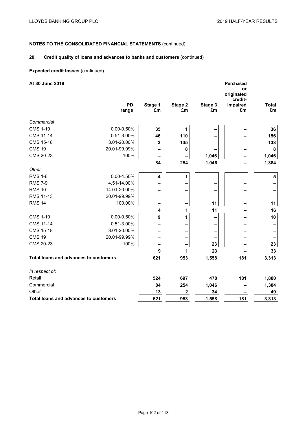## **20. Credit quality of loans and advances to banks and customers** (continued)

### **Expected credit losses** (continued)

| At 30 June 2019                              |                    |                  |               |               | <b>Purchased</b><br>or<br>originated<br>credit- |                         |
|----------------------------------------------|--------------------|------------------|---------------|---------------|-------------------------------------------------|-------------------------|
|                                              | <b>PD</b><br>range | Stage 1<br>£m    | Stage 2<br>£m | Stage 3<br>£m | impaired<br>£m                                  | <b>Total</b><br>£m      |
| Commercial                                   |                    |                  |               |               |                                                 |                         |
| <b>CMS 1-10</b>                              | $0.00 - 0.50\%$    | 35               | 1             |               |                                                 | 36                      |
| <b>CMS 11-14</b>                             | 0.51-3.00%         | 46               | 110           |               |                                                 | 156                     |
| <b>CMS 15-18</b>                             | 3.01-20.00%        | 3                | 135           |               |                                                 | 138                     |
| <b>CMS 19</b>                                | 20.01-99.99%       |                  | 8             |               |                                                 | 8                       |
| CMS 20-23                                    | 100%               | -                |               | 1,046         |                                                 | 1,046                   |
|                                              |                    | 84               | 254           | 1,046         |                                                 | 1,384                   |
| Other                                        |                    |                  |               |               |                                                 |                         |
| <b>RMS 1-6</b>                               | $0.00 - 4.50%$     | 4                | 1             |               |                                                 | $\overline{\mathbf{5}}$ |
| <b>RMS 7-9</b>                               | 4.51-14.00%        |                  |               |               |                                                 |                         |
| <b>RMS 10</b>                                | 14.01-20.00%       |                  |               |               |                                                 |                         |
| <b>RMS 11-13</b>                             | 20.01-99.99%       | -                |               |               |                                                 |                         |
| <b>RMS 14</b>                                | 100.00%            | -                |               | 11            | -                                               | 11                      |
|                                              |                    | 4                | 1             | 11            |                                                 | 16                      |
| <b>CMS 1-10</b>                              | $0.00 - 0.50\%$    | $\boldsymbol{9}$ | 1             |               |                                                 | 10                      |
| <b>CMS 11-14</b>                             | 0.51-3.00%         |                  |               |               |                                                 |                         |
| <b>CMS 15-18</b>                             | 3.01-20.00%        |                  |               |               |                                                 |                         |
| <b>CMS 19</b>                                | 20.01-99.99%       | -                |               |               |                                                 |                         |
| CMS 20-23                                    | 100%               | -                | -             | 23            | $\qquad \qquad$                                 | 23                      |
|                                              |                    | 9                | 1             | 23            |                                                 | 33                      |
| <b>Total loans and advances to customers</b> |                    | 621              | 953           | 1,558         | 181                                             | 3,313                   |
| In respect of:                               |                    |                  |               |               |                                                 |                         |
| Retail                                       |                    | 524              | 697           | 478           | 181                                             | 1,880                   |
| Commercial                                   |                    | 84               | 254           | 1,046         |                                                 | 1,384                   |
| Other                                        |                    | 13               | $\mathbf 2$   | 34            |                                                 | 49                      |
| Total loans and advances to customers        |                    | 621              | 953           | 1,558         | 181                                             | 3,313                   |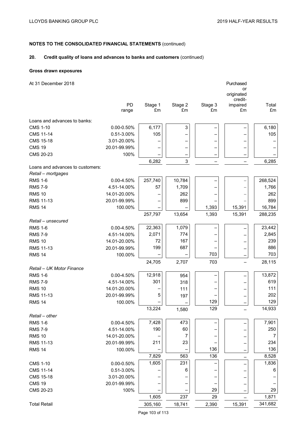## **20. Credit quality of loans and advances to banks and customers** (continued)

### **Gross drawn exposures**

| At 31 December 2018              |                 |         |         |         | Purchased        |         |
|----------------------------------|-----------------|---------|---------|---------|------------------|---------|
|                                  |                 |         |         |         | or<br>originated |         |
|                                  |                 |         |         |         | credit-          |         |
|                                  | PD              | Stage 1 | Stage 2 | Stage 3 | impaired         | Total   |
|                                  | range           | £m      | £m      | £m      | £m               | £m      |
| Loans and advances to banks:     |                 |         |         |         |                  |         |
| <b>CMS 1-10</b>                  | $0.00 - 0.50\%$ | 6,177   | 3       |         |                  | 6,180   |
| <b>CMS 11-14</b>                 | 0.51-3.00%      | 105     |         |         |                  | 105     |
| <b>CMS 15-18</b>                 | 3.01-20.00%     |         |         |         |                  |         |
| <b>CMS 19</b>                    | 20.01-99.99%    |         | -       | -       |                  |         |
| CMS 20-23                        | 100%            |         |         | -       |                  |         |
|                                  |                 | 6,282   | 3       |         |                  | 6,285   |
| Loans and advances to customers: |                 |         |         |         |                  |         |
| Retail - mortgages               |                 |         |         |         |                  |         |
| <b>RMS 1-6</b>                   | 0.00-4.50%      | 257,740 | 10,784  |         |                  | 268,524 |
| <b>RMS 7-9</b>                   | 4.51-14.00%     | 57      | 1,709   |         |                  | 1,766   |
| <b>RMS 10</b>                    | 14.01-20.00%    |         | 262     |         |                  | 262     |
| RMS 11-13                        | 20.01-99.99%    |         | 899     |         |                  | 899     |
| <b>RMS 14</b>                    | 100.00%         |         |         | 1,393   | 15,391           | 16,784  |
|                                  |                 | 257,797 | 13,654  | 1,393   | 15,391           | 288,235 |
| Retail - unsecured               |                 |         |         |         |                  |         |
| <b>RMS 1-6</b>                   | 0.00-4.50%      | 22,363  | 1,079   |         |                  | 23,442  |
| <b>RMS 7-9</b>                   | 4.51-14.00%     | 2,071   | 774     |         |                  | 2,845   |
| <b>RMS 10</b>                    | 14.01-20.00%    | 72      | 167     |         |                  | 239     |
| <b>RMS 11-13</b>                 | 20.01-99.99%    | 199     | 687     |         |                  | 886     |
| <b>RMS 14</b>                    | 100.00%         |         |         | 703     |                  | 703     |
|                                  |                 | 24,705  | 2,707   | 703     |                  | 28,115  |
| Retail - UK Motor Finance        |                 |         |         |         |                  |         |
| <b>RMS 1-6</b>                   | 0.00-4.50%      | 12,918  | 954     |         |                  | 13,872  |
| <b>RMS 7-9</b>                   | 4.51-14.00%     | 301     | 318     |         |                  | 619     |
| <b>RMS 10</b>                    | 14.01-20.00%    |         | 111     |         |                  | 111     |
| <b>RMS 11-13</b>                 | 20.01-99.99%    | 5       | 197     |         |                  | 202     |
| <b>RMS 14</b>                    | 100.00%         |         |         | 129     |                  | 129     |
|                                  |                 | 13,224  | 1,580   | 129     |                  | 14,933  |
| Retail - other                   |                 |         |         |         |                  |         |
| <b>RMS 1-6</b>                   | 0.00-4.50%      | 7,428   | 473     |         |                  | 7,901   |
| <b>RMS 7-9</b>                   | 4.51-14.00%     | 190     | 60      |         |                  | 250     |
| <b>RMS 10</b>                    | 14.01-20.00%    |         | 7       |         |                  | 7       |
| RMS 11-13                        | 20.01-99.99%    | 211     | 23      |         |                  | 234     |
| <b>RMS 14</b>                    | 100.00%         |         |         | 136     |                  | 136     |
|                                  |                 | 7,829   | 563     | 136     |                  | 8,528   |
| <b>CMS 1-10</b>                  | 0.00-0.50%      | 1,605   | 231     |         |                  | 1,836   |
| <b>CMS 11-14</b>                 | 0.51-3.00%      |         | 6       |         |                  | 6       |
| <b>CMS 15-18</b>                 | 3.01-20.00%     |         |         |         |                  |         |
| <b>CMS 19</b>                    | 20.01-99.99%    |         |         |         |                  |         |
| CMS 20-23                        | 100%            |         |         | 29      |                  | 29      |
|                                  |                 | 1,605   | 237     | 29      |                  | 1,871   |
| <b>Total Retail</b>              |                 | 305,160 | 18,741  | 2,390   | 15,391           | 341,682 |
|                                  |                 |         |         |         |                  |         |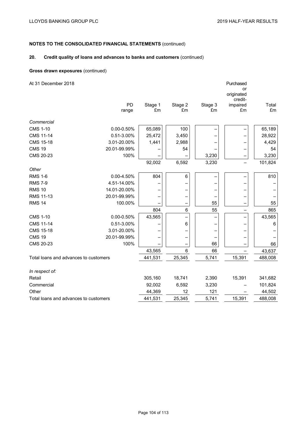## **20. Credit quality of loans and advances to banks and customers** (continued)

### **Gross drawn exposures** (continued)

| At 31 December 2018                   |                 |               |               |               | Purchased<br>or<br>originated<br>credit- |             |
|---------------------------------------|-----------------|---------------|---------------|---------------|------------------------------------------|-------------|
|                                       | PD<br>range     | Stage 1<br>£m | Stage 2<br>£m | Stage 3<br>£m | impaired<br>£m                           | Total<br>£m |
| Commercial                            |                 |               |               |               |                                          |             |
| <b>CMS 1-10</b>                       | $0.00 - 0.50\%$ | 65,089        | 100           |               |                                          | 65,189      |
| <b>CMS 11-14</b>                      | 0.51-3.00%      | 25,472        | 3,450         |               |                                          | 28,922      |
| <b>CMS 15-18</b>                      | 3.01-20.00%     | 1,441         | 2,988         |               |                                          | 4,429       |
| <b>CMS 19</b>                         | 20.01-99.99%    |               | 54            |               |                                          | 54          |
| CMS 20-23                             | 100%            |               |               | 3,230         |                                          | 3,230       |
|                                       |                 | 92,002        | 6,592         | 3,230         | $\overline{\phantom{0}}$                 | 101,824     |
| Other                                 |                 |               |               |               |                                          |             |
| <b>RMS 1-6</b>                        | 0.00-4.50%      | 804           | $\,6\,$       |               |                                          | 810         |
| <b>RMS 7-9</b>                        | 4.51-14.00%     |               |               |               |                                          |             |
| <b>RMS 10</b>                         | 14.01-20.00%    |               |               |               |                                          |             |
| <b>RMS 11-13</b>                      | 20.01-99.99%    |               |               |               |                                          |             |
| <b>RMS 14</b>                         | 100.00%         |               |               | 55            |                                          | 55          |
|                                       |                 | 804           | 6             | 55            |                                          | 865         |
| <b>CMS 1-10</b>                       | $0.00 - 0.50\%$ | 43,565        |               |               |                                          | 43,565      |
| <b>CMS 11-14</b>                      | 0.51-3.00%      |               | $\,6\,$       |               |                                          | 6           |
| <b>CMS 15-18</b>                      | 3.01-20.00%     |               |               |               |                                          |             |
| <b>CMS 19</b>                         | 20.01-99.99%    |               |               |               |                                          |             |
| CMS 20-23                             | 100%            |               |               | 66            |                                          | 66          |
|                                       |                 | 43,565        | 6             | 66            |                                          | 43,637      |
| Total loans and advances to customers |                 | 441,531       | 25,345        | 5,741         | 15,391                                   | 488,008     |
| In respect of:                        |                 |               |               |               |                                          |             |
| Retail                                |                 | 305,160       | 18,741        | 2,390         | 15,391                                   | 341,682     |
| Commercial                            |                 | 92,002        | 6,592         | 3,230         |                                          | 101,824     |
| Other                                 |                 | 44,369        | 12            | 121           |                                          | 44,502      |
| Total loans and advances to customers |                 | 441,531       | 25,345        | 5,741         | 15,391                                   | 488,008     |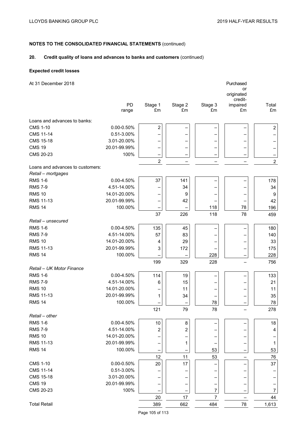## **20. Credit quality of loans and advances to banks and customers** (continued)

### **Expected credit losses**

| At 31 December 2018              |                 |                  |         |         | Purchased        |                  |
|----------------------------------|-----------------|------------------|---------|---------|------------------|------------------|
|                                  |                 |                  |         |         | or<br>originated |                  |
|                                  |                 |                  |         |         | credit-          |                  |
|                                  | PD              | Stage 1          | Stage 2 | Stage 3 | impaired         | Total            |
|                                  | range           | £m               | £m      | £m      | £m               | £m               |
| Loans and advances to banks:     |                 |                  |         |         |                  |                  |
| <b>CMS 1-10</b>                  | $0.00 - 0.50\%$ | $\boldsymbol{2}$ |         |         |                  | $\mathbf 2$      |
| <b>CMS 11-14</b>                 | 0.51-3.00%      |                  |         |         |                  |                  |
| <b>CMS 15-18</b>                 | 3.01-20.00%     |                  |         |         |                  |                  |
| <b>CMS 19</b>                    | 20.01-99.99%    |                  |         |         |                  | —                |
| CMS 20-23                        | 100%            |                  |         |         |                  | —                |
|                                  |                 | $\overline{2}$   |         |         |                  | $\overline{c}$   |
| Loans and advances to customers: |                 |                  |         |         |                  |                  |
| Retail - mortgages               |                 |                  |         |         |                  |                  |
| <b>RMS 1-6</b>                   | $0.00 - 4.50%$  | 37               | 141     |         |                  | 178              |
| <b>RMS 7-9</b>                   | 4.51-14.00%     |                  | 34      |         |                  | 34               |
| <b>RMS 10</b>                    | 14.01-20.00%    |                  | 9       |         |                  | 9                |
| <b>RMS 11-13</b>                 | 20.01-99.99%    |                  | 42      |         |                  | 42               |
| <b>RMS 14</b>                    | 100.00%         |                  |         | 118     | 78               | 196              |
|                                  |                 | 37               | 226     | 118     | 78               | 459              |
| Retail - unsecured               |                 |                  |         |         |                  |                  |
| <b>RMS 1-6</b>                   | $0.00 - 4.50%$  | 135              | 45      |         |                  | 180              |
| <b>RMS 7-9</b>                   | 4.51-14.00%     | 57               | 83      |         |                  | 140              |
| <b>RMS 10</b>                    | 14.01-20.00%    | 4                | 29      |         |                  | 33               |
| <b>RMS 11-13</b>                 | 20.01-99.99%    | 3                | 172     |         |                  | 175              |
| <b>RMS 14</b>                    | 100.00%         |                  |         | 228     |                  | 228              |
|                                  |                 | 199              | 329     | 228     |                  | 756              |
| Retail - UK Motor Finance        |                 |                  |         |         |                  |                  |
| <b>RMS 1-6</b>                   | 0.00-4.50%      | 114              | 19      |         |                  | 133              |
| <b>RMS 7-9</b>                   | 4.51-14.00%     | 6                | 15      |         |                  | 21               |
| <b>RMS 10</b>                    | 14.01-20.00%    |                  | 11      |         |                  | 11               |
| RMS 11-13                        | 20.01-99.99%    | 1                | 34      |         |                  | 35               |
| <b>RMS 14</b>                    | 100.00%         |                  |         | 78      |                  | 78               |
|                                  |                 | 121              | 79      | 78      |                  | 278              |
| Retail - other                   |                 |                  |         |         |                  |                  |
| <b>RMS 1-6</b>                   | $0.00 - 4.50%$  | 10               | 8       |         |                  | 18               |
| <b>RMS 7-9</b>                   | 4.51-14.00%     | 2                | 2       |         |                  | 4                |
| <b>RMS 10</b>                    | 14.01-20.00%    |                  |         |         |                  |                  |
| RMS 11-13                        | 20.01-99.99%    |                  | 1       |         |                  | 1                |
| <b>RMS 14</b>                    | 100.00%         |                  |         | 53      |                  | 53               |
|                                  |                 | 12               | 11      | 53      |                  | 76               |
| <b>CMS 1-10</b>                  | 0.00-0.50%      | $20\,$           | 17      |         |                  | 37               |
| <b>CMS 11-14</b>                 | 0.51-3.00%      |                  |         |         |                  |                  |
| <b>CMS 15-18</b>                 | 3.01-20.00%     |                  |         |         |                  |                  |
| <b>CMS 19</b>                    | 20.01-99.99%    |                  |         |         |                  |                  |
| CMS 20-23                        | 100%            |                  |         | 7       |                  | $\boldsymbol{7}$ |
|                                  |                 | 20               | 17      | 7       |                  | 44               |
| <b>Total Retail</b>              |                 | 389              | 662     | 484     | 78               | 1,613            |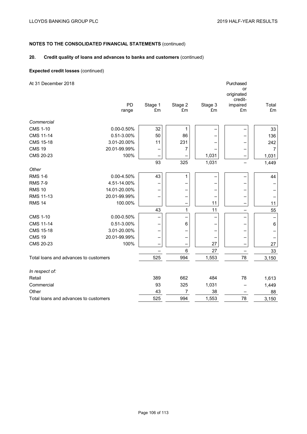# **NOTES TO THE CONSOLIDATED FINANCIAL STATEMENTS** (continued)

## **20. Credit quality of loans and advances to banks and customers** (continued)

### **Expected credit losses** (continued)

| At 31 December 2018                   |               |                |               | Purchased<br>or<br>originated<br>credit- |                   |
|---------------------------------------|---------------|----------------|---------------|------------------------------------------|-------------------|
| PD<br>range                           | Stage 1<br>£m | Stage 2<br>£m  | Stage 3<br>£m | impaired<br>£m                           | Total<br>£m       |
| Commercial                            |               |                |               |                                          |                   |
| <b>CMS 1-10</b><br>$0.00 - 0.50\%$    | 32            | $\mathbf{1}$   |               |                                          | 33                |
| <b>CMS 11-14</b><br>0.51-3.00%        | 50            | 86             |               |                                          | 136               |
| <b>CMS 15-18</b><br>3.01-20.00%       | 11            | 231            |               |                                          | 242               |
| <b>CMS 19</b><br>20.01-99.99%         |               | 7              |               |                                          | $\overline{7}$    |
| CMS 20-23<br>100%                     |               |                | 1,031         |                                          | 1,031             |
|                                       | 93            | 325            | 1,031         |                                          | 1,449             |
| Other                                 |               |                |               |                                          |                   |
| <b>RMS 1-6</b><br>$0.00 - 4.50%$      | 43            | 1              |               |                                          | 44                |
| <b>RMS 7-9</b><br>4.51-14.00%         |               |                |               |                                          |                   |
| <b>RMS 10</b><br>14.01-20.00%         |               |                |               |                                          |                   |
| <b>RMS 11-13</b><br>20.01-99.99%      |               |                |               |                                          |                   |
| <b>RMS 14</b><br>100.00%              |               |                | 11            |                                          | 11                |
|                                       | 43            | $\mathbf{1}$   | 11            |                                          | 55                |
| <b>CMS 1-10</b><br>$0.00 - 0.50\%$    |               |                |               |                                          | $\qquad \qquad -$ |
| <b>CMS 11-14</b><br>0.51-3.00%        |               | $\,6\,$        |               |                                          | $\,6$             |
| <b>CMS 15-18</b><br>3.01-20.00%       |               |                |               |                                          |                   |
| <b>CMS 19</b><br>20.01-99.99%         | -             |                |               |                                          |                   |
| CMS 20-23<br>100%                     |               |                | 27            |                                          | 27                |
|                                       |               | 6              | 27            |                                          | 33                |
| Total loans and advances to customers | 525           | 994            | 1,553         | 78                                       | 3,150             |
| In respect of:                        |               |                |               |                                          |                   |
| Retail                                | 389           | 662            | 484           | 78                                       | 1,613             |
| Commercial                            | 93            | 325            | 1,031         |                                          | 1,449             |
| Other                                 | 43            | $\overline{7}$ | 38            |                                          | 88                |
| Total loans and advances to customers | 525           | 994            | 1,553         | 78                                       | 3,150             |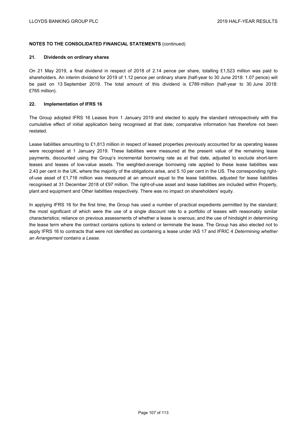### **NOTES TO THE CONSOLIDATED FINANCIAL STATEMENTS** (continued)

### **21. Dividends on ordinary shares**

On 21 May 2019, a final dividend in respect of 2018 of 2.14 pence per share, totalling £1,523 million was paid to shareholders. An interim dividend for 2019 of 1.12 pence per ordinary share (half-year to 30 June 2018: 1.07 pence) will be paid on 13 September 2019. The total amount of this dividend is £789 million (half-year to 30 June 2018: £765 million).

### **22. Implementation of IFRS 16**

The Group adopted IFRS 16 Leases from 1 January 2019 and elected to apply the standard retrospectively with the cumulative effect of initial application being recognised at that date; comparative information has therefore not been restated.

Lease liabilities amounting to £1,813 million in respect of leased properties previously accounted for as operating leases were recognised at 1 January 2019. These liabilities were measured at the present value of the remaining lease payments, discounted using the Group's incremental borrowing rate as at that date, adjusted to exclude short-term leases and leases of low-value assets. The weighted-average borrowing rate applied to these lease liabilities was 2.43 per cent in the UK, where the majority of the obligations arise, and 5.10 per cent in the US. The corresponding rightof-use asset of £1,716 million was measured at an amount equal to the lease liabilities, adjusted for lease liabilities recognised at 31 December 2018 of £97 million. The right-of-use asset and lease liabilities are included within Property, plant and equipment and Other liabilities respectively. There was no impact on shareholders' equity.

In applying IFRS 16 for the first time, the Group has used a number of practical expedients permitted by the standard; the most significant of which were the use of a single discount rate to a portfolio of leases with reasonably similar characteristics; reliance on previous assessments of whether a lease is onerous; and the use of hindsight in determining the lease term where the contract contains options to extend or terminate the lease. The Group has also elected not to apply IFRS 16 to contracts that were not identified as containing a lease under IAS 17 and IFRIC 4 *Determining whether an Arrangement contains a Lease*.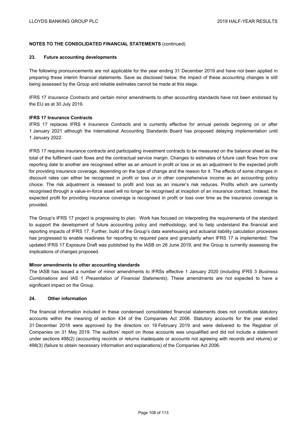## **NOTES TO THE CONSOLIDATED FINANCIAL STATEMENTS** (continued)

### **23. Future accounting developments**

The following pronouncements are not applicable for the year ending 31 December 2019 and have not been applied in preparing these interim financial statements. Save as disclosed below, the impact of these accounting changes is still being assessed by the Group and reliable estimates cannot be made at this stage.

IFRS 17 *Insurance Contracts* and certain minor amendments to other accounting standards have not been endorsed by the EU as at 30 July 2019.

### **IFRS 17 Insurance Contracts**

IFRS 17 replaces IFRS 4 *Insurance Contracts* and is currently effective for annual periods beginning on or after 1 January 2021 although the International Accounting Standards Board has proposed delaying implementation until 1 January 2022.

IFRS 17 requires insurance contracts and participating investment contracts to be measured on the balance sheet as the total of the fulfilment cash flows and the contractual service margin. Changes to estimates of future cash flows from one reporting date to another are recognised either as an amount in profit or loss or as an adjustment to the expected profit for providing insurance coverage, depending on the type of change and the reason for it. The effects of some changes in discount rates can either be recognised in profit or loss or in other comprehensive income as an accounting policy choice. The risk adjustment is released to profit and loss as an insurer's risk reduces. Profits which are currently recognised through a value-in-force asset will no longer be recognised at inception of an insurance contract. Instead, the expected profit for providing insurance coverage is recognised in profit or loss over time as the insurance coverage is provided.

The Group's IFRS 17 project is progressing to plan. Work has focused on interpreting the requirements of the standard to support the development of future accounting policy and methodology, and to help understand the financial and reporting impacts of IFRS 17. Further, build of the Group's data warehousing and actuarial liability calculation processes has progressed to enable readiness for reporting to required pace and granularity when IFRS 17 is implemented. The updated IFRS 17 Exposure Draft was published by the IASB on 26 June 2019, and the Group is currently assessing the implications of changes proposed.

## **Minor amendments to other accounting standards**

The IASB has issued a number of minor amendments to IFRSs effective 1 January 2020 (including IFRS 3 *Business Combinations* and IAS 1 *Presentation of Financial Statements*). These amendments are not expected to have a significant impact on the Group.

## **24. Other information**

The financial information included in these condensed consolidated financial statements does not constitute statutory accounts within the meaning of section 434 of the Companies Act 2006. Statutory accounts for the year ended 31 December 2018 were approved by the directors on 19 February 2019 and were delivered to the Registrar of Companies on 31 May 2019. The auditors' report on those accounts was unqualified and did not include a statement under sections 498(2) (accounting records or returns inadequate or accounts not agreeing with records and returns) or 498(3) (failure to obtain necessary information and explanations) of the Companies Act 2006.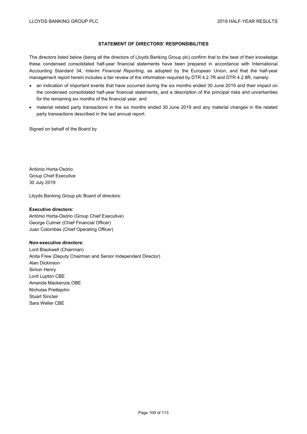## **STATEMENT OF DIRECTORS' RESPONSIBILITIES**

The directors listed below (being all the directors of Lloyds Banking Group plc) confirm that to the best of their knowledge these condensed consolidated half-year financial statements have been prepared in accordance with International Accounting Standard 34, *Interim Financial Reporting*, as adopted by the European Union, and that the half-year management report herein includes a fair review of the information required by DTR 4.2.7R and DTR 4.2.8R, namely:

- an indication of important events that have occurred during the six months ended 30 June 2019 and their impact on the condensed consolidated half-year financial statements, and a description of the principal risks and uncertainties for the remaining six months of the financial year; and
- material related party transactions in the six months ended 30 June 2019 and any material changes in the related party transactions described in the last annual report.

Signed on behalf of the Board by

António Horta-Osório Group Chief Executive 30 July 2019

Lloyds Banking Group plc Board of directors:

### **Executive directors:**

António Horta-Osório (Group Chief Executive) George Culmer (Chief Financial Officer) Juan Colombás (Chief Operating Officer)

### **Non-executive directors:**

Lord Blackwell (Chairman) Anita Frew (Deputy Chairman and Senior Independent Director) Alan Dickinson Simon Henry Lord Lupton CBE Amanda Mackenzie OBE Nicholas Prettejohn Stuart Sinclair Sara Weller CBE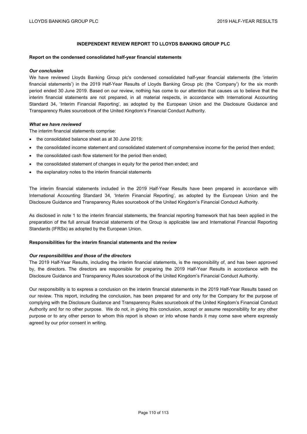## **INDEPENDENT REVIEW REPORT TO LLOYDS BANKING GROUP PLC**

#### **Report on the condensed consolidated half-year financial statements**

#### *Our conclusion*

We have reviewed Lloyds Banking Group plc's condensed consolidated half-year financial statements (the 'interim financial statements') in the 2019 Half-Year Results of Lloyds Banking Group plc (the 'Company') for the six month period ended 30 June 2019. Based on our review, nothing has come to our attention that causes us to believe that the interim financial statements are not prepared, in all material respects, in accordance with International Accounting Standard 34, 'Interim Financial Reporting', as adopted by the European Union and the Disclosure Guidance and Transparency Rules sourcebook of the United Kingdom's Financial Conduct Authority.

### *What we have reviewed*

The interim financial statements comprise:

- the consolidated balance sheet as at 30 June 2019;
- the consolidated income statement and consolidated statement of comprehensive income for the period then ended;
- the consolidated cash flow statement for the period then ended;
- the consolidated statement of changes in equity for the period then ended; and
- the explanatory notes to the interim financial statements

The interim financial statements included in the 2019 Half-Year Results have been prepared in accordance with International Accounting Standard 34, 'Interim Financial Reporting', as adopted by the European Union and the Disclosure Guidance and Transparency Rules sourcebook of the United Kingdom's Financial Conduct Authority.

As disclosed in note 1 to the interim financial statements, the financial reporting framework that has been applied in the preparation of the full annual financial statements of the Group is applicable law and International Financial Reporting Standards (IFRSs) as adopted by the European Union.

### **Responsibilities for the interim financial statements and the review**

### *Our responsibilities and those of the directors*

The 2019 Half-Year Results, including the interim financial statements, is the responsibility of, and has been approved by, the directors. The directors are responsible for preparing the 2019 Half-Year Results in accordance with the Disclosure Guidance and Transparency Rules sourcebook of the United Kingdom's Financial Conduct Authority.

Our responsibility is to express a conclusion on the interim financial statements in the 2019 Half-Year Results based on our review. This report, including the conclusion, has been prepared for and only for the Company for the purpose of complying with the Disclosure Guidance and Transparency Rules sourcebook of the United Kingdom's Financial Conduct Authority and for no other purpose. We do not, in giving this conclusion, accept or assume responsibility for any other purpose or to any other person to whom this report is shown or into whose hands it may come save where expressly agreed by our prior consent in writing.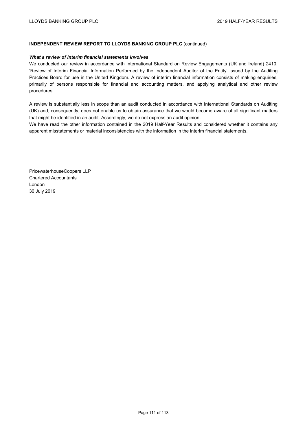## **INDEPENDENT REVIEW REPORT TO LLOYDS BANKING GROUP PLC** (continued)

### *What a review of interim financial statements involves*

We conducted our review in accordance with International Standard on Review Engagements (UK and Ireland) 2410, 'Review of Interim Financial Information Performed by the Independent Auditor of the Entity' issued by the Auditing Practices Board for use in the United Kingdom. A review of interim financial information consists of making enquiries, primarily of persons responsible for financial and accounting matters, and applying analytical and other review procedures.

A review is substantially less in scope than an audit conducted in accordance with International Standards on Auditing (UK) and, consequently, does not enable us to obtain assurance that we would become aware of all significant matters that might be identified in an audit. Accordingly, we do not express an audit opinion.

We have read the other information contained in the 2019 Half-Year Results and considered whether it contains any apparent misstatements or material inconsistencies with the information in the interim financial statements.

PricewaterhouseCoopers LLP Chartered Accountants London 30 July 2019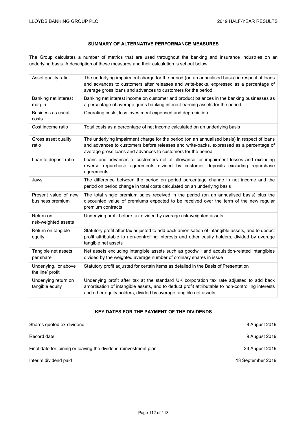# **SUMMARY OF ALTERNATIVE PERFORMANCE MEASURES**

The Group calculates a number of metrics that are used throughout the banking and insurance industries on an underlying basis. A description of these measures and their calculation is set out below.

| Asset quality ratio                       | The underlying impairment charge for the period (on an annualised basis) in respect of loans<br>and advances to customers after releases and write-backs, expressed as a percentage of<br>average gross loans and advances to customers for the period            |
|-------------------------------------------|-------------------------------------------------------------------------------------------------------------------------------------------------------------------------------------------------------------------------------------------------------------------|
| Banking net interest<br>margin            | Banking net interest income on customer and product balances in the banking businesses as<br>a percentage of average gross banking interest-earning assets for the period                                                                                         |
| Business as usual<br>costs                | Operating costs, less investment expensed and depreciation                                                                                                                                                                                                        |
| Cost:income ratio                         | Total costs as a percentage of net income calculated on an underlying basis                                                                                                                                                                                       |
| Gross asset quality<br>ratio              | The underlying impairment charge for the period (on an annualised basis) in respect of loans<br>and advances to customers before releases and write-backs, expressed as a percentage of<br>average gross loans and advances to customers for the period           |
| Loan to deposit ratio                     | Loans and advances to customers net of allowance for impairment losses and excluding<br>reverse repurchase agreements divided by customer deposits excluding repurchase<br>agreements                                                                             |
| Jaws                                      | The difference between the period on period percentage change in net income and the<br>period on period change in total costs calculated on an underlying basis                                                                                                   |
| Present value of new<br>business premium  | The total single premium sales received in the period (on an annualised basis) plus the<br>discounted value of premiums expected to be received over the term of the new regular<br>premium contracts                                                             |
| Return on<br>risk-weighted assets         | Underlying profit before tax divided by average risk-weighted assets                                                                                                                                                                                              |
| Return on tangible<br>equity              | Statutory profit after tax adjusted to add back amortisation of intangible assets, and to deduct<br>profit attributable to non-controlling interests and other equity holders, divided by average<br>tangible net assets                                          |
| Tangible net assets<br>per share          | Net assets excluding intangible assets such as goodwill and acquisition-related intangibles<br>divided by the weighted average number of ordinary shares in issue                                                                                                 |
| Underlying, 'or above<br>the line' profit | Statutory profit adjusted for certain items as detailed in the Basis of Presentation                                                                                                                                                                              |
| Underlying return on<br>tangible equity   | Underlying profit after tax at the standard UK corporation tax rate adjusted to add back<br>amortisation of intangible assets, and to deduct profit attributable to non-controlling interests<br>and other equity holders, divided by average tangible net assets |

# **KEY DATES FOR THE PAYMENT OF THE DIVIDENDS**

| Shares quoted ex-dividend                                        | 8 August 2019     |
|------------------------------------------------------------------|-------------------|
| Record date                                                      | 9 August 2019     |
| Final date for joining or leaving the dividend reinvestment plan | 23 August 2019    |
| Interim dividend paid                                            | 13 September 2019 |